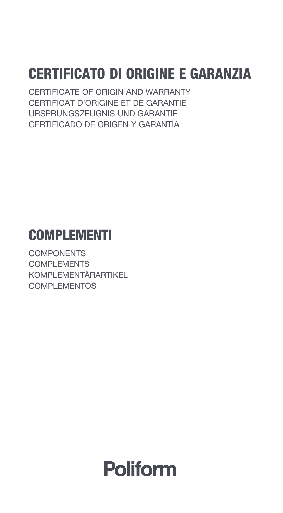# CERTIFICATO DI ORIGINE E GARANZIA

CERTIFICATE OF ORIGIN AND WARRANTY CERTIFICAT D'ORIGINE ET DE GARANTIE URSPRUNGSZEUGNIS UND GARANTIE CERTIFICADO DE ORIGEN Y GARANTÍA

# **COMPLEMENTI**

**COMPONENTS** COMPLEMENTS KOMPLEMENTÄRARTIKEL COMPLEMENTOS

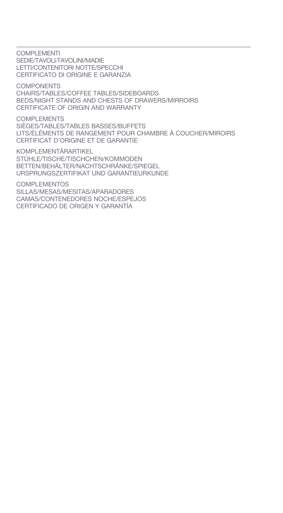COMPLEMENTI SEDIE/TAVOLI/TAVOLINI/MADIE LETTI/CONTENITORI NOTTE/SPECCHI CERTIFICATO DI ORIGINE E GARANZIA

**COMPONENTS** CHAIRS/TABLES/COFFEE TABLES/SIDEBOARDS BEDS/NIGHT STANDS AND CHESTS OF DRAWERS/MIRROIRS CERTIFICATE OF ORIGIN AND WARRANTY

COMPLEMENTS SIÈGES/TABLES/TABLES BASSES/BUFFETS LITS/ÉLÉMENTS DE RANGEMENT POUR CHAMBRE À COUCHER/MIROIRS CERTIFICAT D'ORIGINE ET DE GARANTIE

KOMPLEMENTÄRARTIKEL STÜHLE/TISCHE/TISCHCHEN/KOMMODEN BETTEN/BEHÄLTER/NACHTSCHRÄNKE/SPIEGEL URSPRUNGSZERTIFIKAT UND GARANTIEURKUNDE

COMPLEMENTOS SILLAS/MESAS/MESITAS/APARADORES CAMAS/CONTENEDORES NOCHE/ESPEJOS CERTIFICADO DE ORIGEN Y GARANTÍA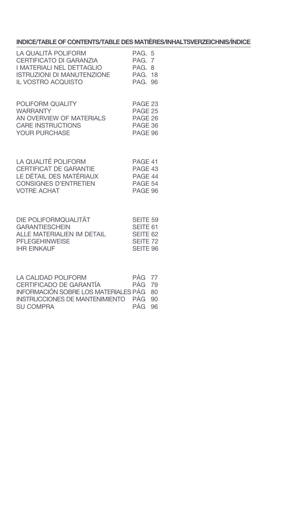# **INDICE/TABLE OF CONTENTS/TABLE DES MATIÈRES/INHALTSVERZEICHNIS/ÍNDICE**

| LA QUALITÀ POLIFORM<br>CERTIFICATO DI GARANZIA<br>I MATERIALI NEL DETTAGLIO<br>ISTRUZIONI DI MANUTENZIONE<br>IL VOSTRO ACQUISTO | PAG. 5<br><b>PAG. 7</b><br>PAG. 8<br><b>PAG. 18</b><br>PAG. 96 |  |
|---------------------------------------------------------------------------------------------------------------------------------|----------------------------------------------------------------|--|
| POLIFORM QUALITY<br><b>WARRANTY</b><br>AN OVERVIEW OF MATERIALS<br>CARE INSTRUCTIONS<br>YOUR PURCHASE                           | PAGE 23<br>PAGE 25<br>PAGE 26<br>PAGE 36<br>PAGE 96            |  |
| LA QUALITÉ POLIFORM<br>CERTIFICAT DE GARANTIE<br>LE DÉTAIL DES MATÉRIAUX<br><b>CONSIGNES D'ENTRETIEN</b><br><b>VOTRE ACHAT</b>  | PAGE 41<br>PAGE 43<br>PAGE 44<br>PAGE 54<br>PAGE 96            |  |
| DIE POLIFORMQUALITÄT<br><b>GARANTIESCHEIN</b><br>ALLE MATERIALIEN IM DETAIL                                                     | SEITE 59<br>SEITE 61<br>SEITE 62                               |  |

| <b>PFLEGEHINWEISE</b><br><b>IHR EINKAUF</b> | SFITF <sub>72</sub><br>SEITE 96 |
|---------------------------------------------|---------------------------------|
|                                             |                                 |
| LA CALIDAD DOLIFODM                         | $D\Lambda$ $\cap$ $77$          |

| LA GALIDAD POLIFORM.                    | $PAG = 77$    |  |
|-----------------------------------------|---------------|--|
| CERTIFICADO DE GARANTÍA                 | <b>PÁG 79</b> |  |
| INFORMACIÓN SOBRE LOS MATERIALES PÁG 80 |               |  |
| INSTRUCCIONES DE MANTENIMIENTO PÁG 90   |               |  |
| SU COMPRA                               | PÁG 96        |  |
|                                         |               |  |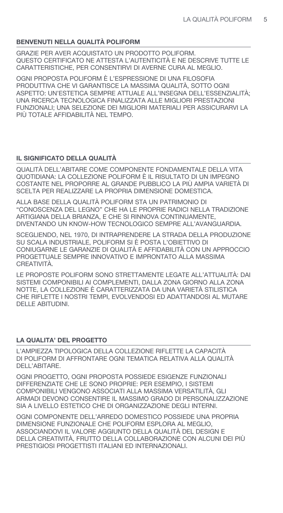# BENVENUTI NELLA QUALITÀ POLIFORM

GRAZIE PER AVER ACQUISTATO UN PRODOTTO POLIFORM. OUESTO CERTIFICATO NE ATTESTA L'AUTENTICITÀ E NE DESCRIVE TUTTE LE CARATTERISTICHE. PER CONSENTIRVI DI AVERNE CURA AL MEGLIO.

OGNI PROPOSTA POLIFORM È L'ESPRESSIONE DI UNA FILOSOFIA PRODUTTIVA CHE VI GARANTISCE LA MASSIMA QUALITÀ. SOTTO OGNI ASPETTO: UN'ESTETICA SEMPRE ATTUALE ALL'INSEGNA DELL'ESSENZIALITÀ; UNA RICERCA TECNOLOGICA FINALIZZATA ALLE MIGLIORI PRESTAZIONI FUNZIONALI: UNA SELEZIONE DEI MIGLIORI MATERIALI PER ASSICURARVI LA PIÙ TOTALE AFFIDABILITÀ NEL TEMPO.

# IL SIGNIFICATO DELLA QUALITÀ

QUALITÀ DELL'ABITARE COME COMPONENTE FONDAMENTALE DELLA VITA QUOTIDIANA: LA COLLEZIONE POLIFORM È IL RISULTATO DI UN IMPEGNO COSTANTE NEL PROPORRE AL GRANDE PUBBLICO LA PIÙ AMPIA VARIETÀ DI SCELTA PER REALIZZARE LA PROPRIA DIMENSIONE DOMESTICA.

ALLA BASE DELLA QUALITÀ POLIFORM STA UN PATRIMONIO DI "CONOSCENZA DEL LEGNO" CHE HA LE PROPRIE RADICI NELLA TRADIZIONE ARTIGIANA DELLA BRIANZA, E CHE SI RINNOVA CONTINUAMENTE, DIVENTANDO UN KNOW-HOW TECNOLOGICO SEMPRE ALL'AVANGUARDIA.

SCEGLIENDO, NEL 1970, DI INTRAPRENDERE LA STRADA DELLA PRODUZIONE SU SCALA INDUSTRIALE, POLIFORM SI È POSTA L'OBIETTIVO DI CONIUGARNE LE GARANZIE DI QUALITÀ E AFFIDABILITÀ CON UN APPROCCIO PROGETTUALE SEMPRE INNOVATIVO E IMPRONTATO ALLA MASSIMA CREATIVITÀ

LE PROPOSTE POLIFORM SONO STRETTAMENTE LEGATE ALL'ATTUALITÀ: DAI SISTEMI COMPONIBILI AI COMPLEMENTI. DALLA ZONA GIORNO ALLA ZONA NOTTE. LA COLLEZIONE È CARATTERIZZATA DA UNA VARIETÀ STILISTICA CHE RIFLETTE I NOSTRI TEMPI, EVOLVENDOSI ED ADATTANDOSI AL MUTARE **DELLE ABITUDINI.** 

# LA QUALITA' DEL PROGETTO

L'AMPIEZZA TIPOLOGICA DELLA COLLEZIONE RIFLETTE LA CAPACITÀ DI POLIFORM DI AFFRONTARE OGNI TEMATICA RELATIVA ALLA QUALITÀ DELL'ABITARE.

OGNI PROGETTO. OGNI PROPOSTA POSSIEDE ESIGENZE FUNZIONALI DIFFERENZIATE CHE LE SONO PROPRIE: PER ESEMPIO, I SISTEMI COMPONIBILI VENGONO ASSOCIATI ALLA MASSIMA VERSATILITÀ. GLI ARMADI DEVONO CONSENTIRE IL MASSIMO GRADO DI PERSONALIZZAZIONE SIA A LIVELLO ESTETICO CHE DI ORGANIZZAZIONE DEGLI INTERNI.

OGNI COMPONENTE DELL'ARREDO DOMESTICO POSSIEDE UNA PROPRIA DIMENSIONE FUNZIONALE CHE POLIFORM ESPLORA AL MEGLIO. ASSOCIANDOVI IL VALORE AGGIUNTO DELLA QUALITÀ DEL DESIGN E DELLA CREATIVITÀ, FRUTTO DELLA COLLABORAZIONE CON ALCUNI DEI PIÙ PRESTIGIOSI PROGETTISTI ITALIANI ED INTERNAZIONALI.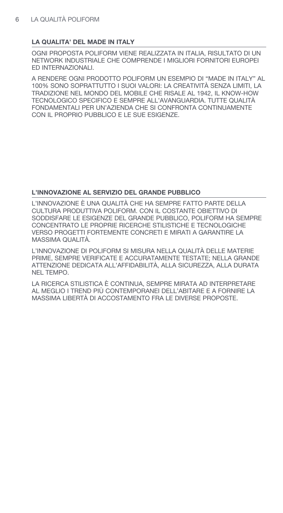# LA QUALITA' DEL MADE IN ITALY

OGNI PROPOSTA POLIFORM VIENE REALIZZATA IN ITALIA. RISULTATO DI UN NETWORK INDUSTRIALE CHE COMPRENDE LMIGLIORI FORNITORI EUROPEI ED INTERNAZIONALI.

A RENDERE OGNI PRODOTTO POLIFORM UN ESEMPIO DI "MADE IN ITALY" AL 100% SONO SOPRATTUTTO I SUOI VALORI: LA CREATIVITÀ SENZA LIMITI. LA TRADIZIONE NEL MONDO DEL MOBILE CHE RISALE AL 1942, IL KNOW-HOW TECNOLOGICO SPECIFICO E SEMPRE ALL'AVANGUARDIA. TUTTE QUALITÀ FONDAMENTALI PER UN'AZIENDA CHE SI CONFRONTA CONTINUAMENTE CON IL PROPRIO PUBBLICO E LE SUE ESIGENZE.

# L'INNOVAZIONE AL SERVIZIO DEL GRANDE PUBBLICO

L'INNOVAZIONE È UNA QUALITÀ CHE HA SEMPRE FATTO PARTE DELLA CULTURA PRODUTTIVA POLIFORM. CON IL COSTANTE OBIETTIVO DI SODDISFARE LE ESIGENZE DEL GRANDE PUBBLICO, POLIFORM HA SEMPRE CONCENTRATO LE PROPRIE RICERCHE STILISTICHE E TECNOLOGICHE VERSO PROGETTI FORTEMENTE CONCRETI E MIRATI A GARANTIRE LA MASSIMA QUALITÀ.

L'INNOVAZIONE DI POLIFORM SI MISURA NELLA QUALITÀ DELLE MATERIE PRIME, SEMPRE VERIFICATE E ACCURATAMENTE TESTATE; NELLA GRANDE ATTENZIONE DEDICATA ALL'AFFIDABILITÀ, ALLA SICUREZZA, ALLA DURATA NEL TEMPO.

LA RICERCA STILISTICA È CONTINUA, SEMPRE MIRATA AD INTERPRETARE AL MEGLIO I TREND PIÙ CONTEMPORANEI DELL'ABITARE E A FORNIRE LA MASSIMA LIBERTÀ DI ACCOSTAMENTO FRA LE DIVERSE PROPOSTE.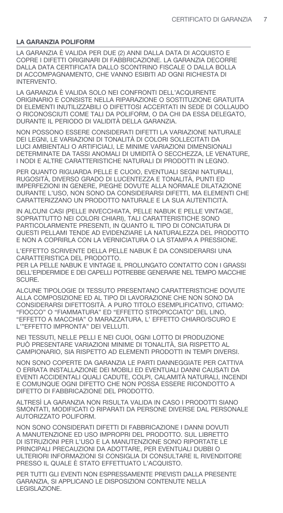# **LA GARANZIA POLIFORM**

LA GARANZIA È VALIDA PER DUE (2) ANNI DALLA DATA DI ACQUISTO E COPRE I DIFETTI ORIGINARI DI FABBRICAZIONE. LA GARANZIA DECORRE DALLA DATA CERTIFICATA DALLO SCONTRINO FISCALE O DALLA BOLLA DI ACCOMPAGNAMENTO, CHE VANNO ESIBITI AD OGNI RICHIESTA DI INTERVENTO.

LA GARANZIA È VALIDA SOLO NEI CONFRONTI DELL'ACQUIRENTE ORIGINARIO E CONSISTE NELLA RIPARAZIONE O SOSTITUZIONE GRATUITA DI ELEMENTI INUTILIZZABILI O DIFETTOSI ACCERTATI IN SEDE DI COLLAUDO O RICONOSCIUTI COME TALI DA POLIFORM, O DA CHI DA ESSA DELEGATO, DURANTE IL PERIODO DI VALIDITÀ DELLA GARANZIA.

NON POSSONO ESSERE CONSIDERATI DIFETTI LA VARIAZIONE NATURALE DEI LEGNI, LE VARIAZIONI DI TONALITÀ DI COLORI SOLLECITATI DA LUCI AMBIENTALI O ARTIFICIALI, LE MINIME VARIAZIONI DIMENSIONALI DETERMINATE DA TASSI ANOMALI DI UMIDITÀ O SECCHEZZA, LE VENATURE, I NODI E ALTRE CARATTERISTICHE NATURALI DI PRODOTTI IN LEGNO.

PER QUANTO RIGUARDA PELLE E CUOIO, EVENTUALI SEGNI NATURALI, RUGOSITÀ, DIVERSO GRADO DI LUCENTEZZA E TONALITÀ, PUNTI ED IMPERFEZIONI IN GENERE, PIEGHE DOVUTE ALLA NORMALE DILATAZIONE DURANTE L'USO, NON SONO DA CONSIDERARSI DIFETTI, MA ELEMENTI CHE CARATTERIZZANO UN PRODOTTO NATURALE E LA SUA AUTENTICITÀ.

IN ALCUNI CASI (PELLE INVECCHIATA, PELLE NABUK E PELLE VINTAGE, SOPRATTUTTO NEI COLORI CHIARI), TALI CARATTERISTICHE SONO PARTICOLARMENTE PRESENTI, IN QUANTO IL TIPO DI CONCIATURA DI QUESTI PELLAMI TENDE AD EVIDENZIARE LA NATURALEZZA DEL PRODOTTO E NON A COPRIRLA CON LA VERNICIATURA O LA STAMPA A PRESSIONE.

L'EFFETTO SCRIVENTE DELLA PELLE NABUK È DA CONSIDERARSI UNA CARATTERISTICA DEL PRODOTTO.

PER LA PELLE NABUK E VINTAGE IL PROLUNGATO CONTATTO CON I GRASSI DELL'EPIDERMIDE E DEI CAPELLI POTREBBE GENERARE NEL TEMPO MACCHIE SCLIBE.

ALCUNE TIPOLOGIE DI TESSUTO PRESENTANO CARATTERISTICHE DOVUTE ALLA COMPOSIZIONE ED AL TIPO DI LAVORAZIONE CHE NON SONO DA CONSIDERARSI DIFETTOSITÀ. A PURO TITOLO ESEMPLIFICATIVO, CITIAMO: "FIOCCO" O "FIAMMATURA" ED "EFFETTO STROPICCIATO" DEL LINO, "EFFETTO A MACCHIA" O MARAZZATURA, L' EFFETTO CHIARO/SCURO E L'"EFFETTO IMPRONTA" DEI VELLUTI.

NEI TESSUTI, NELLE PELLI E NEI CUOI, OGNI LOTTO DI PRODUZIONE PUÒ PRESENTARE VARIAZIONI MINIME DI TONALITÀ, SIA RISPETTO AL CAMPIONARIO, SIA RISPETTO AD ELEMENTI PRODOTTI IN TEMPI DIVERSI.

NON SONO COPERTE DA GARANZIA LE PARTI DANNEGGIATE PER CATTIVA O ERRATA INSTALLAZIONE DEI MOBILI ED EVENTUALI DANNI CAUSATI DA EVENTI ACCIDENTALI QUALI CADUTE, COLPI, CALAMITÀ NATURALI, INCENDI E COMUNQUE OGNI DIFETTO CHE NON POSSA ESSERE RICONDOTTO A DIFETTO DI FABBRICAZIONE DEL PRODOTTO.

ALTRESÌ LA GARANZIA NON RISULTA VALIDA IN CASO I PRODOTTI SIANO SMONTATI, MODIFICATI O RIPARATI DA PERSONE DIVERSE DAL PERSONALE AUTORIZZATO POLIFORM.

NON SONO CONSIDERATI DIFETTI DI FABBRICAZIONE I DANNI DOVUTI A MANUTENZIONE ED USO IMPROPRI DEL PRODOTTO. SUL LIBRETTO DI ISTRUZIONI PER L'USO E LA MANUTENZIONE SONO RIPORTATE LE PRINCIPALI PRECAUZIONI DA ADOTTARE, PER EVENTUALI DUBBI O ULTERIORI INFORMAZIONI SI CONSIGLIA DI CONSULTARE IL RIVENDITORE PRESSO IL QUALE È STATO EFFETTUATO L'ACQUISTO.

PER TUTTI GLI EVENTI NON ESPRESSAMENTE PREVISTI DALLA PRESENTE GARANZIA, SI APPLICANO LE DISPOSIZIONI CONTENUTE NELLA LEGISLAZIONE.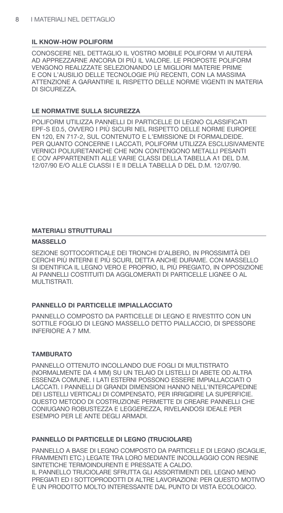## IL KNOW-HOW POLIFORM

CONOSCERE NEL DETTAGLIO IL VOSTRO MOBILE POLIFORM VI AIUTERÀ AD APPREZZARNE ANCORA DI PIÙ II, VALORE, LE PROPOSTE POLIFORM VENGONO REALIZZATE SELEZIONANDO LE MIGLIORI MATERIE PRIME E CON L'AUSILIO DELLE TECNOLOGIE PIÙ RECENTI, CON LA MASSIMA ATTENZIONE A GARANTIRE IL RISPETTO DELLE NORME VIGENTI IN MATERIA DI SICUREZZA.

## LE NORMATIVE SULLA SICUREZZA

POLIFORM UTILIZZA PANNELLI DI PARTICELLE DI LEGNO CLASSIFICATI EPF-S E0.5, OVVERO I PIÙ SICURI NEL RISPETTO DELLE NORME EUROPEE EN 120, EN 717-2, SUL CONTENUTO E L'EMISSIONE DI FORMALDEIDE. PER QUANTO CONCERNE I LACCATI, POLIFORM UTILIZZA ESCLUSIVAMENTE VERNICI POLIURETANICHE CHE NON CONTENGONO METALLI PESANTI E COV APPARTENENTI ALLE VARIE CLASSI DELLA TABELLA A1 DEL D.M. 12/07/90 E/O ALLE CLASSI I E II DELLA TABELLA D DEL D.M. 12/07/90.

# **MATERIALI STRUTTURALI**

#### **MASSELLO**

SEZIONE SOTTOCORTICALE DEI TRONCHI D'ALBERO. IN PROSSIMITÀ DEI CERCHI PIÙ INTERNI E PIÙ SCURI, DETTA ANCHE DURAME. CON MASSELLO SI IDENTIFICA IL LEGNO VERO E PROPRIO, IL PIÙ PREGIATO, IN OPPOSIZIONE AI PANNELLI COSTITUITI DA AGGLOMERATI DI PARTICELLE LIGNEE O AL MULTISTRATI.

#### PANNELLO DI PARTICELLE IMPIALI ACCIATO

PANNELLO COMPOSTO DA PARTICELLE DI LEGNO E RIVESTITO CON UN SOTTILE FOGLIO DI LEGNO MASSELLO DETTO PIALLACCIO, DI SPESSORE **INFERIORE A 7 MM.** 

#### **TAMBURATO**

PANNELLO OTTENUTO INCOLLANDO DUE FOGLI DI MULTISTRATO (NORMALMENTE DA 4 MM) SU UN TELAIO DI LISTELLI DI ABETE OD ALTRA ESSENZA COMUNE. I LATI ESTERNI POSSONO ESSERE IMPIALLACCIATI O LACCATI. I PANNELLI DI GRANDI DIMENSIONI HANNO NELL'INTERCAPEDINE DEI LISTELLI VERTICALI DI COMPENSATO, PER IRRIGIDIRE LA SUPERFICIE. QUESTO METODO DI COSTRUZIONE PERMETTE DI CREARE PANNELLI CHE CONIUGANO ROBUSTEZZA E LEGGEREZZA. RIVELANDOSI IDEALE PER ESEMPIO PER LE ANTE DEGLI ARMADI.

# PANNELLO DI PARTICELLE DI LEGNO (TRUCIOLARE)

PANNELLO A BASE DI LEGNO COMPOSTO DA PARTICELLE DI LEGNO (SCAGLIE. FRAMMENTI ETC.) LEGATE TRA LORO MEDIANTE INCOLLAGGIO CON RESINE SINTETICHE TERMOINDURENTI E PRESSATE A CALDO. IL PANNELLO TRUCIOLARE SFRUTTA GLI ASSORTIMENTI DEL LEGNO MENO PREGIATI ED I SOTTOPRODOTTI DI ALTRE LAVORAZIONI: PER QUESTO MOTIVO È UN PRODOTTO MOLTO INTERESSANTE DAL PUNTO DI VISTA ECOLOGICO.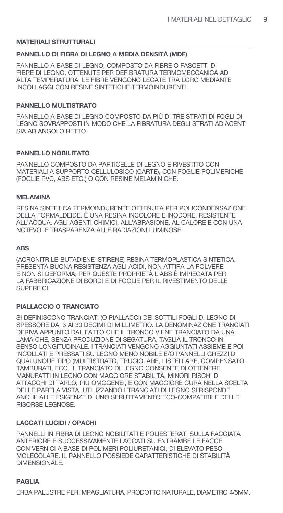## **MATERIALI STRUTTURALI**

#### PANNELLO DI FIBRA DI LEGNO A MEDIA DENSITÀ (MDF)

PANNELLO A BASE DI LEGNO, COMPOSTO DA FIBRE O FASCETTI DI FIBRE DI LEGNO, OTTENUTE PER DEFIBRATURA TERMOMECCANICA AD ALTA TEMPERATURA. LE FIBRE VENGONO LEGATE TRA LORO MEDIANTE **INCOLLAGGI CON RESINE SINTETICHE TERMOINDURENTI.** 

#### **PANNELLO MULTISTRATO**

PANNELLO A BASE DI LEGNO COMPOSTO DA PIÙ DI TRE STRATI DI FOGLI DI LEGNO SOVRAPPOSTI IN MODO CHE LA FIBRATURA DEGLI STRATI ADIACENTI SIA AD ANGOLO RETTO.

#### **PANNELLO NOBILITATO**

PANNELLO COMPOSTO DA PARTICELLE DI LEGNO E RIVESTITO CON MATERIALI A SUPPORTO CELLULOSICO (CARTE), CON FOGLIE POLIMERICHE (FOGLIE PVC, ABS ETC.) O CON RESINE MELAMINICHE.

#### **MELAMINA**

RESINA SINTETICA TERMOINDURENTE OTTENUTA PER POLICONDENSAZIONE DELLA FORMALDEIDE. È UNA RESINA INCOLORE E INODORE. RESISTENTE ALL'ACQUA, AGLI AGENTI CHIMICI, ALL'ABRASIONE, AL CALORE E CON UNA NOTEVOLE TRASPARENZA ALLE RADIAZIONI LUMINOSE.

#### **ABS**

(ACRONITRILE-BUTADIENE-STIRENE) RESINA TERMOPLASTICA SINTETICA. PRESENTA BUONA RESISTENZA AGLI ACIDI. NON ATTIRA LA POLVERE F NON SI DEFORMA: PER OUESTE PROPRIETÀ I 'ABS È IMPIEGATA PER LA FABBRICAZIONE DI BORDI E DI FOGLIE PER IL RIVESTIMENTO DELLE SUPERFICI

#### PIALLACCIO O TRANCIATO

SI DEFINISCONO TRANCIATI (O PIALLACCI) DEI SOTTILI FOGLI DI LEGNO DI SPESSORE DAI 3 AI 30 DECIMI DI MILLIMETRO. LA DENOMINAZIONE TRANCIATI DERIVA APPUNTO DAL FATTO CHE IL TRONCO VIENE TRANCIATO DA UNA LAMA CHE, SENZA PRODUZIONE DI SEGATURA, TAGLIA IL TRONCO IN SENSO LONGITUDINALE. I TRANCIATI VENGONO AGGIUNTATI ASSIEME E POI INCOLLATI E PRESSATI SU LEGNO MENO NOBILE E/O PANNELLI GREZZI DI QUALUNQUE TIPO (MULTISTRATO, TRUCIOLARE, LISTELLARE, COMPENSATO, TAMBURATI, ECC. IL TRANCIATO DI LEGNO CONSENTE DI OTTENERE MANUFATTI IN LEGNO CON MAGGIORE STABILITÀ. MINORI RISCHI DI ATTACCHI DI TARLO, PIÙ OMOGENEI, E CON MAGGIORE CURA NELLA SCELTA DELLE PARTI A VISTA, UTILIZZANDO I TRANCIATI DI LEGNO SI RISPONDE ANCHE ALLE ESIGENZE DI UNO SFRUTTAMENTO ECO-COMPATIBILE DELLE RISORSE LEGNOSE.

#### **LACCATI LUCIDI / OPACHI**

PANNELLI IN FIBRA DI LEGNO NOBILITATI E POLIESTERATI SULLA FACCIATA ANTERIORE E SUCCESSIVAMENTE LACCATI SU ENTRAMBE LE FACCE CON VERNICI A BASE DI POLIMERI POLIURETANICI. DI ELEVATO PESO MOLECOLARE. IL PANNELLO POSSIEDE CARATTERISTICHE DI STABILITÀ DIMENSIONALE.

#### **PAGLIA**

ERBA PALUSTRE PER IMPAGLIATURA. PRODOTTO NATURALE. DIAMETRO 4/5MM.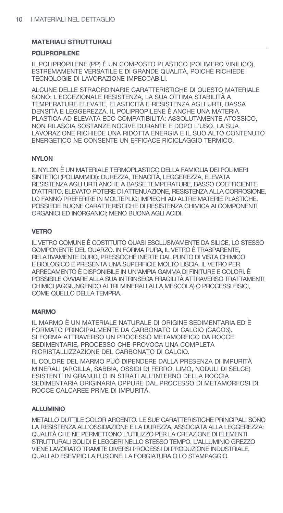## **MATERIALI STRUTTURALI**

#### **POLIPROPILENE**

IL POLIPROPILENE (PP) È UN COMPOSTO PLASTICO (POLIMERO VINILICO). ESTREMAMENTE VERSATILE E DI GRANDE QUALITÀ, POICHÉ RICHIEDE TECNOLOGIE DI LAVORAZIONE IMPECCABILI.

ALCUNE DELLE STRAORDINARIE CARATTERISTICHE DI QUESTO MATERIALE SONO: L'ECCEZIONALE RESISTENZA. LA SUA OTTIMA STABILITÀ A TEMPERATURE ELEVATE, ELASTICITÀ E RESISTENZA AGLI URTI, BASSA DENSITÀ E LEGGEREZZA. IL POLIPROPILENE È ANCHE UNA MATERIA PLASTICA AD ELEVATA ECO COMPATIBILITÀ: ASSOLUTAMENTE ATOSSICO. NON RILASCIA SOSTANZE NOCIVE DURANTE E DOPO L'USO. LA SUA LAVORAZIONE RICHIEDE UNA RIDOTTA ENERGIA E IL SUO ALTO CONTENUTO ENERGETICO NE CONSENTE UN EFFICACE RICICLAGGIO TERMICO.

# **NYLON**

IL NYLON È UN MATERIALE TERMOPLASTICO DELLA FAMIGLIA DEI POLIMERI SINTETICI (POLIAMMIDI): DUREZZA, TENACITÀ, LEGGEREZZA, ELEVATA RESISTENZA AGLI URTI ANCHE A BASSE TEMPERATURE, BASSO COEFFICIENTE D'ATTRITO, ELEVATO POTERE DI ATTENUAZIONE, RESISTENZA ALLA CORROSIONE, LO FANNO PREFERIRE IN MOLTEPLICI IMPIEGHI AD ALTRE MATERIE PLASTICHE. POSSIEDE BUONE CARATTERISTICHE DI RESISTENZA CHIMICA AI COMPONENTI ORGANICI ED INORGANICI; MENO BUONA AGLI ACIDI.

## **VETRO**

IL VETRO COMUNE È COSTITUITO QUASI ESCLUSIVAMENTE DA SILICE, LO STESSO COMPONENTE DEL QUARZO. IN FORMA PURA, IL VETRO È TRASPARENTE, RELATIVAMENTE DURO. PRESSOCHÉ INERTE DAL PUNTO DI VISTA CHIMICO E BIOLOGICO E PRESENTA UNA SUPERFICIE MOLTO LISCIA. IL VETRO PER ARREDAMENTO È DISPONIBILE IN UN'AMPIA GAMMA DI FINITURE E COLORI. È POSSIBILE OVVIARE ALLA SUA INTRINSECA FRAGILITÀ ATTRAVERSO TRATTAMENTI CHIMICI (AGGIUNGENDO ALTRI MINERALI ALLA MESCOLA) O PROCESSI FISICI. COME QUELLO DELLA TEMPRA.

#### **MARMO**

IL MARMO È UN MATERIALE NATURALE DI ORIGINE SEDIMENTARIA ED È FORMATO PRINCIPALMENTE DA CARBONATO DI CALCIO (CACO3). SI FORMA ATTRAVERSO UN PROCESSO METAMORFICO DA ROCCE SEDIMENTARIE, PROCESSO CHE PROVOCA UNA COMPLETA RICRISTALLIZZAZIONE DEL CARBONATO DI CALCIO.

IL COLORE DEL MARMO PUÒ DIPENDERE DALLA PRESENZA DI IMPURITÀ MINERALI (ARGILLA, SABBIA, OSSIDI DI FERRO, LIMO, NODULI DI SELCE) ESISTENTI IN GRANULI O IN STRATI ALL'INTERNO DELLA ROCCIA SEDIMENTARIA ORIGINARIA OPPURE DAL PROCESSO DI METAMORFOSI DI ROCCE CALCAREE PRIVE DI IMPURITÀ

## **ALLUMINIO**

METALLO DUTTILE COLOR ARGENTO. LE SUE CARATTERISTICHE PRINCIPALI SONO LA RESISTENZA ALL'OSSIDAZIONE E LA DUREZZA. ASSOCIATA ALLA LEGGEREZZA: QUALITÀ CHE NE PERMETTONO L'UTILIZZO PER LA CREAZIONE DI ELEMENTI STRUTTURALI SOLIDI E LEGGERI NELLO STESSO TEMPO, L'ALLUMINIO GREZZO VIENE LAVORATO TRAMITE DIVERSI PROCESSI DI PRODUZIONE INDUSTRIALE. QUALI AD ESEMPIO LA FUSIONE, LA FORGIATURA O LO STAMPAGGIO.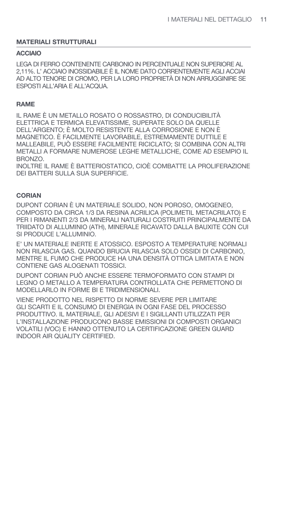## **MATERIALI STRUTTURALI**

#### **ACCIAIO**

LEGA DI FERRO CONTENENTE CARBONIO IN PERCENTUALE NON SUPERIORE AL 2,11%. L'ACCIAIO INOSSIDABILE È IL NOME DATO CORRENTEMENTE AGLI ACCIAI AD ALTO TENORE DI CROMO. PER LA LORO PROPRIETÀ DI NON ARRUGGINIRE SE ESPOSTI ALL'ARIA E ALL'ACQUA.

#### **RAME**

IL RAME È UN METALLO ROSATO O ROSSASTRO. DI CONDUCIBILITÀ ELETTRICA E TERMICA ELEVATISSIME. SUPERATE SOLO DA QUELLE DELL'ARGENTO: È MOLTO RESISTENTE ALLA CORROSIONE E NON È MAGNETICO. È FACILMENTE LAVORABILE, ESTREMAMENTE DUTTILE E MALLEABILE, PUÒ ESSERE FACILMENTE RICICLATO: SI COMBINA CON ALTRI METALLI A FORMARE NUMEROSE LEGHE METALLICHE. COME AD ESEMPIO IL BRONZO.

INOLTRE IL RAME È BATTERIOSTATICO. CIOÈ COMBATTE LA PROLIFERAZIONE DEI BATTERI SULLA SUA SUPERFICIE.

#### **CORIAN**

DUPONT CORIAN È UN MATERIALE SOLIDO. NON POROSO, OMOGENEO. COMPOSTO DA CIRCA 1/3 DA RESINA ACRILICA (POLIMETIL METACRILATO) E PER I RIMANENTI 2/3 DA MINERALI NATURALI COSTRUITI PRINCIPALMENTE DA TRIIDATO DI ALLUMINIO (ATH). MINERALE RICAVATO DALLA BAUXITE CON CUI SI PRODUCE L'ALLUMINIO.

E' UN MATERIALE INERTE E ATOSSICO. ESPOSTO A TEMPERATURE NORMALI NON RILASCIA GAS. QUANDO BRUCIA RILASCIA SOLO OSSIDI DI CARBONIO, MENTRE IL FUMO CHE PRODUCE HA UNA DENSITÀ OTTICA LIMITATA E NON CONTIENE GAS ALOGENATI TOSSICI.

DUPONT CORIAN PUÒ ANCHE ESSERE TERMOFORMATO CON STAMPI DI LEGNO O METALLO A TEMPERATURA CONTROLLATA CHE PERMETTONO DI MODELLARLO IN FORME BI E TRIDIMENSIONALI.

VIENE PRODOTTO NEL RISPETTO DI NORME SEVERE PER LIMITARE GLI SCARTI E IL CONSUMO DI ENERGIA IN OGNI FASE DEL PROCESSO PRODUTTIVO. IL MATERIALE, GLI ADESIVI E I SIGILLANTI UTILIZZATI PER L'INSTALLAZIONE PRODUCONO BASSE EMISSIONI DI COMPOSTI ORGANICI VOLATILI (VOC) E HANNO OTTENUTO LA CERTIFICAZIONE GREEN GUARD INDOOR AIR QUALITY CERTIFIED.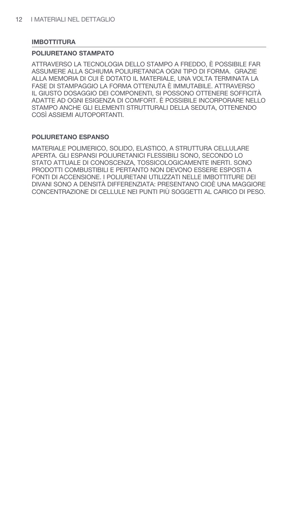## **IMBOTTITURA**

#### POLIURETANO STAMPATO

ATTRAVERSO LA TECNOLOGIA DELLO STAMPO A FREDDO. È POSSIBILE FAR ASSUMERE ALLA SCHIUMA POLIURETANICA OGNI TIPO DI FORMA. GRAZIE ALLA MEMORIA DI CUI È DOTATO IL MATERIALE. UNA VOLTA TERMINATA LA FASE DI STAMPAGGIO LA FORMA OTTENUTA È IMMUTABILE. ATTRAVERSO IL GIUSTO DOSAGGIO DEI COMPONENTI. SI POSSONO OTTENERE SOFFICITÀ ADATTE AD OGNI ESIGENZA DI COMFORT. È POSSIBILE INCORPORARE NELLO STAMPO ANCHE GLI ELEMENTI STRUTTURALI DELLA SEDUTA. OTTENENDO COSÌ ASSIEMI AUTOPORTANTI.

## POLIURETANO ESPANSO

MATERIALE POLIMERICO, SOLIDO, ELASTICO, A STRUTTURA CELLULARE APERTA. GLI ESPANSI POLIURETANICI FLESSIBILI SONO, SECONDO LO STATO ATTUALE DI CONOSCENZA. TOSSICOLOGICAMENTE INERTI. SONO PRODOTTI COMBUSTIBILI E PERTANTO NON DEVONO ESSERE ESPOSTI A FONTI DI ACCENSIONE. I POLIURETANI UTILIZZATI NELLE IMBOTTITURE DEI DIVANI SONO A DENSITÀ DIFFERENZIATA: PRESENTANO CIOÈ UNA MAGGIORE CONCENTRAZIONE DI CELLULE NEI PUNTI PIÙ SOGGETTI AL CARICO DI PESO.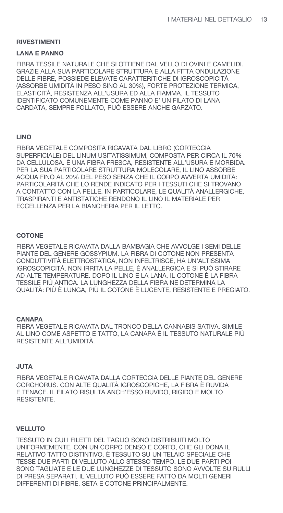#### **LANA E PANNO**

FIBRA TESSILE NATURALE CHE SI OTTIENE DAL VELLO DI OVINI E CAMELIDI. GRAZIE ALLA SUA PARTICOLARE STRUTTURA E ALLA FITTA ONDULAZIONE DELLE FIBRE. POSSIEDE ELEVATE CARATTERITICHE DI IGROSCOPICITÀ (ASSORBE UMIDITÀ IN PESO SINO AL 30%), FORTE PROTEZIONE TERMICA, ELASTICITÀ, RESISTENZA ALL'USURA ED ALLA FIAMMA. IL TESSUTO IDENTIFICATO COMUNEMENTE COME PANNO E' UN FILATO DI LANA CARDATA, SEMPRE FOLLATO, PUÒ ESSERE ANCHE GARZATO.

#### **LINO**

FIBRA VEGETALE COMPOSITA RICAVATA DAL LIBRO (CORTECCIA SUPERFICIALE) DEL LINUM USITATISSIMUM. COMPOSTA PER CIRCA IL 70% DA CELLULOSA. È UNA FIBRA FRESCA. RESISTENTE ALL'USURA E MORBIDA. PER LA SUA PARTICOLARE STRUTTURA MOLECOLARE, IL LINO ASSORBE ACQUA FINO AL 20% DEL PESO SENZA CHE IL CORPO AVVERTA UMIDITÀ: PARTICOLARITÀ CHE LO RENDE INDICATO PER I TESSUTI CHE SI TROVANO A CONTATTO CON LA PELLE. IN PARTICOLARE, LE QUALITÀ ANALLERGICHE, TRASPIRANTI E ANTISTATICHE RENDONO IL LINO IL MATERIALE PER ECCELLENZA PER LA BIANCHERIA PER IL LETTO.

## **COTONE**

FIBRA VEGETALE RICAVATA DALLA BAMBAGIA CHE AVVOLGE I SEMI DELLE PIANTE DEL GENERE GOSSYPIUM. LA FIBRA DI COTONE NON PRESENTA CONDUTTIVITÀ ELETTROSTATICA. NON INFELTRISCE. HA UN'ALTISSIMA IGROSCOPICITÀ, NON IRRITA LA PELLE, È ANALLERGICA E SI PUÒ STIRARE AD ALTE TEMPERATURE, DOPO IL LINO E LA LANA, IL COTONE È LA FIBRA TESSILE PIÙ ANTICA. LA LUNGHEZZA DELLA FIBRA NE DETERMINA LA QUALITÀ: PIÙ È LUNGA, PIÙ IL COTONE È LUCENTE, RESISTENTE E PREGIATO.

#### **CANAPA**

FIBRA VEGETALE RICAVATA DAL TRONCO DELLA CANNABIS SATIVA, SIMILE AL LINO COME ASPETTO E TATTO. LA CANAPA È IL TESSUTO NATURALE PIÙ RESISTENTE ALL'UMIDITÀ.

## **JUTA**

FIBRA VEGETALE RICAVATA DALLA CORTECCIA DELLE PIANTE DEL GENERE CORCHORUS. CON ALTE QUALITÀ IGROSCOPICHE. LA FIBRA È RUVIDA E TENACE. IL FILATO RISULTA ANCH'ESSO RUVIDO. RIGIDO E MOLTO RESISTENTE.

#### **VELLUTO**

TESSUTO IN CUI I FILETTI DEL TAGLIO SONO DISTRIBUITI MOLTO UNIFORMEMENTE, CON UN CORPO DENSO E CORTO, CHE GLI DONA IL RELATIVO TATTO DISTINTIVO. È TESSUTO SU UN TELAIO SPECIALE CHE TESSE DUE PARTI DI VELLUTO ALLO STESSO TEMPO. LE DUE PARTI POI SONO TAGLIATE E LE DUE LUNGHEZZE DI TESSUTO SONO AVVOLTE SU RULLI DI PRESA SEPARATI. IL VELLUTO PUÒ ESSERE FATTO DA MOLTI GENERI DIFFERENTI DI FIBRE. SETA E COTONE PRINCIPALMENTE.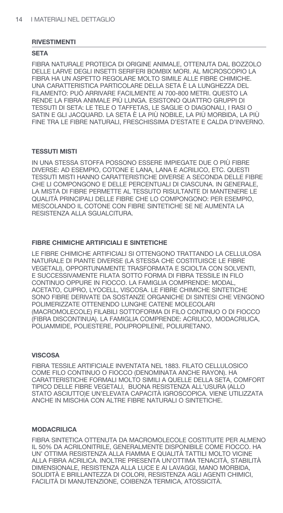#### **SETA**

FIBRA NATURALE PROTEICA DI ORIGINE ANIMALE. OTTENUTA DAL BOZZOLO DELLE LARVE DEGLI INSETTI SERIFERI BOMBIX MORI. AL MICROSCOPIO LA FIBRA HA UN ASPETTO REGOLARE MOLTO SIMILE ALLE FIBRE CHIMICHE. UNA CARATTERISTICA PARTICOLARE DELLA SETA È LA LUNGHEZZA DEL FILAMENTO: PUÒ ARRIVARE FACILMENTE AI 700-800 METRI. QUESTO LA RENDE LA FIBRA ANIMALE PIÙ LUNGA, ESISTONO QUATTRO GRUPPI DI TESSUTI DI SETA: LE TELE O TAFFETAS. LE SAGLIE O DIAGONALI. I RASI O SATIN E GLI JACQUARD. LA SETA È LA PIÙ NOBILE, LA PIÙ MORBIDA, LA PIÙ FINE TRA LE FIBRE NATURALI. FRESCHISSIMA D'ESTATE E CALDA D'INVERNO.

#### **TESSUTI MISTI**

IN UNA STESSA STOFFA POSSONO ESSERE IMPIEGATE DUE O PIÙ FIBRE DIVERSE: AD ESEMPIO, COTONE E LANA, LANA E ACRILICO, ETC. QUESTI TESSUTI MISTI HANNO CARATTERISTICHE DIVERSE A SECONDA DELLE FIBRE CHE LI COMPONGONO E DELLE PERCENTUALI DI CIASCUNA. IN GENERALE. LA MISTA DI FIBRE PERMETTE AL TESSUTO RISULTANTE DI MANTENERE LE QUALITÀ PRINCIPALI DELLE FIBRE CHE LO COMPONGONO: PER ESEMPIO. MESCOLANDO IL COTONE CON FIBRE SINTETICHE SE NE AUMENTA LA RESISTENZA ALLA SGUALCITURA.

#### FIBRE CHIMICHE ARTIFICIALI E SINTETICHE

LE FIBRE CHIMICHE ARTIFICIALI SI OTTENGONO TRATTANDO LA CELLULOSA NATURALE DI PIANTE DIVERSE (LA STESSA CHE COSTITUISCE LE FIBRE VEGETALI), OPPORTUNAMENTE TRASFORMATA E SCIOLTA CON SOLVENTI, E SUCCESSIVAMENTE FILATA SOTTO FORMA DI FIBRA TESSILE IN FILO CONTINUO OPPURE IN FIOCCO. LA FAMIGLIA COMPRENDE: MODAL. ACETATO, CUPRO, LYOCELL, VISCOSA. LE FIBRE CHIMICHE SINTETICHE SONO FIBRE DERIVATE DA SOSTANZE ORGANICHE DI SINTESI CHE VENGONO POLIMERIZZATE OTTENENDO LUNGHE CATENE MOLECOLARI (MACROMOLECOLE) FILABILI SOTTOFORMA DI FILO CONTINUO O DI FIOCCO (FIBRA DISCONTINUA). LA FAMIGLIA COMPRENDE: ACRILICO, MODACRILICA. POLIAMMIDE, POLIESTERE, POLIPROPILENE, POLIURETANO,

#### **VISCOSA**

FIBRA TESSILE ARTIFICIALE INVENTATA NEL 1883. FILATO CELLULOSICO COME FILO CONTINUO O FIOCCO (DENOMINATA ANCHE RAYON). HA CARATTERISTICHE FORMALI MOLTO SIMILI A QUELLE DELLA SETA. COMFORT TIPICO DELLE FIBRE VEGETALI, BUONA RESISTENZA ALL'USURA (ALLO STATO ASCIUTTO)E UN'ELEVATA CAPACITÀ IGROSCOPICA. VIENE UTILIZZATA ANCHE IN MISCHIA CON ALTRE FIBRE NATURALI O SINTETICHE.

#### **MODACRILICA**

FIBRA SINTETICA OTTENUTA DA MACROMOLECOLE COSTITUITE PER ALMENO IL 50% DA ACRILONITRILE, GENERALMENTE DISPONIBILE COME FIOCCO, HA UN' OTTIMA RESISTENZA ALLA FIAMMA E QUALITÀ TATTILI MOLTO VICINE ALLA FIBRA ACRILICA. INOLTRE PRESENTA UN'OTTIMA TENACITÀ. STABILITÀ DIMENSIONALE, RESISTENZA ALLA LUCE E AI LAVAGGI, MANO MORBIDA, SOLIDITÀ E BRILLANTEZZA DI COLORI, RESISTENZA AGLI AGENTI CHIMICI, FACILITÀ DI MANUTENZIONE. COIBENZA TERMICA. ATOSSICITÀ.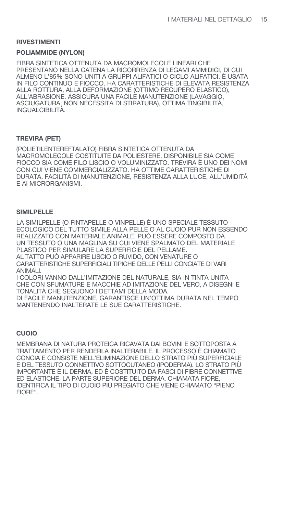#### **POLIAMMIDE (NYLON)**

FIBRA SINTETICA OTTENUTA DA MACROMOLECOLE LINEARI CHE PRESENTANO NELLA CATENA LA RICORRENZA DI LEGAMI AMMIDICI. DI CUI ALMENO L'85% SONO UNITI A GRUPPI ALIFATICI O CICLO ALIFATICI. È USATA IN FILO CONTINUO E FIOCCO. HA CARATTERISTICHE DI ELEVATA RESISTENZA ALLA ROTTURA. ALLA DEFORMAZIONE (OTTIMO RECUPERO ELASTICO). ALL'ABRASIONE. ASSICURA UNA FACILE MANUTENZIONE (LAVAGGIO. ASCIUGATURA, NON NECESSITA DI STIRATURA), OTTIMA TINGIBILITÀ, INGUALCIBILITÀ.

#### **TREVIRA (PET)**

(POLIETILENTEREFTALATO) FIBRA SINTETICA OTTENUTA DA MACROMOLECOLE COSTITUITE DA POLIESTERE. DISPONIBILE SIA COME FIOCCO SIA COME FILO LISCIO O VOLUMINIZZATO. TREVIRA È UNO DEI NOMI CON CUI VIENE COMMERCIALIZZATO. HA OTTIME CARATTERISTICHE DI DURATA, FACILITÀ DI MANUTENZIONE, RESISTENZA ALLA LUCE, ALL'UMIDITÀ E AI MICRORGANISMI.

#### **SIMILPELLE**

LA SIMILPELLE (O FINTAPELLE O VINPELLE) È UNO SPECIALE TESSUTO ECOLOGICO DEL TUTTO SIMILE ALLA PELLE O AL CUOIO PUR NON ESSENDO REALIZZATO CON MATERIALE ANIMALE. PUÒ ESSERE COMPOSTO DA UN TESSUTO O UNA MAGLINA SU CUI VIENE SPALMATO DEL MATERIALE PLASTICO PER SIMULARE LA SUPERFICIE DEL PELLAME. AL TATTO PUÒ APPARIRE LISCIO O RUVIDO, CON VENATURE O CARATTERISTICHE SUPERFICIALI TIPICHE DELLE PELLI CONCIATE DI VARI **ANIMALL** 

I COLORI VANNO DALL'IMITAZIONE DEL NATURALE. SIA IN TINTA UNITA CHE CON SFUMATURE E MACCHIE AD IMITAZIONE DEL VERO, A DISEGNI E TONALITÀ CHE SEGUONO I DETTAMI DELLA MODA. DI FACILE MANUTENZIONE, GARANTISCE UN'OTTIMA DURATA NEL TEMPO MANTENENDO INALTERATE LE SUE CARATTERISTICHE.

#### **CUOIO**

MEMBRANA DI NATURA PROTEICA RICAVATA DAI BOVINI E SOTTOPOSTA A TRATTAMENTO PER RENDERLA INALTERABILE. IL PROCESSO È CHIAMATO CONCIA E CONSISTE NELL'ELIMINAZIONE DELLO STRATO PIÙ SUPERFICIALE E DEL TESSUTO CONNETTIVO SOTTOCUTANEO (IPODERMA). LO STRATO PIÙ IMPORTANTE È IL DERMA. ED È COSTITUITO DA FASCI DI FIBRE CONNETTIVE ED ELASTICHE. LA PARTE SUPERIORE DEL DERMA. CHIAMATA FIORE. IDENTIFICA IL TIPO DI CUOIO PIÙ PREGIATO CHE VIENE CHIAMATO "PIENO FIORE"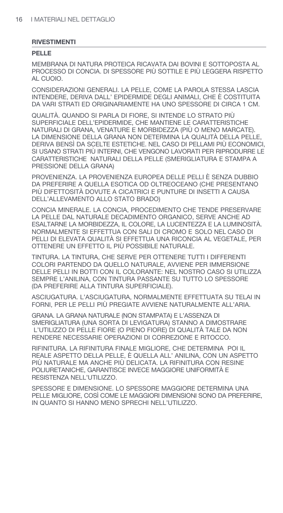#### **PELLE**

MEMBRANA DI NATURA PROTEICA RICAVATA DAI BOVINI E SOTTOPOSTA AL PROCESSO DI CONCIA. DI SPESSORE PIÙ SOTTILE E PIÙ LEGGERA RISPETTO AL CUOIO.

CONSIDERAZIONI GENERALI. LA PELLE, COME LA PAROLA STESSA LASCIA INTENDERE, DERIVA DALL' EPIDERMIDE DEGLI ANIMALI, CHE È COSTITUITA DA VARI STRATI ED ORIGINARIAMENTE HA UNO SPESSORE DI CIRCA 1 CM.

QUALITÀ, QUANDO SI PARLA DI FIORE, SI INTENDE LO STRATO PIÙ SUPERFICIALE DELL'EPIDERMIDE. CHE MANTIENE LE CARATTERISTICHE NATURALI DI GRANA. VENATURE E MORBIDEZZA (PIÙ O MENO MARCATE). LA DIMENSIONE DELLA GRANA NON DETERMINA LA QUALITÀ DELLA PELLE. DERIVA BENSÌ DA SCELTE ESTETICHE. NEL CASO DI PELLAMI PIÙ ECONOMICI. SI USANO STRATI PIÙ INTERNI. CHE VENGONO LAVORATI PER RIPRODURRE LE CARATTERISTICHE NATURALI DELLA PELLE (SMERIGLIATURA E STAMPA A PRESSIONE DELLA GRANA)

PROVENIENZA. LA PROVENIENZA EUROPEA DELLE PELLI È SENZA DUBBIO DA PREFERIRE A QUELLA ESOTICA OD OLTREOCEANO (CHE PRESENTANO PIÙ DIFETTOSITÀ DOVUTE A CICATRICI E PUNTURE DI INSETTI A CAUSA DELL'ALLEVAMENTO ALLO STATO BRADO)

CONCIA MINERALE. LA CONCIA. PROCEDIMENTO CHE TENDE PRESERVARE LA PELLE DAL NATURALE DECADIMENTO ORGANICO. SERVE ANCHE AD ESALTARNE LA MORBIDEZZA, IL COLORE, LA LUCENTEZZA E LA LUMINOSITÀ. NORMALMENTE SI EFFETTUA CON SALI DI CROMO E SOLO NEL CASO DI PELLI DI ELEVATA QUALITÀ SI EFFETTUA UNA RICONCIA AL VEGETALE. PER OTTENERE UN EFFETTO IL PIÙ POSSIBILE NATURALE.

TINTURA. LA TINTURA, CHE SERVE PER OTTENERE TUTTI I DIFFFRENTI COLORI PARTENDO DA QUELLO NATURALE. AVVIENE PER IMMERSIONE DELLE PELLI IN BOTTI CON IL COLORANTE: NEL NOSTRO CASO SI UTILIZZA SEMPRE L'ANILINA, CON TINTURA PASSANTE SU TUTTO LO SPESSORE (DA PREFERIRE ALLA TINTURA SUPERFICIALE).

ASCIUGATURA. L'ASCIUGATURA. NORMALMENTE EFFETTUATA SU TELAI IN FORNI. PER LE PELLI PIÙ PREGIATE AVVIENE NATURALMENTE ALL'ARIA.

GRANA. LA GRANA NATURALE (NON STAMPATA) E L'ASSENZA DI SMERIGLIATURA (UNA SORTA DI LEVIGATURA) STANNO A DIMOSTRARE L'UTILIZZO DI PELLE FIORE (O PIENO FIORE) DI QUALITÀ TALE DA NON RENDERE NECESSARIE OPERAZIONI DI CORREZIONE E RITOCCO.

RIFINITURA. LA RIFINITURA FINALE MIGLIORE, CHE DETERMINA POI IL REALE ASPETTO DELLA PELLE, È QUELLA ALL' ANILINA, CON UN ASPETTO PIÙ NATURALE MA ANCHE PIÙ DELICATA. LA RIFINITURA CON RESINE POLIURETANICHE, GARANTISCE INVECE MAGGIORE UNIFORMITÀ E RESISTENZA NELL'UTILIZZO.

SPESSORE E DIMENSIONE. LO SPESSORE MAGGIORE DETERMINA UNA PELLE MIGLIORE, COSÌ COME LE MAGGIORI DIMENSIONI SONO DA PREFERIRE, IN QUANTO SI HANNO MENO SPRECHI NELL'UTILIZZO.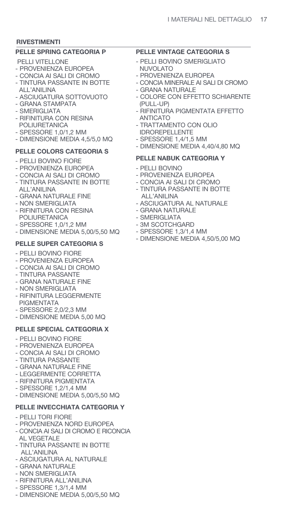## **PELLE SPRING CATEGORIA P**

- PELLI VITELLONE
- PROVENIENZA EUROPEA
- CONCIA AI SALI DI CROMO - TINTURA PASSANTE IN BOTTE
- ALL'ANILINA
- ASCIUGATURA SOTTOVUOTO - GRANA STAMPATA
- SMERIGLIATA
- RIFINITURA CON RESINA POLIURETANICA
- SPESSORE 1,0/1,2 MM
- DIMENSIONE MEDIA 4,5/5,0 MQ

# **PELLE COLORS CATEGORIA S**

- PELLI BOVINO FIORE
- PROVENIENZA EUROPEA
- CONCIA AI SALI DI CROMO
- TINTURA PASSANTE IN BOTTE ALL'ANILINA
- GRANA NATURALE FINE
- NON SMERIGLIATA
- RIFINITURA CON RESINA POLIURETANICA
- SPESSORE 1,0/1,2 MM
- DIMENSIONE MEDIA 5,00/5,50 MQ

# **PELLE SUPER CATEGORIA S**

- PELLI BOVINO FIORE
- PROVENIENZA EUROPEA
- CONCIA AI SALI DI CROMO
- TINTURA PASSANTE
- GRANA NATURALE FINE
- NON SMERIGLIATA
- RIFINITURA LEGGERMENTE PIGMENTATA
- SPESSORE 2,0/2,3 MM
- DIMENSIONE MEDIA 5,00 MQ

# **PELLE SPECIAL CATEGORIA X**

- PELLI BOVINO FIORE
- PROVENIENZA EUROPEA
- CONCIA AI SALI DI CROMO
- TINTURA PASSANTE
- GRANA NATURALE FINE
- LEGGERMENTE CORRETTA
- RIFINITURA PIGMENTATA
- SPESSORE 1,2/1,4 MM
- DIMENSIONE MEDIA 5,00/5,50 MQ

# **PELLE INVECCHIATA CATEGORIA Y**

- PELLI TORI FIORE
- PROVENIENZA NORD EUROPEA
- CONCIA AI SALI DI CROMO E RICONCIA AL VEGETALE
- TINTURA PASSANTE IN BOTTE ALL'ANILINA
- ASCIUGATURA AL NATURALE
- GRANA NATURALE
- NON SMERIGLIATA
- RIFINITURA ALL'ANILINA
- SPESSORE 1,3/1,4 MM
- DIMENSIONE MEDIA 5,00/5,50 MQ

# **PELLE VINTAGE CATEGORIA S**

- PELLI BOVINO SMERIGLIATO NUVOLATO
- PROVENIENZA EUROPEA
- CONCIA MINERALE AI SALI DI CROMO
- GRANA NATURALE
- COLORE CON EFFETTO SCHIARENTE (PULL-UP)
- RIFINITURA PIGMENTATA EFFETTO ANTICATO
- TRATTAMENTO CON OLIO IDROREPELLENTE
- SPESSORE 1,4/1,5 MM
- DIMENSIONE MEDIA 4,40/4,80 MQ

# **PELLE NABUK CATEGORIA Y**

- PELLI BOVINO
- PROVENIENZA EUROPEA
- CONCIA AI SALI DI CROMO
- TINTURA PASSANTE IN BOTTE ALL'ANILINA
- ASCIUGATURA AL NATURALE
- GRANA NATURALE
- SMERIGI IATA
- 3M SCOTCHGARD
- SPESSORE 1,3/1,4 MM
- DIMENSIONE MEDIA 4,50/5,00 MQ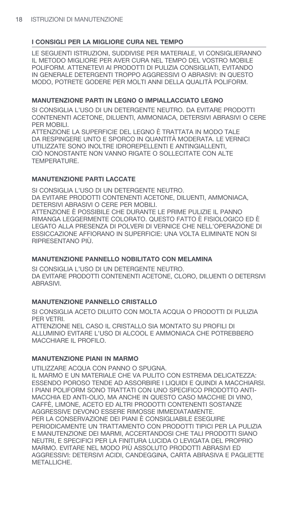LE SEGUENTI ISTRUZIONI. SUDDIVISE PER MATERIALE. VI CONSIGLIERANNO IL METODO MIGLIORE PER AVER CURA NEL TEMPO DEL VOSTRO MOBILE POLIFORM. ATTENETEVI AI PRODOTTI DI PULIZIA CONSIGLIATI. EVITANDO IN GENERALE DETERGENTI TROPPO AGGRESSIVI O ABRASIVI: IN QUESTO MODO. POTRETE GODERE PER MOLTI ANNI DELLA QUALITÀ POLIFORM.

## MANUTENZIONE PARTI IN LEGNO O IMPIALLACCIATO LEGNO

SI CONSIGLIA L'USO DI UN DETERGENTE NEUTRO. DA EVITARE PRODOTTI CONTENENTI ACETONE, DILUENTI, AMMONIACA, DETERSIVI ABRASIVI O CERE PER MOBILI.

ATTENZIONE LA SUPERFICIE DEL LEGNO È TRATTATA IN MODO TALE DA RESPINGERE UNTO E SPORCO IN QUANTITÀ MODERATA. LE VERNICI UTILIZZATE SONO INOLTRE IDROREPELLENTI E ANTINGIALLENTI, CIÒ NONOSTANTE NON VANNO RIGATE O SOLLECITATE CON ALTE TEMPERATURE.

## **MANUTENZIONE PARTI LACCATE**

SI CONSIGLIA L'USO DI UN DETERGENTE NEUTRO. DA EVITARE PRODOTTI CONTENENTI ACETONE, DILUENTI, AMMONIACA. DETERSIVI ABRASIVI O CERE PER MOBILI. ATTENZIONE È POSSIBILE CHE DURANTE LE PRIME PULIZIE IL PANNO RIMANGA LEGGERMENTE COLORATO. QUESTO FATTO È FISIOLOGICO ED È LEGATO ALLA PRESENZA DI POLVERI DI VERNICE CHE NELL'OPERAZIONE DI ESSICCAZIONE AFFIORANO IN SUPERFICIE: UNA VOLTA ELIMINATE NON SI RIPRESENTANO PIÙ.

# **MANUTENZIONE PANNELLO NOBILITATO CON MELAMINA**

SI CONSIGLIA L'USO DI UN DETERGENTE NEUTRO. DA EVITARE PRODOTTI CONTENENTI ACETONE, CLORO, DILUENTI O DETERSIVI ABRASIVI.

# MANUTENZIONE PANNELLO CRISTALLO

SI CONSIGLIA ACETO DILUITO CON MOLTA ACQUA O PRODOTTI DI PULIZIA PER VETRI. ATTENZIONE NEL CASO IL CRISTALLO SIA MONTATO SU PROFILI DI ALLUMINIO EVITARE L'USO DI ALCOOL E AMMONIACA CHE POTREBBERO MACCHIARE IL PROFILO.

# **MANUTENZIONE PIANI IN MARMO**

UTILIZZARE ACQUA CON PANNO O SPUGNA. IL MARMO E UN MATERIALE CHE VA PULITO CON ESTREMA DELICATEZZA: ESSENDO POROSO TENDE AD ASSORBIRE I LIQUIDI E QUINDI A MACCHIARSI. I PIANI POLIFORM SONO TRATTATI CON UNO SPECIFICO PRODOTTO ANTI-MACCHIA ED ANTI-OLIO, MA ANCHE IN QUESTO CASO MACCHIE DI VINO, CAFFÈ, LIMONE, ACETO ED ALTRI PRODOTTI CONTENENTI SOSTANZE AGGRESSIVE DEVONO ESSERE RIMOSSE IMMEDIATAMENTE. PER LA CONSERVAZIONE DEI PIANI È CONSIGLIABILE ESEGUIRE PERIODICAMENTE UN TRATTAMENTO CON PRODOTTI TIPICI PER LA PULIZIA E MANUTENZIONE DEI MARMI, ACCERTANDOSI CHE TALI PRODOTTI SIANO NEUTRI, E SPECIFICI PER LA FINITURA LUCIDA O LEVIGATA DEL PROPRIO MARMO. EVITARE NEL MODO PIÙ ASSOLUTO PRODOTTI ABRASIVI ED AGGRESSIVI: DETERSIVI ACIDI. CANDEGGINA, CARTA ABRASIVA E PAGLIETTE METALLICHE.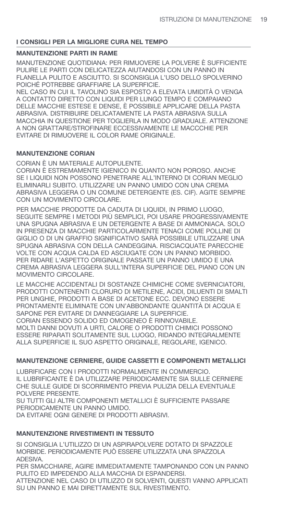## **MANUTENZIONE PARTI IN RAME**

MANUTENZIONE QUOTIDIANA: PER RIMUOVERE LA POLVERE È SUFFICIENTE PULIRE LE PARTI CON DELICATEZZA AIUTANDOSI CON UN PANNO IN FLANELLA PULITO E ASCIUTTO. SI SCONSIGLIA L'USO DELLO SPOLVERINO POICHÉ POTREBBE GRAFFIARE LA SUPERFICIE.

NEL CASO IN CUI IL TAVOLINO SIA ESPOSTO A ELEVATA UMIDITÀ O VENGA A CONTATTO DIRETTO CON LIQUIDI PER LUNGO TEMPO E COMPAIANO DELLE MACCHIE ESTESE E DENSE, È POSSIBILE APPLICARE DELLA PASTA ABRASIVA. DISTRIBUIRE DELICATAMENTE LA PASTA ABRASIVA SULLA MACCHIA IN OUESTIONE PER TOGLIERLA IN MODO GRADUALE, ATTENZIONE A NON GRATTARE/STROFINARE ECCESSIVAMENTE LE MACCCHIE PER EVITARE DI RIMUOVERE IL COLOR RAME ORIGINALE.

# **MANUTENZIONE CORIAN**

CORIAN È UN MATERIALE AUTOPULENTE. CORIAN È ESTREMAMENTE IGIENICO IN QUANTO NON POROSO, ANCHE SE I LIQUIDI NON POSSONO PENETRARE ALL'INTERNO DI CORIAN MEGLIO ELIMINARLI SUBITO. UTILIZZARE UN PANNO UMIDO CON UNA CREMA ABRASIVA LEGGERA O UN COMUNE DETERGENTE (ES. CIF). AGITE SEMPRE CON UN MOVIMENTO CIRCOLARE.

PER MACCHIE PRODOTTE DA CADUTA DI LIQUIDI, IN PRIMO LUOGO, SEGUITE SEMPRE I METODI PIÙ SEMPLICI, POI USARE PROGRESSIVAMENTE UNA SPUGNA ABRASIVA E UN DETERGENTE A BASE DI AMMONIACA, SOLO IN PRESENZA DI MACCHIE PARTICOI ARMENTE TENACI COME POLLINE DI GIGLIO O DI UN GRAFFIO SIGNIFICATIVO SARÀ POSSIBILE UTILIZZARE UNA SPUGNA ABRASIVA CON DELLA CANDEGGINA. RISCIACQUATE PARECCHIE VOLTE CON ACQUA CALDA ED ASCIUGATE CON UN PANNO MORBIDO. PER RIDARE L'ASPETTO ORIGINALE PASSATE UN PANNO UMIDO E UNA CREMA ABRASIVA LEGGERA SULL'INTERA SUPERFICIE DEL PIANO CON UN MOVIMENTO CIRCOLARE.

LE MACCHIE ACCIDENTALI DI SOSTANZE CHIMICHE COME SVERNICIATORI, PRODOTTI CONTENENTI CLORURO DI METILENE, ACIDI, DILUENTI DI SMALTI PER UNGHIE. PRODOTTI A BASE DI ACETONE ECC. DEVONO ESSERE PRONTAMENTE ELIMINATE CON UN'ABBONDANTE QUANTITÀ DI ACQUA E SAPONE PER EVITARE DI DANNEGGIARE LA SUPERFICIE. CORIAN ESSENDO SOLIDO ED OMOGENEO È RINNOVABILE. MOLTI DANNI DOVUTI A URTI, CALORE O PRODOTTI CHIMICI POSSONO ESSERE RIPARATI SOLITAMENTE SUL LUOGO, RIDANDO INTEGRALMENTE ALLA SUPERFICIE IL SUO ASPETTO ORIGINALE, REGOLARE, IGENICO.

# **MANUTENZIONE CERNIERE. GUIDE CASSETTI E COMPONENTI METALLICI**

LUBRIFICARE CON I PRODOTTI NORMALMENTE IN COMMERCIO. IL LUBRIFICANTE È DA UTILIZZARE PERIODICAMENTE SIA SULLE CERNIERE CHE SULLE GUIDE DI SCORRIMENTO PREVIA PULIZIA DELLA EVENTUALE POLVERE PRESENTE.

SU TUTTI GLI ALTRI COMPONENTI METALLICI È SUFFICIENTE PASSARE PERIODICAMENTE UN PANNO UMIDO.

DA EVITARE OGNI GENERE DI PRODOTTI ABRASIVI.

# MANUTENZIONE RIVESTIMENTI IN TESSUTO

SI CONSIGLIA L'UTILIZZO DI UN ASPIRAPOLVERE DOTATO DI SPAZZOLE MORBIDE, PERIODICAMENTE PUÒ ESSERE UTILIZZATA UNA SPAZZOLA ADESIVA.

PER SMACCHIARE, AGIRE IMMEDIATAMENTE TAMPONANDO CON UN PANNO PULITO ED IMPEDENDO ALLA MACCHIA DI ESPANDERSI. ATTENZIONE NEL CASO DI UTILIZZO DI SOLVENTI. QUESTI VANNO APPLICATI SU UN PANNO E MAI DIRETTAMENTE SUL RIVESTIMENTO.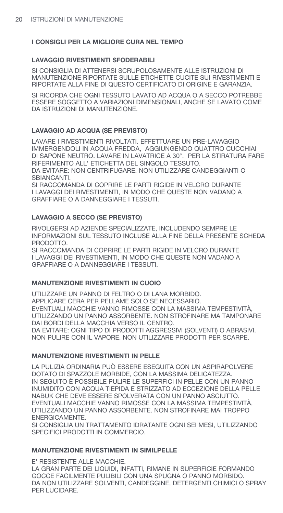#### **LAVAGGIO RIVESTIMENTI SFODERABILI**

SI CONSIGLIA DI ATTENERSI SCRUPOLOSAMENTE ALLE ISTRUZIONI DI MANUTENZIONE RIPORTATE SULLE ETICHETTE CUCITE SUI RIVESTIMENTI E RIPORTATE ALLA FINE DI QUESTO CERTIFICATO DI ORIGINE E GARANZIA.

SI RICORDA CHE OGNI TESSUTO LAVATO AD ACQUA O A SECCO POTREBBE ESSERE SOGGETTO A VARIAZIONI DIMENSIONALI, ANCHE SE LAVATO COME DA ISTRUZIONI DI MANUTENZIONE.

## **LAVAGGIO AD ACQUA (SE PREVISTO)**

LAVARE I RIVESTIMENTI RIVOLTATI. EFFETTUARE UN PRE-LAVAGGIO IMMERGENDOLI IN ACQUA FREDDA, AGGIUNGENDO QUATTRO CUCCHIAI DI SAPONE NEUTRO. LAVARE IN LAVATRICE A 30°. PER LA STIRATURA FARE RIFERIMENTO ALL' ETICHETTA DEL SINGOLO TESSUTO. DA EVITARE: NON CENTRIFUGARE. NON UTILIZZARE CANDEGGIANTI O SBIANCANTI.

SI RACCOMANDA DI COPRIRE LE PARTI RIGIDE IN VELCRO DURANTE I LAVAGGI DEI RIVESTIMENTI, IN MODO CHE QUESTE NON VADANO A GRAFFIARE O A DANNEGGIARE I TESSUTI.

## **LAVAGGIO A SECCO (SE PREVISTO)**

RIVOLGERSI AD AZIENDE SPECIALIZZATE, INCLUDENDO SEMPRE LE INFORMAZIONI SUL TESSUTO INCLUSE ALLA FINE DELLA PRESENTE SCHEDA PRODOTTO.

SI RACCOMANDA DI COPRIRE LE PARTI RIGIDE IN VELCRO DURANTE I LAVAGGI DEI RIVESTIMENTI, IN MODO CHE QUESTE NON VADANO A GRAFFIARE O A DANNEGGIARE I TESSUTI.

## **MANUTENZIONE RIVESTIMENTI IN CUOIO**

UTILIZZARE UN PANNO DI FELTRO O DI LANA MORBIDO. APPLICARE CERA PER PELLAME SOLO SE NECESSARIO. EVENTUALI MACCHIE VANNO RIMOSSE CON LA MASSIMA TEMPESTIVITÀ, UTILIZZANDO UN PANNO ASSORBENTE. NON STROFINARE MA TAMPONARE DAI BORDI DELLA MACCHIA VERSO IL CENTRO. DA EVITARE: OGNI TIPO DI PRODOTTI AGGRESSIVI (SOLVENTI) O ABRASIVI. NON PULIRE CON IL VAPORE. NON UTILIZZARE PRODOTTI PER SCARPE.

#### **MANUTENZIONE RIVESTIMENTI IN PELLE**

LA PULIZIA ORDINARIA PUÒ ESSERE ESEGUITA CON UN ASPIRAPOLVERE DOTATO DI SPAZZOLE MORBIDE, CON LA MASSIMA DELICATEZZA. IN SEGUITO È POSSIBILE PULIRE LE SUPERFICI IN PELLE CON UN PANNO INUMIDITO CON ACQUA TIEPIDA E STRIZZATO AD ECCEZIONE DELLA PELLE NABUK CHE DEVE ESSERE SPOLVERATA CON UN PANNO ASCIUTTO. EVENTUALI MACCHIE VANNO RIMOSSE CON LA MASSIMA TEMPESTIVITÀ, UTILIZZANDO UN PANNO ASSORBENTE. NON STROFINARE MAI TROPPO ENERGICAMENTE.

SI CONSIGLIA UN TRATTAMENTO IDRATANTE OGNI SEI MESI, UTILIZZANDO SPECIFICI PRODOTTI IN COMMERCIO.

## **MANUTENZIONE RIVESTIMENTI IN SIMILPELLE**

E' RESISTENTE ALLE MACCHIE. LA GRAN PARTE DEI LIQUIDI, INFATTI, RIMANE IN SUPERFICIE FORMANDO GOCCE FACILMENTE PULIBILI CON UNA SPUGNA O PANNO MORBIDO. DA NON UTILIZZARE SOLVENTI, CANDEGGINE, DETERGENTI CHIMICI O SPRAY PER LUCIDARE.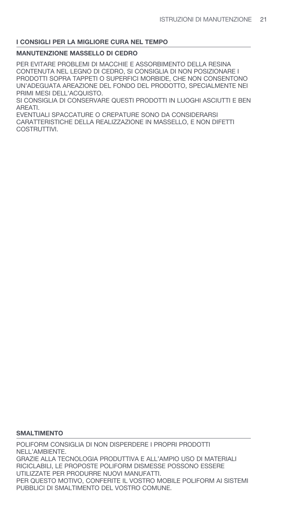#### **MANUTENZIONE MASSELLO DI CEDRO**

PER EVITARE PROBLEMI DI MACCHIE E ASSORBIMENTO DELLA RESINA CONTENUTA NEL LEGNO DI CEDRO, SI CONSIGLIA DI NON POSIZIONARE I PRODOTTI SOPRA TAPPETI O SUPERFICI MORBIDE, CHE NON CONSENTONO UN'ADEGUATA AREAZIONE DEL FONDO DEL PRODOTTO, SPECIALMENTE NEI PRIMI MESI DELL'ACQUISTO.

SI CONSIGLIA DI CONSERVARE QUESTI PRODOTTI IN LUOGHI ASCIUTTI E BEN AREATI.

EVENTUALI SPACCATURE O CREPATURE SONO DA CONSIDERARSI CARATTERISTICHE DELLA REALIZZAZIONE IN MASSELLO, E NON DIFETTI COSTRUTTIVI.

#### **SMALTIMENTO**

POLIFORM CONSIGLIA DI NON DISPERDERE I PROPRI PRODOTTI NELL'AMBIENTE. GRAZIE ALLA TECNOLOGIA PRODUTTIVA E ALL'AMPIO USO DI MATERIALI RICICLABILI, LE PROPOSTE POLIFORM DISMESSE POSSONO ESSERE UTILIZZATE PER PRODURRE NUOVI MANUFATTI. PER QUESTO MOTIVO, CONFERITE IL VOSTRO MOBILE POLIFORM AI SISTEMI PUBBLICI DI SMALTIMENTO DEL VOSTRO COMUNE.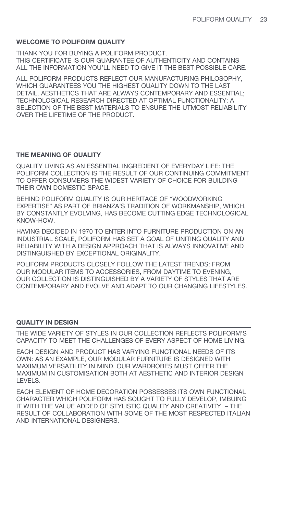## **WELCOME TO POLIFORM QUALITY**

THANK YOU FOR BUYING A POLIFORM PRODUCT. THIS CERTIFICATE IS OUR GUARANTEE OF AUTHENTICITY AND CONTAINS ALL THE INFORMATION YOU'LL NEED TO GIVE IT THE BEST POSSIBLE CARE.

ALL POLIFORM PRODUCTS REFLECT OUR MANUFACTURING PHILOSOPHY, WHICH GUARANTEES YOU THE HIGHEST QUALITY DOWN TO THE LAST DETAIL. AESTHETICS THAT ARE ALWAYS CONTEMPORARY AND ESSENTIAL; TECHNOLOGICAL RESEARCH DIRECTED AT OPTIMAL FUNCTIONALITY; A SELECTION OF THE BEST MATERIALS TO ENSURE THE UTMOST RELIABILITY OVER THE LIFETIME OF THE PRODUCT.

## **THE MEANING OF QUALITY**

QUALITY LIVING AS AN ESSENTIAL INGREDIENT OF EVERYDAY LIFE: THE POLIFORM COLLECTION IS THE RESULT OF OUR CONTINUING COMMITMENT TO OFFER CONSUMERS THE WIDEST VARIETY OF CHOICE FOR BUILDING THEIR OWN DOMESTIC SPACE.

BEHIND POLIFORM QUALITY IS OUR HERITAGE OF "WOODWORKING EXPERTISE" AS PART OF BRIANZA'S TRADITION OF WORKMANSHIP, WHICH, BY CONSTANTLY EVOLVING, HAS BECOME CUTTING EDGE TECHNOLOGICAL KNOW-HOW.

HAVING DECIDED IN 1970 TO ENTER INTO FURNITURE PRODUCTION ON AN INDUSTRIAL SCALE, POLIFORM HAS SET A GOAL OF UNITING QUALITY AND RELIABILITY WITH A DESIGN APPROACH THAT IS ALWAYS INNOVATIVE AND DISTINGUISHED BY EXCEPTIONAL ORIGINALITY.

POLIFORM PRODUCTS CLOSELY FOLLOW THE LATEST TRENDS: FROM OUR MODULAR ITEMS TO ACCESSORIES, FROM DAYTIME TO EVENING, OUR COLLECTION IS DISTINGUISHED BY A VARIETY OF STYLES THAT ARE CONTEMPORARY AND EVOLVE AND ADAPT TO OUR CHANGING LIFESTYLES.

## **QUALITY IN DESIGN**

THE WIDE VARIETY OF STYLES IN OUR COLLECTION REFLECTS POLIFORM'S CAPACITY TO MEET THE CHALLENGES OF EVERY ASPECT OF HOME LIVING.

EACH DESIGN AND PRODUCT HAS VARYING FUNCTIONAL NEEDS OF ITS OWN: AS AN EXAMPLE, OUR MODULAR FURNITURE IS DESIGNED WITH MAXIMUM VERSATILITY IN MIND. OUR WARDROBES MUST OFFER THE MAXIMUM IN CUSTOMISATION BOTH AT AESTHETIC AND INTERIOR DESIGN LEVELS.

EACH ELEMENT OF HOME DECORATION POSSESSES ITS OWN FUNCTIONAL CHARACTER WHICH POLIFORM HAS SOUGHT TO FULLY DEVELOP, IMBUING IT WITH THE VALUE ADDED OF STYLISTIC QUALITY AND CREATIVITY – THE RESULT OF COLLABORATION WITH SOME OF THE MOST RESPECTED ITALIAN AND INTERNATIONAL DESIGNERS.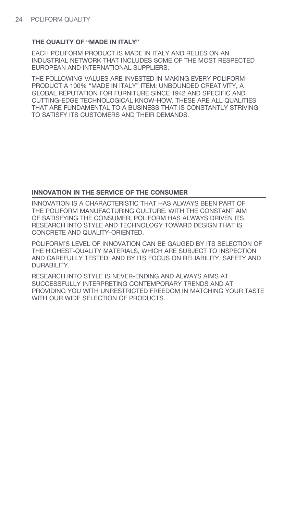## **THE QUALITY OF "MADE IN ITALY"**

EACH POLIFORM PRODUCT IS MADE IN ITALY AND RELIES ON AN INDUSTRIAL NETWORK THAT INCLUDES SOME OF THE MOST RESPECTED EUROPEAN AND INTERNATIONAL SUPPLIERS.

THE FOLLOWING VALUES ARE INVESTED IN MAKING EVERY POLIFORM PRODUCT A 100% "MADE IN ITALY" ITEM: UNBOUNDED CREATIVITY, A GLOBAL REPUTATION FOR FURNITURE SINCE 1942 AND SPECIFIC AND CUTTING-EDGE TECHNOLOGICAL KNOW-HOW. THESE ARE ALL QUALITIES THAT ARE FUNDAMENTAL TO A BUSINESS THAT IS CONSTANTLY STRIVING TO SATISFY ITS CUSTOMERS AND THEIR DEMANDS.

## **INNOVATION IN THE SERVICE OF THE CONSUMER**

INNOVATION IS A CHARACTERISTIC THAT HAS ALWAYS BEEN PART OF THE POLIFORM MANUFACTURING CULTURE. WITH THE CONSTANT AIM OF SATISFYING THE CONSUMER, POLIFORM HAS ALWAYS DRIVEN ITS RESEARCH INTO STYLE AND TECHNOLOGY TOWARD DESIGN THAT IS CONCRETE AND QUALITY-ORIENTED.

POLIFORM'S LEVEL OF INNOVATION CAN BE GAUGED BY ITS SELECTION OF THE HIGHEST-QUALITY MATERIALS, WHICH ARE SUBJECT TO INSPECTION AND CAREFULLY TESTED, AND BY ITS FOCUS ON RELIABILITY, SAFETY AND DURABILITY.

RESEARCH INTO STYLE IS NEVER-ENDING AND ALWAYS AIMS AT SUCCESSFULLY INTERPRETING CONTEMPORARY TRENDS AND AT PROVIDING YOU WITH UNRESTRICTED FREEDOM IN MATCHING YOUR TASTE WITH OUR WIDE SELECTION OF PRODUCTS.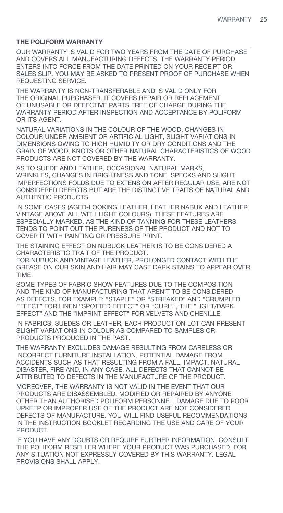# **THE POLIFORM WARRANTY**

OUR WARRANTY IS VALID FOR TWO YEARS FROM THE DATE OF PURCHASE AND COVERS ALL MANUFACTURING DEFECTS. THE WARRANTY PERIOD ENTERS INTO FORCE FROM THE DATE PRINTED ON YOUR RECEIPT OR SALES SLIP. YOU MAY BE ASKED TO PRESENT PROOF OF PURCHASE WHEN REQUESTING SERVICE.

THE WARRANTY IS NON-TRANSFERABLE AND IS VALID ONLY FOR THE ORIGINAL PURCHASER. IT COVERS REPAIR OR REPLACEMENT OF UNUSABLE OR DEFECTIVE PARTS FREE OF CHARGE DURING THE WARRANTY PERIOD AFTER INSPECTION AND ACCEPTANCE BY POLIFORM OR ITS AGENT.

NATURAL VARIATIONS IN THE COLOUR OF THE WOOD, CHANGES IN COLOUR UNDER AMBIENT OR ARTIFICIAL LIGHT, SLIGHT VARIATIONS IN DIMENSIONS OWING TO HIGH HUMIDITY OR DRY CONDITIONS AND THE GRAIN OF WOOD, KNOTS OR OTHER NATURAL CHARACTERISTICS OF WOOD PRODUCTS ARE NOT COVERED BY THE WARRANTY.

AS TO SUEDE AND LEATHER, OCCASIONAL NATURAL MARKS, WRINKLES, CHANGES IN BRIGHTNESS AND TONE, SPECKS AND SLIGHT IMPERFECTIONS FOLDS DUE TO EXTENSION AFTER REGULAR USE, ARE NOT CONSIDERED DEFECTS BUT ARE THE DISTINCTIVE TRAITS OF NATURAL AND AUTHENTIC PRODUCTS.

IN SOME CASES (AGED-LOOKING LEATHER, LEATHER NABUK AND LEATHER VINTAGE ABOVE ALL WITH LIGHT COLOURS), THESE FEATURES ARE ESPECIALLY MARKED, AS THE KIND OF TANNING FOR THESE LEATHERS TENDS TO POINT OUT THE PURENESS OF THE PRODUCT AND NOT TO COVER IT WITH PAINTING OR PRESSURE PRINT.

THE STAINING EFFECT ON NUBUCK LEATHER IS TO BE CONSIDERED A CHARACTERISTIC TRAIT OF THE PRODUCT.

FOR NUBUCK AND VINTAGE LEATHER, PROLONGED CONTACT WITH THE GREASE ON OUR SKIN AND HAIR MAY CASE DARK STAINS TO APPEAR OVER TIME.

SOME TYPES OF FABRIC SHOW FEATURES DUE TO THE COMPOSITION AND THE KIND OF MANUFACTURING THAT AREN'T TO BE CONSIDERED AS DEFECTS. FOR EXAMPLE: "STAPLE" OR "STREAKED" AND "CRUMPLED EFFECT" FOR LINEN "SPOTTED EFFECT" OR "CURL" , THE "LIGHT/DARK EFFECT" AND THE "IMPRINT EFFECT" FOR VELVETS AND CHENILLE.

IN FABRICS, SUEDES OR LEATHER, EACH PRODUCTION LOT CAN PRESENT SLIGHT VARIATIONS IN COLOUR AS COMPARED TO SAMPLES OR PRODUCTS PRODUCED IN THE PAST.

THE WARRANTY EXCLUDES DAMAGE RESULTING FROM CARELESS OR INCORRECT FURNITURE INSTALLATION, POTENTIAL DAMAGE FROM ACCIDENTS SUCH AS THAT RESULTING FROM A FALL, IMPACT, NATURAL DISASTER, FIRE AND, IN ANY CASE, ALL DEFECTS THAT CANNOT BE ATTRIBUTED TO DEFECTS IN THE MANUFACTURE OF THE PRODUCT.

MOREOVER, THE WARRANTY IS NOT VALID IN THE EVENT THAT OUR PRODUCTS ARE DISASSEMBLED, MODIFIED OR REPAIRED BY ANYONE OTHER THAN AUTHORISED POLIFORM PERSONNEL. DAMAGE DUE TO POOR UPKEEP OR IMPROPER USE OF THE PRODUCT ARE NOT CONSIDERED DEFECTS OF MANUFACTURE. YOU WILL FIND USEFUL RECOMMENDATIONS IN THE INSTRUCTION BOOKLET REGARDING THE USE AND CARE OF YOUR PRODUCT.

IF YOU HAVE ANY DOUBTS OR REQUIRE FURTHER INFORMATION, CONSULT THE POLIFORM RESELLER WHERE YOUR PRODUCT WAS PURCHASED. FOR ANY SITUATION NOT EXPRESSLY COVERED BY THIS WARRANTY. LEGAL PROVISIONS SHALL APPLY.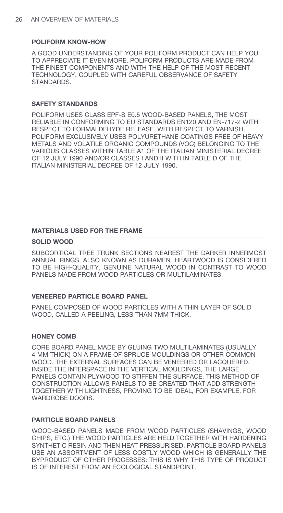## **POLIFORM KNOW-HOW**

A GOOD UNDERSTANDING OF YOUR POLIFORM PRODUCT CAN HELP YOU TO APPRECIATE IT EVEN MORE. POLIFORM PRODUCTS ARE MADE FROM THE FINEST COMPONENTS AND WITH THE HELP OF THE MOST RECENT TECHNOLOGY, COUPLED WITH CAREFUL OBSERVANCE OF SAFETY STANDARDS.

## **SAFETY STANDARDS**

POLIFORM USES CLASS EPF-S E0.5 WOOD-BASED PANELS, THE MOST RELIABLE IN CONFORMING TO EU STANDARDS EN120 AND EN-717-2 WITH RESPECT TO FORMALDEHYDE RELEASE. WITH RESPECT TO VARNISH, POLIFORM EXCLUSIVELY USES POLYURETHANE COATINGS FREE OF HEAVY METALS AND VOLATILE ORGANIC COMPOUNDS (VOC) BELONGING TO THE VARIOUS CLASSES WITHIN TABLE A1 OF THE ITALIAN MINISTERIAL DECREE OF 12 JULY 1990 AND/OR CLASSES I AND II WITH IN TABLE D OF THE ITALIAN MINISTERIAL DECREE OF 12 JULY 1990.

## **MATERIALS USED FOR THE FRAME**

#### **SOLID WOOD**

SUBCORTICAL TREE TRUNK SECTIONS NEAREST THE DARKER INNERMOST ANNUAL RINGS, ALSO KNOWN AS DURAMEN. HEARTWOOD IS CONSIDERED TO BE HIGH-QUALITY, GENUINE NATURAL WOOD IN CONTRAST TO WOOD PANELS MADE FROM WOOD PARTICLES OR MULTILAMINATES.

#### **VENEERED PARTICLE BOARD PANEL**

PANEL COMPOSED OF WOOD PARTICLES WITH A THIN LAYER OF SOLID WOOD, CALLED A PEELING, LESS THAN 7MM THICK.

#### **HONEY COMB**

CORE BOARD PANEL MADE BY GLUING TWO MULTILAMINATES (USUALLY 4 MM THICK) ON A FRAME OF SPRUCE MOULDINGS OR OTHER COMMON WOOD. THE EXTERNAL SURFACES CAN BE VENEERED OR LACQUERED. INSIDE THE INTERSPACE IN THE VERTICAL MOULDINGS, THE LARGE PANELS CONTAIN PLYWOOD TO STIFFEN THE SURFACE. THIS METHOD OF CONSTRUCTION ALLOWS PANELS TO BE CREATED THAT ADD STRENGTH TOGETHER WITH LIGHTNESS, PROVING TO BE IDEAL, FOR EXAMPLE, FOR WARDROBE DOORS.

# **PARTICLE BOARD PANELS**

WOOD-BASED PANELS MADE FROM WOOD PARTICLES (SHAVINGS, WOOD CHIPS, ETC.) THE WOOD PARTICLES ARE HELD TOGETHER WITH HARDENING SYNTHETIC RESIN AND THEN HEAT PRESSURISED. PARTICLE BOARD PANELS USE AN ASSORTMENT OF LESS COSTLY WOOD WHICH IS GENERALLY THE BYPRODUCT OF OTHER PROCESSES: THIS IS WHY THIS TYPE OF PRODUCT IS OF INTEREST FROM AN ECOLOGICAL STANDPOINT.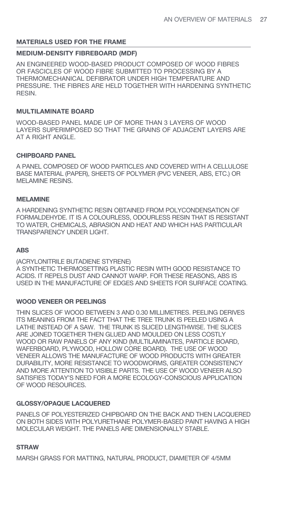## **MATERIALS USED FOR THE FRAME**

#### **MEDIUM-DENSITY FIBREBOARD (MDF)**

AN ENGINEERED WOOD-BASED PRODUCT COMPOSED OF WOOD FIBRES OR FASCICLES OF WOOD FIBRE SUBMITTED TO PROCESSING BY A THERMOMECHANICAL DEFIBRATOR UNDER HIGH TEMPERATURE AND PRESSURE. THE FIBRES ARE HELD TOGETHER WITH HARDENING SYNTHETIC RESIN.

## **MULTILAMINATE BOARD**

WOOD-BASED PANEL MADE UP OF MORE THAN 3 LAYERS OF WOOD LAYERS SUPERIMPOSED SO THAT THE GRAINS OF ADJACENT LAYERS ARE AT A RIGHT ANGLE.

#### **CHIPBOARD PANEL**

A PANEL COMPOSED OF WOOD PARTICLES AND COVERED WITH A CELLULOSE BASE MATERIAL (PAPER), SHEETS OF POLYMER (PVC VENEER, ABS, ETC.) OR MELAMINE RESINS.

#### **MELAMINE**

A HARDENING SYNTHETIC RESIN OBTAINED FROM POLYCONDENSATION OF FORMALDEHYDE. IT IS A COLOURLESS, ODOURLESS RESIN THAT IS RESISTANT TO WATER, CHEMICALS, ABRASION AND HEAT AND WHICH HAS PARTICULAR TRANSPARENCY UNDER LIGHT.

#### **ABS**

(ACRYLONITRILE BUTADIENE STYRENE) A SYNTHETIC THERMOSETTING PLASTIC RESIN WITH GOOD RESISTANCE TO ACIDS. IT REPELS DUST AND CANNOT WARP. FOR THESE REASONS, ABS IS USED IN THE MANUFACTURE OF EDGES AND SHEETS FOR SURFACE COATING.

#### **WOOD VENEER OR PEELINGS**

THIN SLICES OF WOOD BETWEEN 3 AND 0.30 MILLIMETRES. PEELING DERIVES ITS MEANING FROM THE FACT THAT THE TREE TRUNK IS PEELED USING A LATHE INSTEAD OF A SAW. THE TRUNK IS SLICED LENGTHWISE. THE SLICES ARE JOINED TOGETHER THEN GLUED AND MOULDED ON LESS COSTLY WOOD OR RAW PANELS OF ANY KIND (MULTILAMINATES, PARTICLE BOARD, WAFERBOARD, PLYWOOD, HOLLOW CORE BOARD). THE USE OF WOOD VENEER ALLOWS THE MANUFACTURE OF WOOD PRODUCTS WITH GREATER DURABILITY, MORE RESISTANCE TO WOODWORMS, GREATER CONSISTENCY AND MORE ATTENTION TO VISIBLE PARTS. THE USE OF WOOD VENEER ALSO SATISFIES TODAY'S NEED FOR A MORE ECOLOGY-CONSCIOUS APPLICATION OF WOOD RESOURCES.

## **GLOSSY/OPAQUE LACQUERED**

PANELS OF POLYESTERIZED CHIPBOARD ON THE BACK AND THEN LACQUERED ON BOTH SIDES WITH POLYURETHANE POLYMER-BASED PAINT HAVING A HIGH MOLECULAR WEIGHT. THE PANELS ARE DIMENSIONALLY STABLE.

#### **STRAW**

MARSH GRASS FOR MATTING, NATURAL PRODUCT, DIAMETER OF 4/5MM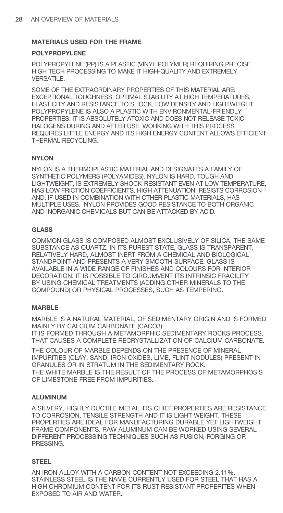## **MATERIALS USED FOR THE FRAME**

#### **POLYPROPYLENE**

POLYPROPYLENE (PP) IS A PLASTIC (VINYL POLYMER) REQUIRING PRECISE HIGH TECH PROCESSING TO MAKE IT HIGH-QUALITY AND EXTREMELY VERSATILE.

SOME OF THE EXTRAORDINARY PROPERTIES OF THIS MATERIAL ARE: EXCEPTIONAL TOUGHNESS, OPTIMAL STABILITY AT HIGH TEMPERATURES, ELASTICITY AND RESISTANCE TO SHOCK, LOW DENSITY AND LIGHTWEIGHT. POLYPROPYLENE IS ALSO A PLASTIC WITH ENVIRONMENTAL-FRIENDLY PROPERTIES. IT IS ABSOLUTELY ATOXIC AND DOES NOT RELEASE TOXIC HALOGENS DURING AND AFTER USE. WORKING WITH THIS PROCESS REQUIRES LITTLE ENERGY AND ITS HIGH ENERGY CONTENT ALLOWS EFFICIENT THERMAL RECYCLING.

## **NYLON**

NYLON IS A THERMOPLASTIC MATERIAL AND DESIGNATES A FAMILY OF SYNTHETIC POLYMERS (POLYAMIDES). NYLON IS HARD, TOUGH AND LIGHTWEIGHT, IS EXTREMELY SHOCK-RESISTANT EVEN AT LOW TEMPERATURE, HAS LOW FRICTION COEFFICIENTS, HIGH ATTENUATION, RESISTS CORROSION AND, IF USED IN COMBINATION WITH OTHER PLASTIC MATERIALS, HAS MULTIPLE USES. NYLON PROVIDES GOOD RESISTANCE TO BOTH ORGANIC AND INORGANIC CHEMICALS BUT CAN BE ATTACKED BY ACID.

## **GLASS**

COMMON GLASS IS COMPOSED ALMOST EXCLUSIVELY OF SILICA, THE SAME SUBSTANCE AS QUARTZ. IN ITS PUREST STATE, GLASS IS TRANSPARENT, RELATIVELY HARD, ALMOST INERT FROM A CHEMICAL AND BIOLOGICAL STANDPOINT AND PRESENTS A VERY SMOOTH SURFACE. GLASS IS AVAILABLE IN A WIDE RANGE OF FINISHES AND COLOURS FOR INTERIOR DECORATION. IT IS POSSIBLE TO CIRCUMVENT ITS INTRINSIC FRAGILITY BY USING CHEMICAL TREATMENTS (ADDING OTHER MINERALS TO THE COMPOUND) OR PHYSICAL PROCESSES, SUCH AS TEMPERING.

# **MARBLE**

MARBLE IS A NATURAL MATERIAL, OF SEDIMENTARY ORIGIN AND IS FORMED MAINLY BY CALCIUM CARBONATE (CACO3).

IT IS FORMED THROUGH A METAMORPHIC SEDIMENTARY ROCKS PROCESS, THAT CAUSES A COMPLETE RECRYSTALLIZATION OF CALCIUM CARBONATE.

THE COLOUR OF MARBLE DEPENDS ON THE PRESENCE OF MINERAL IMPURITIES (CLAY, SAND, IRON OXIDES, LIME, FLINT NODULES) PRESENT IN GRANULES OR IN STRATUM IN THE SEDIMENTARY ROCK. THE WHITE MARBLE IS THE RESULT OF THE PROCESS OF METAMORPHOSIS OF LIMESTONE FREE FROM IMPURITIES.

## **ALUMINUM**

A SILVERY, HIGHLY DUCTILE METAL. ITS CHIEF PROPERTIES ARE RESISTANCE TO CORROSION, TENSILE STRENGTH AND IT IS LIGHT WEIGHT. THESE PROPERTIES ARE IDEAL FOR MANUFACTURING DURABLE YET LIGHTWEIGHT FRAME COMPONENTS. RAW ALUMINUM CAN BE WORKED USING SEVERAL DIFFERENT PROCESSING TECHNIQUES SUCH AS FUSION, FORGING OR PRESSING.

## **STEEL**

AN IRON ALLOY WITH A CARBON CONTENT NOT EXCEEDING 2.11%. STAINLESS STEEL IS THE NAME CURRENTLY USED FOR STEEL THAT HAS A HIGH CHROMIUM CONTENT FOR ITS RUST RESISTANT PROPERITES WHEN EXPOSED TO AIR AND WATER.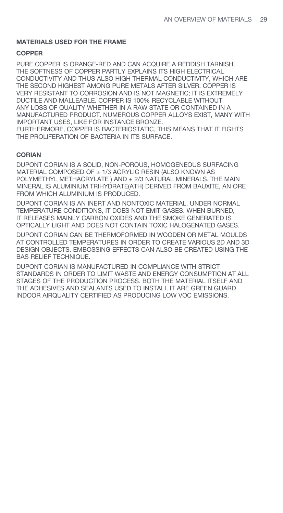## **MATERIALS USED FOR THE FRAME**

#### **COPPER**

PURE COPPER IS ORANGE-RED AND CAN ACQUIRE A REDDISH TARNISH. THE SOFTNESS OF COPPER PARTLY EXPLAINS ITS HIGH ELECTRICAL CONDUCTIVITY AND THUS ALSO HIGH THERMAL CONDUCTIVITY, WHICH ARE THE SECOND HIGHEST AMONG PURE METALS AFTER SILVER. COPPER IS VERY RESISTANT TO CORROSION AND IS NOT MAGNETIC; IT IS EXTREMELY DUCTILE AND MALLEABLE. COPPER IS 100% RECYCLABLE WITHOUT ANY LOSS OF QUALITY WHETHER IN A RAW STATE OR CONTAINED IN A MANUFACTURED PRODUCT. NUMEROUS COPPER ALLOYS EXIST, MANY WITH IMPORTANT USES, LIKE FOR INSTANCE BRONZE. FURTHERMORE, COPPER IS BACTERIOSTATIC, THIS MEANS THAT IT FIGHTS THE PROLIFERATION OF BACTERIA IN ITS SURFACE.

#### **CORIAN**

DUPONT CORIAN IS A SOLID, NON-POROUS, HOMOGENEOUS SURFACING MATERIAL COMPOSED OF ± 1/3 ACRYLIC RESIN (ALSO KNOWN AS POLYMETHYL METHACRYLATE ) AND ± 2/3 NATURAL MINERALS. THE MAIN MINERAL IS ALUMINIUM TRIHYDRATE(ATH) DERIVED FROM BAUXITE, AN ORE FROM WHICH ALUMINIUM IS PRODUCED.

DUPONT CORIAN IS AN INERT AND NONTOXIC MATERIAL. UNDER NORMAL TEMPERATURE CONDITIONS, IT DOES NOT EMIT GASES. WHEN BURNED, IT RELEASES MAINLY CARBON OXIDES AND THE SMOKE GENERATED IS OPTICALLY LIGHT AND DOES NOT CONTAIN TOXIC HALOGENATED GASES.

DUPONT CORIAN CAN BE THERMOFORMED IN WOODEN OR METAL MOULDS AT CONTROLLED TEMPERATURES IN ORDER TO CREATE VARIOUS 2D AND 3D DESIGN OBJECTS. EMBOSSING EFFECTS CAN ALSO BE CREATED USING THE BAS RELIEF TECHNIQUE.

DUPONT CORIAN IS MANUFACTURED IN COMPLIANCE WITH STRICT STANDARDS IN ORDER TO LIMIT WASTE AND ENERGY CONSUMPTION AT ALL STAGES OF THE PRODUCTION PROCESS. BOTH THE MATERIAL ITSELF AND THE ADHESIVES AND SEALANTS USED TO INSTALL IT ARE GREEN GUARD INDOOR AIRQUALITY CERTIFIED AS PRODUCING LOW VOC EMISSIONS.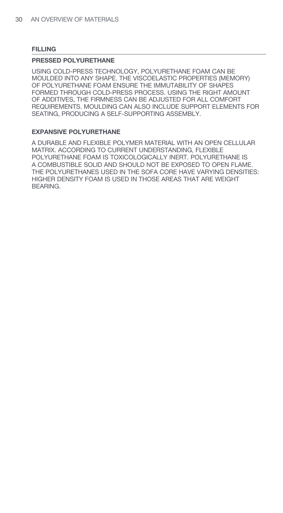#### **FILLING**

#### **PRESSED POLYURETHANE**

USING COLD-PRESS TECHNOLOGY, POLYURETHANE FOAM CAN BE MOULDED INTO ANY SHAPE. THE VISCOELASTIC PROPERTIES (MEMORY) OF POLYURETHANE FOAM ENSURE THE IMMUTABILITY OF SHAPES FORMED THROUGH COLD-PRESS PROCESS. USING THE RIGHT AMOUNT OF ADDITIVES, THE FIRMNESS CAN BE ADJUSTED FOR ALL COMFORT REQUIREMENTS. MOULDING CAN ALSO INCLUDE SUPPORT ELEMENTS FOR SEATING, PRODUCING A SELF-SUPPORTING ASSEMBLY.

#### **EXPANSIVE POLYURETHANE**

A DURABLE AND FLEXIBLE POLYMER MATERIAL WITH AN OPEN CELLULAR MATRIX. ACCORDING TO CURRENT UNDERSTANDING, FLEXIBLE POLYURETHANE FOAM IS TOXICOLOGICALLY INERT. POLYURETHANE IS A COMBUSTIBLE SOLID AND SHOULD NOT BE EXPOSED TO OPEN FLAME. THE POLYURETHANES USED IN THE SOFA CORE HAVE VARYING DENSITIES: HIGHER DENSITY FOAM IS USED IN THOSE AREAS THAT ARE WEIGHT BEARING.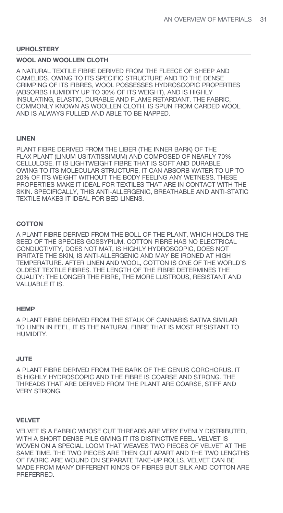#### **WOOL AND WOOLLEN CLOTH**

A NATURAL TEXTILE FIBRE DERIVED FROM THE FLEECE OF SHEEP AND CAMELIDS. OWING TO ITS SPECIFIC STRUCTURE AND TO THE DENSE CRIMPING OF ITS FIBRES, WOOL POSSESSES HYDROSCOPIC PROPERTIES (ABSORBS HUMIDITY UP TO 30% OF ITS WEIGHT), AND IS HIGHLY INSULATING, ELASTIC, DURABLE AND FLAME RETARDANT. THE FABRIC, COMMONLY KNOWN AS WOOLLEN CLOTH, IS SPUN FROM CARDED WOOL AND IS ALWAYS FULLED AND ABLE TO BE NAPPED.

#### **LINEN**

PLANT FIBRE DERIVED FROM THE LIBER (THE INNER BARK) OF THE FLAX PLANT (LINUM USITATISSIMUM) AND COMPOSED OF NEARLY 70% CELLULOSE. IT IS LIGHTWEIGHT FIBRE THAT IS SOFT AND DURABLE. OWING TO ITS MOLECULAR STRUCTURE, IT CAN ABSORB WATER TO UP TO 20% OF ITS WEIGHT WITHOUT THE BODY FEELING ANY WETNESS. THESE PROPERTIES MAKE IT IDEAL FOR TEXTILES THAT ARE IN CONTACT WITH THE SKIN. SPECIFICALLY, THIS ANTI-ALLERGENIC, BREATHABLE AND ANTI-STATIC TEXTILE MAKES IT IDEAL FOR BED LINENS.

#### **COTTON**

A PLANT FIBRE DERIVED FROM THE BOLL OF THE PLANT, WHICH HOLDS THE SEED OF THE SPECIES GOSSYPIUM. COTTON FIBRE HAS NO ELECTRICAL CONDUCTIVITY, DOES NOT MAT, IS HIGHLY HYDROSCOPIC, DOES NOT IRRITATE THE SKIN, IS ANTI-ALLERGENIC AND MAY BE IRONED AT HIGH TEMPERATURE. AFTER LINEN AND WOOL, COTTON IS ONE OF THE WORLD'S OLDEST TEXTILE FIBRES. THE LENGTH OF THE FIBRE DETERMINES THE QUALITY: THE LONGER THE FIBRE, THE MORE LUSTROUS, RESISTANT AND VALUABLE IT IS.

#### **HEMP**

A PLANT FIBRE DERIVED FROM THE STALK OF CANNABIS SATIVA SIMILAR TO LINEN IN FEEL, IT IS THE NATURAL FIBRE THAT IS MOST RESISTANT TO HUMIDITY.

#### **JUTE**

A PLANT FIBRE DERIVED FROM THE BARK OF THE GENUS CORCHORUS. IT IS HIGHLY HYDROSCOPIC AND THE FIBRE IS COARSE AND STRONG. THE THREADS THAT ARE DERIVED FROM THE PLANT ARE COARSE, STIFF AND VERY STRONG.

#### **VELVET**

VELVET IS A FABRIC WHOSE CUT THREADS ARE VERY EVENLY DISTRIBUTED, WITH A SHORT DENSE PILE GIVING IT ITS DISTINCTIVE FEEL. VELVET IS WOVEN ON A SPECIAL LOOM THAT WEAVES TWO PIECES OF VELVET AT THE SAME TIME. THE TWO PIECES ARE THEN CUT APART AND THE TWO LENGTHS OF FABRIC ARE WOUND ON SEPARATE TAKE-UP ROLLS. VELVET CAN BE MADE FROM MANY DIFFERENT KINDS OF FIBRES BUT SILK AND COTTON ARE PREFERRED.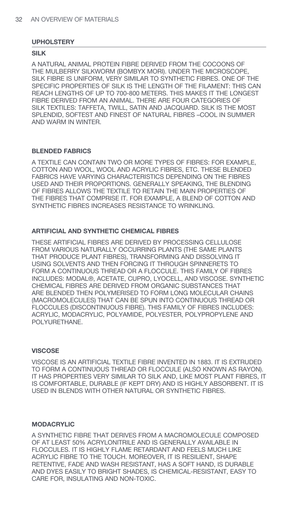#### **SILK**

A NATURAL ANIMAL PROTEIN FIBRE DERIVED FROM THE COCOONS OF THE MULBERRY SILKWORM (BOMBYX MORI). UNDER THE MICROSCOPE, SILK FIBRE IS UNIFORM, VERY SIMILAR TO SYNTHETIC FIBRES. ONE OF THE SPECIFIC PROPERTIES OF SILK IS THE LENGTH OF THE FILAMENT: THIS CAN REACH LENGTHS OF UP TO 700-800 METERS. THIS MAKES IT THE LONGEST FIBRE DERIVED FROM AN ANIMAL. THERE ARE FOUR CATEGORIES OF SILK TEXTILES: TAFFETA, TWILL, SATIN AND JACQUARD. SILK IS THE MOST SPLENDID, SOFTEST AND FINEST OF NATURAL FIBRES –COOL IN SUMMER AND WARM IN WINTER.

#### **BLENDED FABRICS**

A TEXTILE CAN CONTAIN TWO OR MORE TYPES OF FIBRES: FOR EXAMPLE, COTTON AND WOOL, WOOL AND ACRYLIC FIBRES, ETC. THESE BLENDED FABRICS HAVE VARYING CHARACTERISTICS DEPENDING ON THE FIBRES USED AND THEIR PROPORTIONS. GENERALLY SPEAKING, THE BLENDING OF FIBRES ALLOWS THE TEXTILE TO RETAIN THE MAIN PROPERTIES OF THE FIBRES THAT COMPRISE IT. FOR EXAMPLE, A BLEND OF COTTON AND SYNTHETIC FIBRES INCREASES RESISTANCE TO WRINKLING.

#### **ARTIFICIAL AND SYNTHETIC CHEMICAL FIBRES**

THESE ARTIFICIAL FIBRES ARE DERIVED BY PROCESSING CELLULOSE FROM VARIOUS NATURALLY OCCURRING PLANTS (THE SAME PLANTS THAT PRODUCE PLANT FIBRES), TRANSFORMING AND DISSOLVING IT USING SOLVENTS AND THEN FORCING IT THROUGH SPINNERETS TO FORM A CONTINUOUS THREAD OR A FLOCCULE. THIS FAMILY OF FIBRES INCLUDES: MODAL®, ACETATE, CUPRO, LYOCELL, AND VISCOSE. SYNTHETIC CHEMICAL FIBRES ARE DERIVED FROM ORGANIC SUBSTANCES THAT ARE BLENDED THEN POLYMERISED TO FORM LONG MOLECULAR CHAINS (MACROMOLECULES) THAT CAN BE SPUN INTO CONTINUOUS THREAD OR FLOCCULES (DISCONTINUOUS FIBRE). THIS FAMILY OF FIBRES INCLUDES: ACRYLIC, MODACRYLIC, POLYAMIDE, POLYESTER, POLYPROPYLENE AND POLYURETHANE.

#### **VISCOSE**

VISCOSE IS AN ARTIFICIAL TEXTILE FIBRE INVENTED IN 1883. IT IS EXTRUDED TO FORM A CONTINUOUS THREAD OR FLOCCULE (ALSO KNOWN AS RAYON). IT HAS PROPERTIES VERY SIMILAR TO SILK AND, LIKE MOST PLANT FIBRES, IT IS COMFORTABLE, DURABLE (IF KEPT DRY) AND IS HIGHLY ABSORBENT. IT IS USED IN BLENDS WITH OTHER NATURAL OR SYNTHETIC FIBRES.

## **MODACRYLIC**

A SYNTHETIC FIBRE THAT DERIVES FROM A MACROMOLECULE COMPOSED OF AT LEAST 50% ACRYLONITRILE AND IS GENERALLY AVAILABLE IN FLOCCULES. IT IS HIGHLY FLAME RETARDANT AND FEELS MUCH LIKE ACRYLIC FIBRE TO THE TOUCH. MOREOVER, IT IS RESILIENT, SHAPE RETENTIVE, FADE AND WASH RESISTANT, HAS A SOFT HAND, IS DURABLE AND DYES EASILY TO BRIGHT SHADES, IS CHEMICAL-RESISTANT, EASY TO CARE FOR, INSULATING AND NON-TOXIC.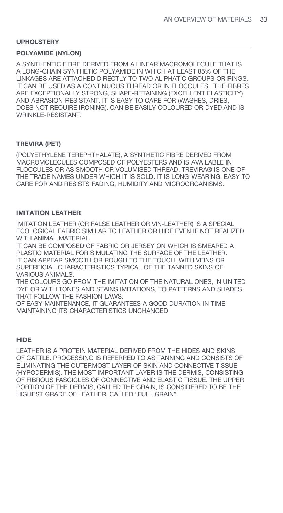# **POLYAMIDE (NYLON)**

A SYNTHENTIC FIBRE DERIVED FROM A LINEAR MACROMOLECULE THAT IS A LONG-CHAIN SYNTHETIC POLYAMIDE IN WHICH AT LEAST 85% OF THE LINKAGES ARE ATTACHED DIRECTLY TO TWO ALIPHATIC GROUPS OR RINGS. IT CAN BE USED AS A CONTINUOUS THREAD OR IN FLOCCULES. THE FIBRES ARE EXCEPTIONALLY STRONG, SHAPE-RETAINING (EXCELLENT ELASTICITY) AND ABRASION-RESISTANT. IT IS EASY TO CARE FOR (WASHES, DRIES, DOES NOT REQUIRE IRONING), CAN BE EASILY COLOURED OR DYED AND IS WRINKLE-RESISTANT.

#### **TREVIRA (PET)**

(POLYETHYLENE TEREPHTHALATE), A SYNTHETIC FIBRE DERIVED FROM MACROMOLECULES COMPOSED OF POLYESTERS AND IS AVAILABLE IN FLOCCULES OR AS SMOOTH OR VOLUMISED THREAD. TREVIRA® IS ONE OF THE TRADE NAMES UNDER WHICH IT IS SOLD. IT IS LONG-WEARING, EASY TO CARE FOR AND RESISTS FADING, HUMIDITY AND MICROORGANISMS.

#### **IMITATION LEATHER**

IMITATION LEATHER (OR FALSE LEATHER OR VIN-LEATHER) IS A SPECIAL ECOLOGICAL FABRIC SIMILAR TO LEATHER OR HIDE EVEN IF NOT REALIZED WITH ANIMAL MATERIAL.

IT CAN BE COMPOSED OF FABRIC OR JERSEY ON WHICH IS SMEARED A PLASTIC MATERIAL FOR SIMULATING THE SURFACE OF THE LEATHER. IT CAN APPEAR SMOOTH OR ROUGH TO THE TOUCH, WITH VEINS OR SUPERFICIAL CHARACTERISTICS TYPICAL OF THE TANNED SKINS OF VARIOUS ANIMALS.

THE COLOURS GO FROM THE IMITATION OF THE NATURAL ONES, IN UNITED DYE OR WITH TONES AND STAINS IMITATIONS, TO PATTERNS AND SHADES THAT FOLLOW THE FASHION LAWS.

OF EASY MAINTENANCE, IT GUARANTEES A GOOD DURATION IN TIME MAINTAINING ITS CHARACTERISTICS UNCHANGED

#### **HIDE**

LEATHER IS A PROTEIN MATERIAL DERIVED FROM THE HIDES AND SKINS OF CATTLE. PROCESSING IS REFERRED TO AS TANNING AND CONSISTS OF ELIMINATING THE OUTERMOST LAYER OF SKIN AND CONNECTIVE TISSUE (HYPODERMIS). THE MOST IMPORTANT LAYER IS THE DERMIS, CONSISTING OF FIBROUS FASCICLES OF CONNECTIVE AND ELASTIC TISSUE. THE UPPER PORTION OF THE DERMIS, CALLED THE GRAIN, IS CONSIDERED TO BE THE HIGHEST GRADE OF LEATHER, CALLED "FULL GRAIN".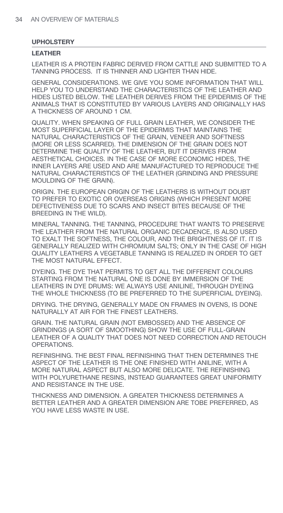#### **LEATHER**

LEATHER IS A PROTEIN FABRIC DERIVED FROM CATTLE AND SUBMITTED TO A TANNING PROCESS. IT IS THINNER AND LIGHTER THAN HIDE.

GENERAL CONSIDERATIONS. WE GIVE YOU SOME INFORMATION THAT WILL HELP YOU TO UNDERSTAND THE CHARACTERISTICS OF THE LEATHER AND HIDES LISTED BELOW. THE LEATHER DERIVES FROM THE EPIDERMIS OF THE ANIMALS THAT IS CONSTITUTED BY VARIOUS LAYERS AND ORIGINALLY HAS A THICKNESS OF AROUND 1 CM.

QUALITY. WHEN SPEAKING OF FULL GRAIN LEATHER, WE CONSIDER THE MOST SUPERFICIAL LAYER OF THE EPIDERMIS THAT MAINTAINS THE NATURAL CHARACTERISTICS OF THE GRAIN, VENEER AND SOFTNESS (MORE OR LESS SCARRED). THE DIMENSION OF THE GRAIN DOES NOT DETERMINE THE QUALITY OF THE LEATHER, BUT IT DERIVES FROM AESTHETICAL CHOICES. IN THE CASE OF MORE ECONOMIC HIDES, THE INNER LAYERS ARE USED AND ARE MANUFACTURED TO REPRODUCE THE NATURAL CHARACTERISTICS OF THE LEATHER (GRINDING AND PRESSURE MOULDING OF THE GRAIN).

ORIGIN. THE EUROPEAN ORIGIN OF THE LEATHERS IS WITHOUT DOUBT TO PREFER TO EXOTIC OR OVERSEAS ORIGINS (WHICH PRESENT MORE DEFECTIVENESS DUE TO SCARS AND INSECT BITES BECAUSE OF THE BREEDING IN THE WILD).

MINERAL TANNING. THE TANNING, PROCEDURE THAT WANTS TO PRESERVE THE LEATHER FROM THE NATURAL ORGANIC DECADENCE, IS ALSO USED TO EXALT THE SOFTNESS, THE COLOUR, AND THE BRIGHTNESS OF IT. IT IS GENERALLY REALIZED WITH CHROMIUM SALTS; ONLY IN THE CASE OF HIGH QUALITY LEATHERS A VEGETABLE TANNING IS REALIZED IN ORDER TO GET THE MOST NATURAL EFFECT.

DYEING. THE DYE THAT PERMITS TO GET ALL THE DIFFERENT COLOURS STARTING FROM THE NATURAL ONE IS DONE BY IMMERSION OF THE LEATHERS IN DYE DRUMS: WE ALWAYS USE ANILINE, THROUGH DYEING THE WHOLE THICKNESS (TO BE PREFERRED TO THE SUPERFICIAL DYEING).

DRYING. THE DRYING, GENERALLY MADE ON FRAMES IN OVENS, IS DONE NATURALLY AT AIR FOR THE FINEST LEATHERS.

GRAIN. THE NATURAL GRAIN (NOT EMBOSSED) AND THE ABSENCE OF GRINDINGS (A SORT OF SMOOTHING) SHOW THE USE OF FULL-GRAIN LEATHER OF A QUALITY THAT DOES NOT NEED CORRECTION AND RETOUCH OPERATIONS.

REFINISHING. THE BEST FINAL REFINISHING THAT THEN DETERMINES THE ASPECT OF THE LEATHER IS THE ONE FINISHED WITH ANILINE, WITH A MORE NATURAL ASPECT BUT ALSO MORE DELICATE. THE REFINISHING WITH POLYURETHANE RESINS, INSTEAD GUARANTEES GREAT UNIFORMITY AND RESISTANCE IN THE USE.

THICKNESS AND DIMENSION. A GREATER THICKNESS DETERMINES A BETTER LEATHER AND A GREATER DIMENSION ARE TOBE PREFERRED, AS YOU HAVE LESS WASTE IN USE.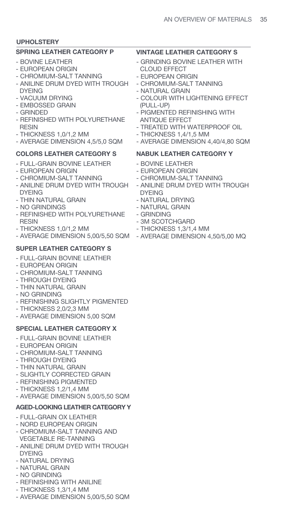# **SPRING LEATHER CATEGORY P**

- BOVINE LEATHER
- EUROPEAN ORIGIN
- CHROMIUM-SALT TANNING
- ANILINE DRUM DYED WITH TROUGH DYEING
- VACUUM DRYING
- EMBOSSED GRAIN
- GRINDED
- REFINISHED WITH POLYURETHANE RESIN
- THICKNESS 1,0/1,2 MM
- AVERAGE DIMENSION 4,5/5,0 SQM

# **COLORS LEATHER CATEGORY S**

- FULL-GRAIN BOVINE LEATHER
- EUROPEAN ORIGIN
- CHROMIUM-SALT TANNING
- ANILINE DRUM DYED WITH TROUGH DYEING
- THIN NATURAL GRAIN
- NO GRINDINGS
- REFINISHED WITH POLYURETHANE RESIN
- THICKNESS 1,0/1,2 MM
- AVERAGE DIMENSION 5,00/5,50 SQM AVERAGE DIMENSION 4,50/5,00 MQ

# **SUPER LEATHER CATEGORY S**

- FULL-GRAIN BOVINE LEATHER
- EUROPEAN ORIGIN
- CHROMIUM-SALT TANNING
- THROUGH DYEING
- THIN NATURAL GRAIN
- NO GRINDING
- REFINISHING SLIGHTLY PIGMENTED
- THICKNESS 2,0/2,3 MM
- AVERAGE DIMENSION 5,00 SOM

# **SPECIAL LEATHER CATEGORY X**

- FULL-GRAIN BOVINE LEATHER
- EUROPEAN ORIGIN
- CHROMIUM-SALT TANNING
- THROUGH DYEING
- THIN NATURAL GRAIN
- SLIGHTLY CORRECTED GRAIN
- REFINISHING PIGMENTED
- THICKNESS 1,2/1,4 MM
- AVERAGE DIMENSION 5,00/5,50 SQM

# **AGED-LOOKING LEATHER CATEGORY Y**

- FULL-GRAIN OX LEATHER
- NORD EUROPEAN ORIGIN
- CHROMIUM-SALT TANNING AND VEGETABLE RE-TANNING
- ANILINE DRUM DYED WITH TROUGH DYEING
- NATURAL DRYING
- NATURAL GRAIN
- NO GRINDING
- REFINISHING WITH ANILINE
- THICKNESS 1,3/1,4 MM
- AVERAGE DIMENSION 5,00/5,50 SQM

# **VINTAGE LEATHER CATEGORY S**

- GRINDING BOVINE LEATHER WITH CLOUD EFFECT
- EUROPEAN ORIGIN
- CHROMIUM-SALT TANNING
- NATURAL GRAIN
- COLOUR WITH LIGHTENING EFFECT (PULL-UP)
- PIGMENTED REFINISHING WITH ANTIQUE EFFECT
- TREATED WITH WATERPROOF OIL
- THICKNESS 1,4/1,5 MM
- AVERAGE DIMENSION 4,40/4,80 SQM

# **NABUK LEATHER CATEGORY Y**

- BOVINE LEATHER
- EUROPEAN ORIGIN
- CHROMIUM-SALT TANNING
- ANILINE DRUM DYED WITH TROUGH DYEING
- NATURAL DRYING
- NATURAL GRAIN
- GRINDING
- 3M SCOTCHGARD
- THICKNESS 1,3/1,4 MM
-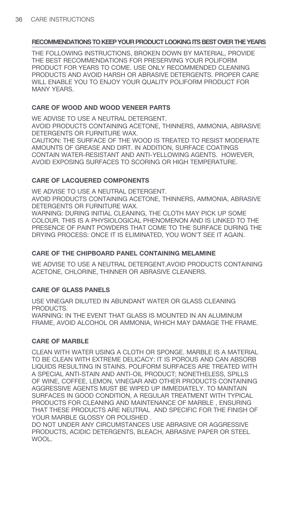THE FOLLOWING INSTRUCTIONS, BROKEN DOWN BY MATERIAL, PROVIDE THE BEST RECOMMENDATIONS FOR PRESERVING YOUR POLIFORM PRODUCT FOR YEARS TO COME. USE ONLY RECOMMENDED CLEANING PRODUCTS AND AVOID HARSH OR ABRASIVE DETERGENTS. PROPER CARE WILL ENABLE YOU TO ENJOY YOUR QUALITY POLIFORM PRODUCT FOR MANY YEARS.

## **CARE OF WOOD AND WOOD VENEER PARTS**

WE ADVISE TO USE A NEUTRAL DETERGENT.

AVOID PRODUCTS CONTAINING ACETONE, THINNERS, AMMONIA, ABRASIVE DETERGENTS OR FURNITURE WAX.

CAUTION: THE SURFACE OF THE WOOD IS TREATED TO RESIST MODERATE AMOUNTS OF GREASE AND DIRT. IN ADDITION, SURFACE COATINGS CONTAIN WATER-RESISTANT AND ANTI-YELLOWING AGENTS. HOWEVER, AVOID EXPOSING SURFACES TO SCORING OR HIGH TEMPERATURE.

## **CARE OF LACQUERED COMPONENTS**

WE ADVISE TO USE A NEUTRAL DETERGENT.

AVOID PRODUCTS CONTAINING ACETONE, THINNERS, AMMONIA, ABRASIVE DETERGENTS OR FURNITURE WAX.

WARNING: DURING INITIAL CLEANING, THE CLOTH MAY PICK UP SOME COLOUR. THIS IS A PHYSIOLOGICAL PHENOMENON AND IS LINKED TO THE PRESENCE OF PAINT POWDERS THAT COME TO THE SURFACE DURING THE DRYING PROCESS: ONCE IT IS ELIMINATED, YOU WON'T SEE IT AGAIN.

## **CARE OF THE CHIPBOARD PANEL CONTAINING MELAMINE**

WE ADVISE TO USE A NEUTRAL DETERGENT.AVOID PRODUCTS CONTAINING ACETONE, CHLORINE, THINNER OR ABRASIVE CLEANERS.

## **CARE OF GLASS PANELS**

USE VINEGAR DILUTED IN ABUNDANT WATER OR GLASS CLEANING PRODUCTS. WARNING: IN THE EVENT THAT GLASS IS MOUNTED IN AN ALL IMINI IM FRAME, AVOID ALCOHOL OR AMMONIA, WHICH MAY DAMAGE THE FRAME.

## **CARE OF MARBLE**

CLEAN WITH WATER USING A CLOTH OR SPONGE. MARBLE IS A MATERIAL TO BE CLEAN WITH EXTREME DELICACY: IT IS POROUS AND CAN ABSORB LIQUIDS RESULTING IN STAINS. POLIFORM SURFACES ARE TREATED WITH A SPECIAL ANTI-STAIN AND ANTI-OIL PRODUCT; NONETHELESS, SPILLS OF WINE, COFFEE, LEMON, VINEGAR AND OTHER PRODUCTS CONTAINING AGGRESSIVE AGENTS MUST BE WIPED UP IMMEDIATELY. TO MAINTAIN SURFACES IN GOOD CONDITION, A REGULAR TREATMENT WITH TYPICAL PRODUCTS FOR CLEANING AND MAINTENANCE OF MARBLE , ENSURING THAT THESE PRODUCTS ARE NEUTRAL AND SPECIFIC FOR THE FINISH OF YOUR MARBLE GLOSSY OR POLISHED .

DO NOT UNDER ANY CIRCUMSTANCES USE ABRASIVE OR AGGRESSIVE PRODUCTS, ACIDIC DETERGENTS, BLEACH, ABRASIVE PAPER OR STEEL WOOL.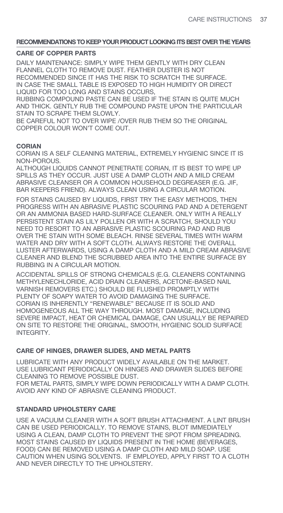## **CARE OF COPPER PARTS**

DAILY MAINTENANCE: SIMPLY WIPE THEM GENTLY WITH DRY CLEAN FLANNEL CLOTH TO REMOVE DUST. FEATHER DUSTER IS NOT RECOMMENDED SINCE IT HAS THE RISK TO SCRATCH THE SURFACE. IN CASE THE SMALL TABLE IS EXPOSED TO HIGH HUMIDITY OR DIRECT LIQUID FOR TOO LONG AND STAINS OCCURS,

RUBBING COMPOUND PASTE CAN BE USED IF THE STAIN IS QUITE MUCH AND THICK. GENTLY RUB THE COMPOUND PASTE UPON THE PARTICULAR STAIN TO SCRAPE THEM SLOWLY.

BE CAREFUL NOT TO OVER WIPE /OVER RUB THEM SO THE ORIGINAL COPPER COLOUR WON'T COME OUT.

## **CORIAN**

CORIAN IS A SELF CLEANING MATERIAL, EXTREMELY HYGIENIC SINCE IT IS NON-POROUS.

ALTHOUGH LIQUIDS CANNOT PENETRATE CORIAN, IT IS BEST TO WIPE UP SPILLS AS THEY OCCUR. JUST USE A DAMP CLOTH AND A MILD CREAM ABRASIVE CLEANSER OR A COMMON HOUSEHOLD DEGREASER (E.G. JIF, BAR KEEPERS FRIEND). ALWAYS CLEAN USING A CIRCULAR MOTION.

FOR STAINS CAUSED BY LIQUIDS, FIRST TRY THE EASY METHODS, THEN PROGRESS WITH AN ABRASIVE PLASTIC SCOURING PAD AND A DETERGENT OR AN AMMONIA BASED HARD-SURFACE CLEANER. ONLY WITH A REALLY PERSISTENT STAIN AS LILY POLLEN OR WITH A SCRATCH, SHOULD YOU NEED TO RESORT TO AN ABRASIVE PLASTIC SCOURING PAD AND RUB OVER THE STAIN WITH SOME BLEACH. RINSE SEVERAL TIMES WITH WARM WATER AND DRY WITH A SOFT CLOTH. ALWAYS RESTORE THE OVERALL LUSTER AFTERWARDS, USING A DAMP CLOTH AND A MILD CREAM ABRASIVE CLEANER AND BLEND THE SCRUBBED AREA INTO THE ENTIRE SURFACE BY RUBBING IN A CIRCULAR MOTION.

ACCIDENTAL SPILLS OF STRONG CHEMICALS (E.G. CLEANERS CONTAINING METHYLENECHLORIDE, ACID DRAIN CLEANERS, ACETONE-BASED NAIL VARNISH REMOVERS ETC.) SHOULD BE FLUSHED PROMPTLY WITH PLENTY OF SOAPY WATER TO AVOID DAMAGING THE SURFACE. CORIAN IS INHERENTLY "RENEWABLE" BECAUSE IT IS SOLID AND HOMOGENEOUS ALL THE WAY THROUGH. MOST DAMAGE, INCLUDING SEVERE IMPACT, HEAT OR CHEMICAL DAMAGE, CAN USUALLY BE REPAIRED ON SITE TO RESTORE THE ORIGINAL, SMOOTH, HYGIENIC SOLID SURFACE INTEGRITY.

## **CARE OF HINGES, DRAWER SLIDES, AND METAL PARTS**

LUBRICATE WITH ANY PRODUCT WIDELY AVAILABLE ON THE MARKET. USE LUBRICANT PERIODICALLY ON HINGES AND DRAWER SLIDES BEFORE CLEANING TO REMOVE POSSIBLE DUST.

FOR METAL PARTS, SIMPLY WIPE DOWN PERIODICALLY WITH A DAMP CLOTH. AVOID ANY KIND OF ABRASIVE CLEANING PRODUCT.

## **STANDARD UPHOLSTERY CARE**

USE A VACUUM CLEANER WITH A SOFT BRUSH ATTACHMENT. A LINT BRUSH CAN BE USED PERIODICALLY. TO REMOVE STAINS, BLOT IMMEDIATELY USING A CLEAN, DAMP CLOTH TO PREVENT THE SPOT FROM SPREADING. MOST STAINS CAUSED BY LIQUIDS PRESENT IN THE HOME (BEVERAGES, FOOD) CAN BE REMOVED USING A DAMP CLOTH AND MILD SOAP. USE CAUTION WHEN USING SOLVENTS. IF EMPLOYED, APPLY FIRST TO A CLOTH AND NEVER DIRECTLY TO THE UPHOLSTERY.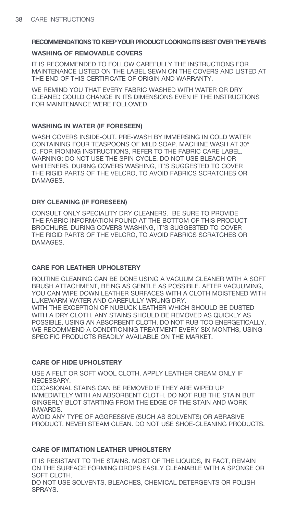#### **WASHING OF REMOVABLE COVERS**

IT IS RECOMMENDED TO FOLLOW CAREFULLY THE INSTRUCTIONS FOR MAINTENANCE LISTED ON THE LABEL SEWN ON THE COVERS AND LISTED AT THE END OF THIS CERTIFICATE OF ORIGIN AND WARRANTY.

WE REMIND YOU THAT EVERY FABRIC WASHED WITH WATER OR DRY CLEANED COULD CHANGE IN ITS DIMENSIONS EVEN IF THE INSTRUCTIONS FOR MAINTENANCE WERE FOLLOWED.

## **WASHING IN WATER (IF FORESEEN)**

WASH COVERS INSIDE-OUT. PRE-WASH BY IMMERSING IN COLD WATER CONTAINING FOUR TEASPOONS OF MILD SOAP. MACHINE WASH AT 30° C. FOR IRONING INSTRUCTIONS, REFER TO THE FABRIC CARE LABEL. WARNING: DO NOT USE THE SPIN CYCLE. DO NOT USE BLEACH OR WHITENERS. DURING COVERS WASHING, IT'S SUGGESTED TO COVER THE RIGID PARTS OF THE VELCRO, TO AVOID FABRICS SCRATCHES OR DAMAGES.

## **DRY CLEANING (IF FORESEEN)**

CONSULT ONLY SPECIALITY DRY CLEANERS. BE SURE TO PROVIDE THE FABRIC INFORMATION FOUND AT THE BOTTOM OF THIS PRODUCT BROCHURE. DURING COVERS WASHING, IT'S SUGGESTED TO COVER THE RIGID PARTS OF THE VELCRO, TO AVOID FABRICS SCRATCHES OR DAMAGES.

## **CARE FOR LEATHER UPHOLSTERY**

ROUTINE CLEANING CAN BE DONE USING A VACUUM CLEANER WITH A SOFT BRUSH ATTACHMENT, BEING AS GENTLE AS POSSIBLE. AFTER VACUUMING, YOU CAN WIPE DOWN LEATHER SURFACES WITH A CLOTH MOISTENED WITH LUKEWARM WATER AND CAREFULLY WRUNG DRY.

WITH THE EXCEPTION OF NUBUCK LEATHER WHICH SHOULD BE DUSTED WITH A DRY CLOTH. ANY STAINS SHOULD BE REMOVED AS QUICKLY AS POSSIBLE, USING AN ABSORBENT CLOTH. DO NOT RUB TOO ENERGETICALLY. WE RECOMMEND A CONDITIONING TREATMENT EVERY SIX MONTHS, USING SPECIFIC PRODUCTS READILY AVAILABLE ON THE MARKET.

## **CARE OF HIDE UPHOLSTERY**

USE A FELT OR SOFT WOOL CLOTH. APPLY LEATHER CREAM ONLY IF NECESSARY.

OCCASIONAL STAINS CAN BE REMOVED IF THEY ARE WIPED UP IMMEDIATELY WITH AN ABSORBENT CLOTH. DO NOT RUB THE STAIN BUT GINGERLY BLOT STARTING FROM THE EDGE OF THE STAIN AND WORK INWARDS.

AVOID ANY TYPE OF AGGRESSIVE (SUCH AS SOLVENTS) OR ABRASIVE PRODUCT. NEVER STEAM CLEAN. DO NOT USE SHOE-CLEANING PRODUCTS.

## **CARE OF IMITATION LEATHER UPHOLSTERY**

IT IS RESISTANT TO THE STAINS. MOST OF THE LIQUIDS, IN FACT, REMAIN ON THE SURFACE FORMING DROPS EASILY CLEANABLE WITH A SPONGE OR SOFT CLOTH.

DO NOT USE SOLVENTS, BLEACHES, CHEMICAL DETERGENTS OR POLISH SPRAYS.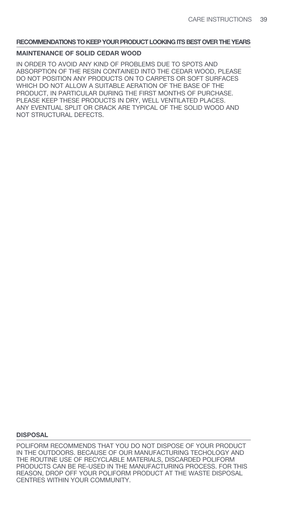#### **MAINTENANCE OF SOLID CEDAR WOOD**

IN ORDER TO AVOID ANY KIND OF PROBLEMS DUE TO SPOTS AND ABSORPTION OF THE RESIN CONTAINED INTO THE CEDAR WOOD, PLEASE DO NOT POSITION ANY PRODUCTS ON TO CARPETS OR SOFT SURFACES WHICH DO NOT ALLOW A SUITABLE AERATION OF THE BASE OF THE PRODUCT, IN PARTICULAR DURING THE FIRST MONTHS OF PURCHASE. PLEASE KEEP THESE PRODUCTS IN DRY, WELL VENTILATED PLACES. ANY EVENTUAL SPLIT OR CRACK ARE TYPICAL OF THE SOLID WOOD AND NOT STRUCTURAL DEFECTS.

#### **DISPOSAL**

POLIFORM RECOMMENDS THAT YOU DO NOT DISPOSE OF YOUR PRODUCT IN THE OUTDOORS. BECAUSE OF OUR MANUFACTURING TECHOLOGY AND THE ROUTINE USE OF RECYCLABLE MATERIALS, DISCARDED POLIFORM PRODUCTS CAN BE RE-USED IN THE MANUFACTURING PROCESS. FOR THIS REASON, DROP OFF YOUR POLIFORM PRODUCT AT THE WASTE DISPOSAL CENTRES WITHIN YOUR COMMUNITY.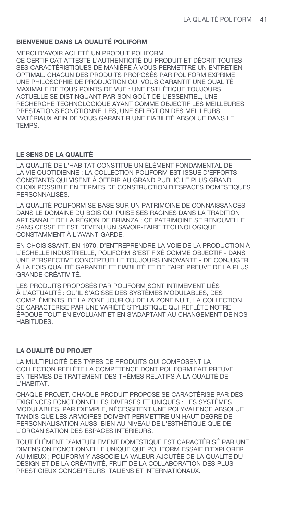# **BIENVENUE DANS LA QUALITÉ POLIFORM**

MERCI D'AVOIR ACHETÉ UN PRODUIT POLIFORM CE CERTIFICAT ATTESTE L'AUTHENTICITÉ DU PRODUIT ET DÉCRIT TOUTES SES CARACTÉRISTIQUES DE MANIÈRE À VOUS PERMETTRE UN ENTRETIEN OPTIMAL. CHACUN DES PRODUITS PROPOSÉS PAR POLIFORM EXPRIME UNE PHILOSOPHIE DE PRODUCTION QUI VOUS GARANTIT UNE QUALITÉ MAXIMALE DE TOUS POINTS DE VUE : UNE ESTHÉTIQUE TOUJOURS ACTUELLE SE DISTINGUANT PAR SON GOÛT DE L'ESSENTIEL, UNE RECHERCHE TECHNOLOGIQUE AYANT COMME OBJECTIF LES MEILLEURES PRESTATIONS FONCTIONNELLES, UNE SÉLECTION DES MEILLEURS MATÉRIAUX AFIN DE VOUS GARANTIR UNE FIABILITÉ ABSOLUE DANS LE **TEMPS** 

## **LE SENS DE LA QUALITÉ**

LA QUALITÉ DE L'HABITAT CONSTITUE UN ÉLÉMENT FONDAMENTAL DE LA VIE QUOTIDIENNE : LA COLLECTION POLIFORM EST ISSUE D'EFFORTS CONSTANTS QUI VISENT À OFFRIR AU GRAND PUBLIC LE PLUS GRAND CHOIX POSSIBLE EN TERMES DE CONSTRUCTION D'ESPACES DOMESTIQUES PERSONNALISÉS.

LA QUALITÉ POLIFORM SE BASE SUR UN PATRIMOINE DE CONNAISSANCES DANS LE DOMAINE DU BOIS QUI PUISE SES RACINES DANS LA TRADITION ARTISANALE DE LA RÉGION DE BRIANZA ; CE PATRIMOINE SE RENOUVELLE SANS CESSE ET EST DEVENU UN SAVOIR-FAIRE TECHNOLOGIQUE CONSTAMMENT À L'AVANT-GARDE.

EN CHOISISSANT, EN 1970, D'ENTREPRENDRE LA VOIE DE LA PRODUCTION À L'ECHELLE INDUSTRIELLE, POLIFORM S'EST FIXÉ COMME OBJECTIF - DANS UNE PERSPECTIVE CONCEPTUELLE TOUJOURS INNOVANTE - DE CONJUGER À LA FOIS QUALITÉ GARANTIE ET FIABILITÉ ET DE FAIRE PREUVE DE LA PLUS GRANDE CRÉATIVITÉ.

LES PRODUITS PROPOSÉS PAR POLIFORM SONT INTIMEMENT LIÉS À L'ACTUALITÉ : QU'IL S'AGISSE DES SYSTÈMES MODULABLES, DES COMPLÉMENTS, DE LA ZONE JOUR OU DE LA ZONE NUIT, LA COLLECTION SE CARACTÉRISE PAR UNE VARIÉTÉ STYLISTIQUE QUI REFLÈTE NOTRE ÉPOQUE TOUT EN ÉVOLUANT ET EN S'ADAPTANT AU CHANGEMENT DE NOS HABITUDES.

## **LA QUALITÉ DU PROJET**

LA MULTIPLICITÉ DES TYPES DE PRODUITS QUI COMPOSENT LA COLLECTION REFLÈTE LA COMPÉTENCE DONT POLIFORM FAIT PREUVE EN TERMES DE TRAITEMENT DES THÈMES RELATIFS À LA QUALITÉ DE L'HABITAT.

CHAQUE PROJET, CHAQUE PRODUIT PROPOSÉ SE CARACTÉRISE PAR DES EXIGENCES FONCTIONNELLES DIVERSES ET UNIQUES : LES SYSTÈMES MODULABLES, PAR EXEMPLE, NÉCESSITENT UNE POLYVALENCE ABSOLUE TANDIS QUE LES ARMOIRES DOIVENT PERMETTRE UN HAUT DEGRÉ DE PERSONNALISATION AUSSI BIEN AU NIVEAU DE L'ESTHÉTIQUE QUE DE L'ORGANISATION DES ESPACES INTÉRIEURS.

TOUT ÉLÉMENT D'AMEUBLEMENT DOMESTIQUE EST CARACTÉRISÉ PAR UNE DIMENSION FONCTIONNELLE UNIQUE QUE POLIFORM ESSAIE D'EXPLORER AU MIEUX ; POLIFORM Y ASSOCIE LA VALEUR AJOUTÉE DE LA QUALITÉ DU DESIGN ET DE LA CRÉATIVITÉ, FRUIT DE LA COLLABORATION DES PLUS PRESTIGIEUX CONCEPTEURS ITALIENS ET INTERNATIONAUX.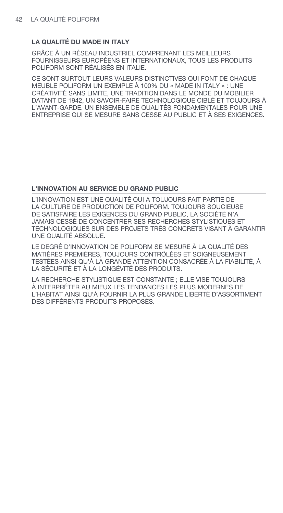## **LA QUALITÉ DU MADE IN ITALY**

GRÂCE À UN RÉSEAU INDUSTRIEL COMPRENANT LES MEILLEURS FOURNISSEURS EUROPÉENS ET INTERNATIONAUX, TOUS LES PRODUITS POLIFORM SONT RÉALISÉS EN ITALIE.

CE SONT SURTOUT LEURS VALEURS DISTINCTIVES QUI FONT DE CHAQUE MEUBLE POLIFORM UN EXEMPLE À 100% DU « MADE IN ITALY » : UNE CRÉATIVITÉ SANS LIMITE, UNE TRADITION DANS LE MONDE DU MOBILIER DATANT DE 1942, UN SAVOIR-FAIRE TECHNOLOGIQUE CIBLÉ ET TOUJOURS À L'AVANT-GARDE. UN ENSEMBLE DE QUALITÉS FONDAMENTALES POUR UNE ENTREPRISE QUI SE MESURE SANS CESSE AU PUBLIC ET À SES EXIGENCES.

## **L'INNOVATION AU SERVICE DU GRAND PUBLIC**

L'INNOVATION EST UNE QUALITÉ QUI A TOUJOURS FAIT PARTIE DE LA CULTURE DE PRODUCTION DE POLIFORM. TOUJOURS SOUCIEUSE DE SATISFAIRE LES EXIGENCES DU GRAND PUBLIC, LA SOCIÉTÉ N'A JAMAIS CESSÉ DE CONCENTRER SES RECHERCHES STYLISTIQUES ET TECHNOLOGIQUES SUR DES PROJETS TRÈS CONCRETS VISANT À GARANTIR UNE QUALITÉ ABSOLUE.

LE DEGRÉ D'INNOVATION DE POLIFORM SE MESURE À LA QUALITÉ DES MATIÈRES PREMIÈRES, TOUJOURS CONTRÔLÉES ET SOIGNEUSEMENT TESTÉES AINSI QU'À LA GRANDE ATTENTION CONSACRÉE À LA FIABILITÉ, À LA SÉCURITÉ ET À LA LONGÉVITÉ DES PRODUITS.

LA RECHERCHE STYLISTIQUE EST CONSTANTE ; ELLE VISE TOUJOURS À INTERPRÉTER AU MIEUX LES TENDANCES LES PLUS MODERNES DE L'HABITAT AINSI QU'À FOURNIR LA PLUS GRANDE LIBERTÉ D'ASSORTIMENT DES DIFFÉRENTS PRODUITS PROPOSÉS.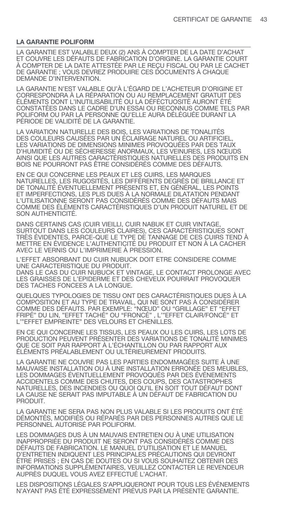#### **LA GARANTIE POLIFORM**

LA GARANTIE EST VALABLE DEUX (2) ANS À COMPTER DE LA DATE D'ACHAT ET COUVRE LES DÉFAUTS DE FABRICATION D'ORIGINE. LA GARANTIE COURT À COMPTER DE LA DATE ATTESTÉE PAR LE REÇU FISCAL OU PAR LE CACHET DE GARANTIE ; VOUS DEVREZ PRODUIRE CES DOCUMENTS À CHAQUE DEMANDE D'INTERVENTION.

LA GARANTIE N'EST VALABLE QU'À L'ÉGARD DE L'ACHETEUR D'ORIGINE ET CORRESPONDRA À LA RÉPARATION OU AU REMPLACEMENT GRATUIT DES ÉLÉMENTS DONT L'INUTILISABILITÉ OU LA DÉFÉCTUOSITÉ AURONT ÉTÉ CONSTATÉES DANS LE CADRE D'UN ESSAI OU RECONNUS COMME TELS PAR POLIFORM OU PAR LA PERSONNE QU'ELLE AURA DÉLÉGUÉE DURANT LA PÉRIODE DE VALIDITÉ DE LA GARANTIE.

LA VARIATION NATURELLE DES BOIS, LES VARIATIONS DE TONALITÉS DES COULEURS CAUSÉES PAR UN ÉCLAIRAGE NATUREL OU ARTIFICIEL, LES VARIATIONS DE DIMENSIONS MINIMES PROVOQUÉES PAR DES TAUX D'HUMIDITÉ OU DE SÉCHERESSE ANORMAUX, LES VEINURES, LES NŒUDS AINSI QUE LES AUTRES CARACTÉRISTIQUES NATURELLES DES PRODUITS EN BOIS NE POURRONT PAS ÊTRE CONSIDÉRÉS COMME DES DÉFAUTS.

EN CE QUI CONCERNE LES PEAUX ET LES CUIRS, LES MARQUES NATURELLES, LES RUGOSITÉS, LES DIFFÉRENTS DEGRÉS DE BRILLANCE ET DE TONALITÉ ÉVENTUELLEMENT PRÉSENTS ET, EN GÉNÉRAL, LES POINTS ET IMPERFECTIONS, LES PLIS DUES À LA NORMALE DILATATION PENDANT L'UTILISATIONNE SERONT PAS CONSIDÉRÉS COMME DES DÉFAUTS MAIS COMME DES ÉLÉMENTS CARACTÉRISTIQUES D'UN PRODUIT NATUREL ET DE SON AUTHENTICITÉ.

DANS CERTAINS CAS (CUIR VIEILLI, CUIR NABUK ET CUIR VINTAGE SURTOUT DANS LES COULEURS CLAIRES), CES CARACTÉRISTIQUES SONT TRÈS ÉVIDENTES, PARCE-QUE LE TYPE DE TANNAGE DE CES CUIRS TEND À METTRE EN ÉVIDENCE L'AUTHENTICITÉ DU PRODUIT ET NON À LA CACHER AVEC LE VERNIS OU L'IMPRIMERIE À PRESSION.

L'EFFET ABSORBANT DU CUIR NUBUCK DOIT ETRE CONSIDERE COMME UNE CARACTERISTIQUE DU PRODUIT.

DANS LE CAS DU CUIR NUBUCK ET VINTAGE, LE CONTACT PROLONGE AVEC LES GRAISSES DE L'EPIDERME ET DES CHEVEUX POURRAIT PROVOQUER DES TACHES FONCEES A LA LONGUE.

QUELQUES TYPOLOGIES DE TISSU ONT DES CARACTÉRISTIQUES DUES À LA COMPOSITION ET AU TYPE DE TRAVAIL, QUI NE SONT PAS À CONSIDÉRER COMME DES DÉFAUTS. PAR EXEMPLE: "NŒUD" OU "GRILLAGE" ET "EFFET FRIPÉ" DU LIN, "EFFET TACHÉ" OU "FRONCÉ" , L'"EFFET CLAIR/FONCÉ" ET L'"EFFET EMPREINTE" DES VELOURS ET CHENILLES.

EN CE QUI CONCERNE LES TISSUS, LES PEAUX OU LES CUIRS, LES LOTS DE PRODUCTION PEUVENT PRÉSENTER DES VARIATIONS DE TONALITÉ MINIMES QUE CE SOIT PAR RAPPORT À L'ÉCHANTILLON OU PAR RAPPORT AUX ÉLÉMENTS PRÉALABLEMENT OU ULTÉRIEUREMENT PRODUITS.

LA GARANTIE NE COUVRE PAS LES PARTIES ENDOMMAGÉES SUITE À UNE MAUVAISE INSTALLATION OU À UNE INSTALLATION ERRONÉE DES MEUBLES, LES DOMMAGES ÉVENTUELLEMENT PROVOQUÉS PAR DES ÉVÉNEMENTS ACCIDENTELS COMME DES CHUTES, DES COUPS, DES CATASTROPHES NATURELLES, DES INCENDIES OU QUOI QU'IL EN SOIT TOUT DÉFAUT DONT LA CAUSE NE SERAIT PAS IMPUTABLE À UN DÉFAUT DE FABRICATION DU PRODUIT.

LA GARANTIE NE SERA PAS NON PLUS VALABLE SI LES PRODUITS ONT ÉTÉ DÉMONTÉS, MODIFIÉS OU RÉPARÉS PAR DES PERSONNES AUTRES QUE LE PERSONNEL AUTORISÉ PAR POLIFORM.

LES DOMMAGES DUS À UN MAUVAIS ENTRETIEN OU À UNE UTILISATION INAPPROPRIÉE DU PRODUIT NE SERONT PAS CONSIDÉRÉS COMME DES DÉFAUTS DE FABRICATION. LE MANUEL D'UTILISATION ET LE MANUEL D'ENTRETIEN INDIQUENT LES PRINCIPALES PRÉCAUTIONS QUI DEVRONT ÊTRE PRISES ; EN CAS DE DOUTES OU SI VOUS SOUHAITEZ OBTENIR DES INFORMATIONS SUPPLÉMENTAIRES, VEUILLEZ CONTACTER LE REVENDEUR AUPRÈS DUQUEL VOUS AVEZ EFFECTUÉ L'ACHAT.

LES DISPOSITIONS LÉGALES S'APPLIQUERONT POUR TOUS LES ÉVÉNEMENTS N'AYANT PAS ÉTÉ EXPRESSÉMENT PRÉVUS PAR LA PRÉSENTE GARANTIE.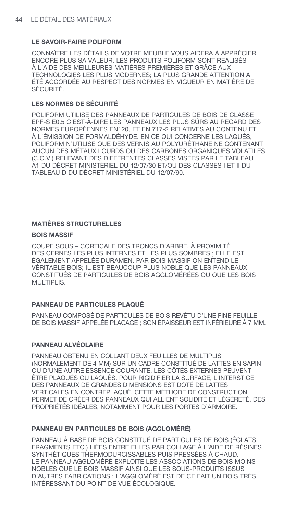## **LE SAVOIR-FAIRE POLIFORM**

CONNAÎTRE LES DÉTAILS DE VOTRE MEUBLE VOUS AIDERA À APPRÉCIER ENCORE PLUS SA VALEUR. LES PRODUITS POLIFORM SONT RÉALISÉS À L'AIDE DES MEILLEURES MATIÈRES PREMIÈRES ET GRÂCE AUX TECHNOLOGIES LES PLUS MODERNES; LA PLUS GRANDE ATTENTION A ÉTÉ ACCORDÉE AU RESPECT DES NORMES EN VIGUEUR EN MATIÈRE DE SÉCURITÉ.

## **LES NORMES DE SÉCURITÉ**

POLIFORM UTILISE DES PANNEAUX DE PARTICULES DE BOIS DE CLASSE EPF-S E0.5 C'EST-À-DIRE LES PANNEAUX LES PLUS SÛRS AU REGARD DES NORMES EUROPÉENNES EN120, ET EN 717-2 RELATIVES AU CONTENU ET À L'ÉMISSION DE FORMALDÉHYDE. EN CE QUI CONCERNE LES LAQUÉS, POLIFORM N'UTILISE QUE DES VERNIS AU POLYURÉTHANE NE CONTENANT AUCUN DES MÉTAUX LOURDS OU DES CARBONES ORGANIQUES VOLATILES (C.O.V.) RELEVANT DES DIFFÉRENTES CLASSES VISÉES PAR LE TABLEAU A1 DU DÉCRET MINISTÉRIEL DU 12/07/30 ET/OU DES CLASSES I ET II DU TABLEAU D DU DÉCRET MINISTÉRIEL DU 12/07/90.

## **MATIÈRES STRUCTURELLES**

## **BOIS MASSIF**

COUPE SOUS – CORTICALE DES TRONCS D'ARBRE, À PROXIMITÉ DES CERNES LES PLUS INTERNES ET LES PLUS SOMBRES ; ELLE EST ÉGALEMENT APPELÉE DURAMEN. PAR BOIS MASSIF ON ENTEND LE VÉRITABLE BOIS; IL EST BEAUCOUP PLUS NOBLE QUE LES PANNEAUX CONSTITUÉS DE PARTICULES DE BOIS AGGLOMÉRÉES OU QUE LES BOIS MULTIPLIS.

## **PANNEAU DE PARTICULES PLAQUÉ**

PANNEAU COMPOSÉ DE PARTICULES DE BOIS REVÊTU D'UNE FINE FEUILLE DE BOIS MASSIF APPELÉE PLACAGE ; SON ÉPAISSEUR EST INFÉRIEURE À 7 MM.

## **PANNEAU ALVÉOLAIRE**

PANNEAU OBTENU EN COLLANT DEUX FEUILLES DE MULTIPLIS (NORMALEMENT DE 4 MM) SUR UN CADRE CONSTITUÉ DE LATTES EN SAPIN OU D'UNE AUTRE ESSENCE COURANTE. LES CÔTÉS EXTERNES PEUVENT ÊTRE PLAQUÉS OU LAQUÉS. POUR RIGIDIFIER LA SURFACE, L'INTERSTICE DES PANNEAUX DE GRANDES DIMENSIONS EST DOTÉ DE LATTES VERTICALES EN CONTREPLAQUÉ. CETTE MÉTHODE DE CONSTRUCTION PERMET DE CRÉER DES PANNEAUX QUI ALLIENT SOLIDITÉ ET LÉGÈRETÉ, DES PROPRIÉTÉS IDÉALES, NOTAMMENT POUR LES PORTES D'ARMOIRE.

## **PANNEAU EN PARTICULES DE BOIS (AGGLOMÉRÉ)**

PANNEAU À BASE DE BOIS CONSTITUÉ DE PARTICULES DE BOIS (ÉCLATS, FRAGMENTS ETC.) LIÉES ENTRE ELLES PAR COLLAGE À L'AIDE DE RÉSINES SYNTHÉTIQUES THERMODURCISSABLES PUIS PRESSÉES À CHAUD. LE PANNEAU AGGLOMÉRÉ EXPLOITE LES ASSOCIATIONS DE BOIS MOINS NOBLES QUE LE BOIS MASSIF AINSI QUE LES SOUS-PRODUITS ISSUS D'AUTRES FABRICATIONS : L'AGGLOMÉRÉ EST DE CE FAIT UN BOIS TRÈS INTÉRESSANT DU POINT DE VUE ÉCOLOGIQUE.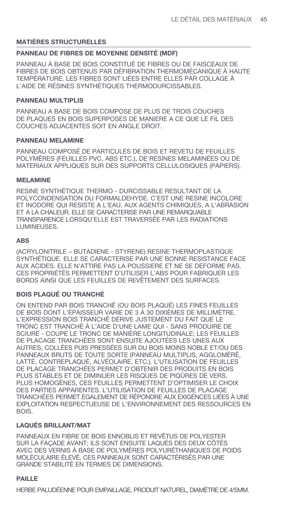## **MATIÈRES STRUCTURELLES**

## **PANNEAU DE FIBRES DE MOYENNE DENSITÉ (MDF)**

PANNEAU À BASE DE BOIS CONSTITUÉ DE FIBRES OU DE FAISCEAUX DE FIBRES DE BOIS OBTENUS PAR DÉFIBRATION THERMOMÉCANIQUE À HAUTE TEMPÉRATURE. LES FIBRES SONT LIÉES ENTRE ELLES PAR COLLAGE À L'AIDE DE RÉSINES SYNTHÉTIQUES THERMODURCISSABLES.

### **PANNEAU MULTIPLIS**

PANNEAU A BASE DE BOIS COMPOSE DE PLUS DE TROIS COUCHES DE PLAQUES EN BOIS SUPERPOSES DE MANIERE A CE QUE LE FIL DES COUCHES ADJACENTES SOIT EN ANGLE DROIT.

## **PANNEAU MELAMINE**

PANNEAU COMPOSÉ DE PARTICULES DE BOIS ET REVETU DE FEUILLES POLYMÈRES (FEUILLES PVC, ABS ETC.), DE RESINES MELAMINÉES OU DE MATERIAUX APPLIQUÉS SUR DES SUPPORTS CELLULOSIQUES (PAPIERS).

#### **MELAMINE**

RESINE SYNTHÉTIQUE THERMO - DURCISSABLE RESULTANT DE LA POLYCONDENSATION DU FORMALDEHYDE. C'EST UNE RESINE INCOLORE ET INODORE QUI RESISTE A L'EAU, AUX AGENTS CHIMIQUES, A L'ABRASION ET A LA CHALEUR. ELLE SE CARACTERISE PAR UNE REMARQUABLE TRANSPARENCE LORSQU'ELLE EST TRAVERSÉE PAR LES RADIATIONS LUMINEUSES.

#### **ABS**

(ACRYLONITRILE – BUTADIENE - STYRENE) RESINE THERMOPLASTIQUE SYNTHÉTIQUE. ELLE SE CARACTERISE PAR UNE BONNE RESISTANCE FACE AUX ACIDES. ELLE N'ATTIRE PAS LA POUSSIERE ET NE SE DEFORME PAS. CES PROPRIÉTÉS PERMETTENT D'UTILISER L'ABS POUR FABRIQUER LES BORDS AINSI QUE LES FEUILLES DE REVÊTEMENT DES SURFACES.

## **BOIS PLAQUÉ OU TRANCHÉ**

ON ENTEND PAR BOIS TRANCHÉ (OU BOIS PLAQUÉ) LES FINES FEUILLES DE BOIS DONT L'ÉPAISSEUR VARIE DE 3 À 30 DIXIÈMES DE MILLIMÈTRE. L'EXPRESSION BOIS TRANCHÉ DÉRIVE JUSTEMENT DU FAIT QUE LE TRONC EST TRANCHÉ À L'AIDE D'UNE LAME QUI - SANS PRODUIRE DE SCIURE - COUPE LE TRONC DE MANIÈRE LONGITUDINALE; LES FEUILLES DE PLACAGE TRANCHÉES SONT ENSUITE AJOUTÉES LES UNES AUX AUTRES, COLLÉES PUIS PRESSÉES SUR DU BOIS MOINS NOBLE ET/OU DES PANNEAUX BRUTS DE TOUTE SORTE (PANNEAU MULTIPLIS, AGGLOMÉRÉ, LATTÉ, CONTREPLAQUÉ, ALVÉOLAIRE, ETC.). L'UTILISATION DE FEUILLES DE PLACAGE TRANCHÉES PERMET D'OBTENIR DES PRODUITS EN BOIS PLUS STABLES ET DE DIMINUER LES RISQUES DE PIQÛRES DE VERS. PLUS HOMOGÈNES, CES FEUILLES PERMETTENT D'OPTIMISER LE CHOIX DES PARTIES APPARENTES. L'UTILISATION DE FEUILLES DE PLACAGE TRANCHÉES PERMET ÉGALEMENT DE RÉPONDRE AUX EXIGENCES LIÉES À UNE EXPLOITATION RESPECTUEUSE DE L'ENVIRONNEMENT DES RESSOURCES EN **BOIS** 

# **LAQUÉS BRILLANT/MAT**

PANNEAUX EN FIBRE DE BOIS ENNOBLIS ET REVÊTUS DE POLYESTER SUR LA FAÇADE AVANT; ILS SONT ENSUITE LAQUÉS DES DEUX CÔTÉS AVEC DES VERNIS À BASE DE POLYMÈRES POLYURÉTHANIQUES DE POIDS MOLÉCULAIRE ÉLEVÉ. CES PANNEAUX SONT CARACTÉRISÉS PAR UNE GRANDE STABILITÉ EN TERMES DE DIMENSIONS.

## **PAILLE**

HERBE PALUDÉENNE POUR EMPAILLAGE, PRODUIT NATUREL, DIAMÈTRE DE 4/5MM.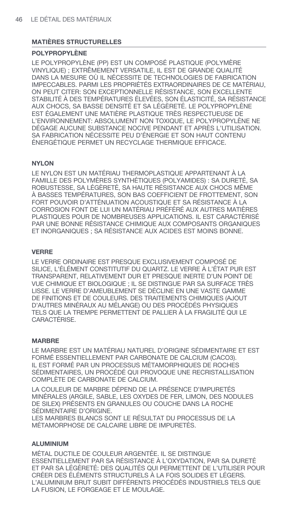## **MATIÈRES STRUCTURELLES**

## **POLYPROPYLÈNE**

LE POLYPROPYLÈNE (PP) EST UN COMPOSÉ PLASTIQUE (POLYMÈRE VINYLIQUE) ; EXTRÊMEMENT VERSATILE, IL EST DE GRANDE QUALITÉ DANS LA MESURE OÙ IL NÉCESSITE DE TECHNOLOGIES DE FABRICATION IMPECCABLES. PARMI LES PROPRIÉTÉS EXTRAORDINAIRES DE CE MATÉRIAU, ON PEUT CITER: SON EXCEPTIONNELLE RÉSISTANCE, SON EXCELLENTE STABILITÉ À DES TEMPÉRATURES ÉLEVÉES, SON ÉLASTICITÉ, SA RÉSISTANCE AUX CHOCS, SA BASSE DENSITÉ ET SA LÉGÈRETÉ. LE POLYPROPYLÈNE EST ÉGALEMENT UNE MATIÈRE PLASTIQUE TRÈS RESPECTUEUSE DE L'ENVIRONNEMENT: ABSOLUMENT NON TOXIQUE, LE POLYPROPYLÈNE NE DÉGAGE AUCUNE SUBSTANCE NOCIVE PENDANT ET APRÈS L'UTILISATION. SA FABRICATION NÉCESSITE PEU D'ÉNERGIE ET SON HAUT CONTENU ÉNERGÉTIQUE PERMET UN RECYCLAGE THERMIQUE EFFICACE.

## **NYLON**

LE NYLON EST UN MATÉRIAU THERMOPLASTIQUE APPARTENANT À LA FAMILLE DES POLYMÈRES SYNTHÉTIQUES (POLYAMIDES) : SA DURETÉ, SA ROBUSTESSE, SA LÉGÈRETÉ, SA HAUTE RÉSISTANCE AUX CHOCS MÊME À BASSES TEMPÉRATURES, SON BAS COEFFICIENT DE FROTTEMENT, SON FORT POUVOIR D'ATTÉNUATION ACOUSTIQUE ET SA RÉSISTANCE À LA CORROSION FONT DE LUI UN MATÉRIAU PRÉFÉRÉ AUX AUTRES MATIÈRES PLASTIQUES POUR DE NOMBREUSES APPLICATIONS. IL EST CARACTÉRISÉ PAR UNE BONNE RÉSISTANCE CHIMIQUE AUX COMPOSANTS ORGANIQUES ET INORGANIQUES ; SA RÉSISTANCE AUX ACIDES EST MOINS BONNE.

## **VERRE**

LE VERRE ORDINAIRE EST PRESQUE EXCLUSIVEMENT COMPOSÉ DE SILICE, L'ÉLÉMENT CONSTITUTIF DU QUARTZ. LE VERRE À L'ÉTAT PUR EST TRANSPARENT, RELATIVEMENT DUR ET PRESQUE INERTE D'UN POINT DE VUE CHIMIQUE ET BIOLOGIQUE ; IL SE DISTINGUE PAR SA SURFACE TRÈS LISSE. LE VERRE D'AMEUBLEMENT SE DÉCLINE EN UNE VASTE GAMME DE FINITIONS ET DE COULEURS. DES TRAITEMENTS CHIMIQUES (AJOUT D'AUTRES MINÉRAUX AU MÉLANGE) OU DES PROCÉDÉS PHYSIQUES TELS QUE LA TREMPE PERMETTENT DE PALLIER À LA FRAGILITÉ QUI LE CARACTÉRISE.

## **MARBRE**

LE MARBRE EST UN MATÉRIAU NATUREL D'ORIGINE SÉDIMENTAIRE ET EST FORMÉ ESSENTIELLEMENT PAR CARBONATE DE CALCIUM (CACO3). IL EST FORMÉ PAR UN PROCESSUS MÉTAMORPHIQUES DE ROCHES SÉDIMENTAIRES, UN PROCÉDÉ QUI PROVOQUE UNE RECRISTALLISATION COMPLÈTE DE CARBONATE DE CALCIUM.

LA COULEUR DE MARBRE DÉPEND DE LA PRÉSENCE D'IMPURETÉS MINÉRALES (ARGILE, SABLE, LES OXYDES DE FER, LIMON, DES NODULES DE SILEX) PRÉSENTS EN GRANULES OU COUCHE DANS LA ROCHE SÉDIMENTAIRE D'ORIGINE.

LES MARBRES BLANCS SONT LE RÉSULTAT DU PROCESSUS DE LA MÉTAMORPHOSE DE CALCAIRE LIBRE DE IMPURETÉS.

## **ALUMINIUM**

MÉTAL DUCTILE DE COULEUR ARGENTÉE. IL SE DISTINGUE ESSENTIELLEMENT PAR SA RÉSISTANCE À L'OXYDATION, PAR SA DURETÉ ET PAR SA LÉGÈRETÉ: DES QUALITÉS QUI PERMETTENT DE L'UTILISER POUR CRÉER DES ÉLÉMENTS STRUCTURELS À LA FOIS SOLIDES ET LÉGERS. L'ALUMINIUM BRUT SUBIT DIFFÉRENTS PROCÉDÉS INDUSTRIELS TELS QUE LA FUSION, LE FORGEAGE ET LE MOULAGE.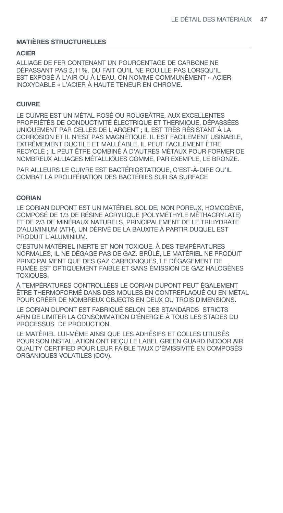## **MATIÈRES STRUCTURELLES**

### **ACIER**

ALLIAGE DE FER CONTENANT UN POURCENTAGE DE CARBONE NE DÉPASSANT PAS 2,11%. DU FAIT QU'IL NE ROUILLE PAS LORSQU'IL EST EXPOSÉ À L'AIR OU À L'EAU, ON NOMME COMMUNÉMENT « ACIER INOXYDABLE » L'ACIER À HAUTE TENEUR EN CHROME.

## **CUIVRE**

LE CUIVRE EST UN MÉTAL ROSÉ OU ROUGEÂTRE, AUX EXCELLENTES PROPRIÉTÉS DE CONDUCTIVITÉ ÉLECTRIQUE ET THERMIQUE, DÉPASSÉES UNIQUEMENT PAR CELLES DE L'ARGENT ; IL EST TRÈS RÉSISTANT À LA CORROSION ET IL N'EST PAS MAGNÉTIQUE. IL EST FACILEMENT USINABLE, EXTRÊMEMENT DUCTILE ET MALLÉABLE, IL PEUT FACILEMENT ÊTRE RECYCLÉ ; IL PEUT ÊTRE COMBINÉ À D'AUTRES MÉTAUX POUR FORMER DE NOMBREUX ALLIAGES MÉTALLIQUES COMME, PAR EXEMPLE, LE BRONZE.

PAR AILLEURS LE CUIVRE EST BACTÉRIOSTATIQUE, C'EST-À-DIRE QU'IL COMBAT LA PROLIFÉRATION DES BACTÉRIES SUR SA SURFACE

#### **CORIAN**

LE CORIAN DUPONT EST UN MATÉRIEL SOLIDE, NON POREUX, HOMOGÈNE, COMPOSÉ DE 1/3 DE RÉSINE ACRYLIQUE (POLYMÉTHYLE MÉTHACRYLATE) ET DE 2/3 DE MINÉRAUX NATURELS, PRINCIPALEMENT DE LE TRIHYDRATE D'ALUMINIUM (ATH), UN DÉRIVÉ DE LA BAUXITE À PARTIR DUQUEL EST PRODUIT L'ALUMINIUM.

C'ESTUN MATÉRIEL INERTE ET NON TOXIQUE. À DES TEMPÉRATURES NORMALES, IL NE DÉGAGE PAS DE GAZ. BRÛLÉ, LE MATÉRIEL NE PRODUIT PRINCIPALMENT QUE DES GAZ CARBONIQUES, LE DÉGAGEMENT DE FUMÉE EST OPTIQUEMENT FAIBLE ET SANS ÉMISSION DE GAZ HALOGÈNES TOXIQUES.

À TEMPÉRATURES CONTROLLÉES LE CORIAN DUPONT PEUT ÉGALEMENT ÊTRE THERMOFORMÉ DANS DES MOULES EN CONTREPLAQUÉ OU EN MÉTAL POUR CRÉER DE NOMBREUX OBJECTS EN DEUX OU TROIS DIMENSIONS.

LE CORIAN DUPONT EST FABRIQUÉ SELON DES STANDARDS STRICTS AFIN DE LIMITER LA CONSOMMATION D'ÉNERGIE À TOUS LES STADES DU PROCESSUS DE PRODUCTION.

LE MATÉRIEL LUI-MÊME AINSI QUE LES ADHÉSIFS ET COLLES UTILISÉS POUR SON INSTALLATION ONT REÇU LE LABEL GREEN GUARD INDOOR AIR QUALITY CERTIFIED POUR LEUR FAIBLE TAUX D'ÉMISSIVITÉ EN COMPOSÉS ORGANIQUES VOLATILES (COV).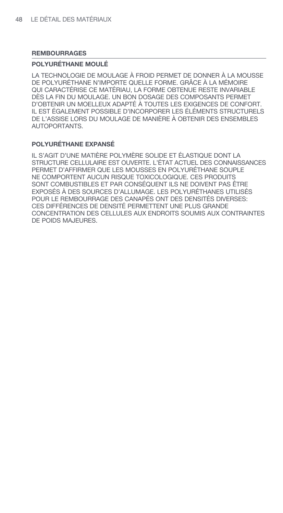## **REMBOURRAGES**

## **POLYURÉTHANE MOULÉ**

LA TECHNOLOGIE DE MOULAGE À FROID PERMET DE DONNER À LA MOUSSE DE POLYURÉTHANE N'IMPORTE QUELLE FORME. GRÂCE À LA MÉMOIRE QUI CARACTÉRISE CE MATÉRIAU, LA FORME OBTENUE RESTE INVARIABLE DÈS LA FIN DU MOULAGE. UN BON DOSAGE DES COMPOSANTS PERMET D'OBTENIR UN MOELLEUX ADAPTÉ À TOUTES LES EXIGENCES DE CONFORT. IL EST ÉGALEMENT POSSIBLE D'INCORPORER LES ÉLÉMENTS STRUCTURELS DE L'ASSISE LORS DU MOULAGE DE MANIÈRE À OBTENIR DES ENSEMBLES AUTOPORTANTS.

## **POLYURÉTHANE EXPANSÉ**

IL S'AGIT D'UNE MATIÈRE POLYMÈRE SOLIDE ET ÉLASTIQUE DONT LA STRUCTURE CELLULAIRE EST OUVERTE. L'ÉTAT ACTUEL DES CONNAISSANCES PERMET D'AFFIRMER QUE LES MOUSSES EN POLYURÉTHANE SOUPLE NE COMPORTENT AUCUN RISQUE TOXICOLOGIQUE. CES PRODUITS SONT COMBUSTIBLES ET PAR CONSÉQUENT ILS NE DOIVENT PAS ÊTRE EXPOSÉS À DES SOURCES D'ALLUMAGE. LES POLYURÉTHANES UTILISÉS POUR LE REMBOURRAGE DES CANAPÉS ONT DES DENSITÉS DIVERSES: CES DIFFÉRENCES DE DENSITÉ PERMETTENT UNE PLUS GRANDE CONCENTRATION DES CELLULES AUX ENDROITS SOUMIS AUX CONTRAINTES DE POIDS MAJEURES.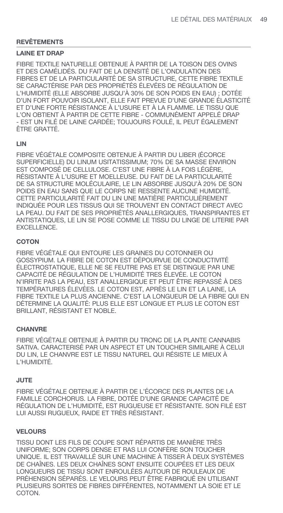#### **LAINE ET DRAP**

FIBRE TEXTILE NATURELLE OBTENUE À PARTIR DE LA TOISON DES OVINS ET DES CAMÉLIDÉS. DU FAIT DE LA DENSITÉ DE L'ONDULATION DES FIBRES ET DE LA PARTICULARITÉ DE SA STRUCTURE, CETTE FIBRE TEXTILE SE CARACTÉRISE PAR DES PROPRIÉTÉS ÉLEVÉES DE RÉGULATION DE L'HUMIDITÉ (ELLE ABSORBE JUSQU'À 30% DE SON POIDS EN EAU) ; DOTÉE D'UN FORT POUVOIR ISOLANT, ELLE FAIT PREVUE D'UNE GRANDE ÉLASTICITÉ ET D'UNE FORTE RÉSISTANCE À L'USURE ET À LA FLAMME. LE TISSU QUE L'ON OBTIENT À PARTIR DE CETTE FIBRE - COMMUNÉMENT APPELÉ DRAP - EST UN FILÉ DE LAINE CARDÉE; TOUJOURS FOULÉ, IL PEUT ÉGALEMENT ÊTRE GRATTÉ.

## **LIN**

FIBRE VÉGÉTALE COMPOSITE OBTENUE À PARTIR DU LIBER (ÉCORCE SUPERFICIELLE) DU LINUM USITATISSIMUM; 70% DE SA MASSE ENVIRON EST COMPOSÉ DE CELLULOSE. C'EST UNE FIBRE À LA FOIS LÉGÈRE, RÉSISTANTE À L'USURE ET MOELLEUSE. DU FAIT DE LA PARTICULARITÉ DE SA STRUCTURE MOLÉCULAIRE, LE LIN ABSORBE JUSQU'À 20% DE SON POIDS EN EAU SANS QUE LE CORPS NE RESSENTE AUCUNE HUMIDITÉ. CETTE PARTICULARITÉ FAIT DU LIN UNE MATIÈRE PARTICULIÈREMENT INDIQUÉE POUR LES TISSUS QUI SE TROUVENT EN CONTACT DIRECT AVEC LA PEAU. DU FAIT DE SES PROPRIÉTÉS ANALLERGIQUES, TRANSPIRANTES ET ANTISTATIQUES, LE LIN SE POSE COMME LE TISSU DU LINGE DE LITERIE PAR EXCELLENCE.

## **COTON**

FIBRE VÉGÉTALE QUI ENTOURE LES GRAINES DU COTONNIER OU GOSSYPIUM. LA FIBRE DE COTON EST DÉPOURVUE DE CONDUCTIVITÉ ÉLECTROSTATIQUE, ELLE NE SE FEUTRE PAS ET SE DISTINGUE PAR UNE CAPACITÉ DE RÉGULATION DE L'HUMIDITÉ TRES ÉLEVÉE. LE COTON N'IRRITE PAS LA PEAU, EST ANALLERGIQUE ET PEUT ÊTRE REPASSÉ À DES TEMPÉRATURES ÉLEVÉES. LE COTON EST, APRÈS LE LIN ET LA LAINE, LA FIBRE TEXTILE LA PLUS ANCIENNE. C'EST LA LONGUEUR DE LA FIBRE QUI EN DÉTERMINE LA QUALITÉ: PLUS ELLE EST LONGUE ET PLUS LE COTON EST BRILLANT, RÉSISTANT ET NOBLE.

## **CHANVRE**

FIBRE VÉGÉTALE OBTENUE À PARTIR DU TRONC DE LA PLANTE CANNABIS SATIVA. CARACTERISÉ PAR UN ASPECT ET UN TOUCHER SIMILAIRE À CELUI DU LIN, LE CHANVRE EST LE TISSU NATUREL QUI RÉSISTE LE MIEUX À L'HUMIDITÉ.

## **JUTE**

FIBRE VÉGÉTALE OBTENUE À PARTIR DE L'ÉCORCE DES PLANTES DE LA FAMILLE CORCHORUS. LA FIBRE, DOTÉE D'UNE GRANDE CAPACITÉ DE RÉGULATION DE L'HUMIDITÉ, EST RUGUEUSE ET RÉSISTANTE. SON FILÉ EST LUI AUSSI RUGUEUX, RAIDE ET TRÈS RÉSISTANT.

## **VELOURS**

TISSU DONT LES FILS DE COUPE SONT RÉPARTIS DE MANIÈRE TRÈS UNIFORME; SON CORPS DENSE ET RAS LUI CONFÈRE SON TOUCHER UNIQUE. IL EST TRAVAILLÉ SUR UNE MACHINE À TISSER À DEUX SYSTÈMES DE CHAÎNES. LES DEUX CHAÎNES SONT ENSUITE COUPÉES ET LES DEUX LONGUEURS DE TISSU SONT ENROULÉES AUTOUR DE ROULEAUX DE PRÉHENSION SÉPARÉS. LE VELOURS PEUT ÊTRE FABRIQUÉ EN UTILISANT PLUSIEURS SORTES DE FIBRES DIFFÉRENTES, NOTAMMENT LA SOIE ET LE COTON.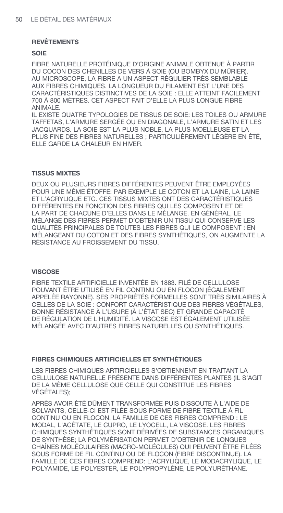#### **SOIE**

FIBRE NATURELLE PROTÉINIQUE D'ORIGINE ANIMALE OBTENUE À PARTIR DU COCON DES CHENILLES DE VERS À SOIE (OU BOMBYX DU MÛRIER). AU MICROSCOPE, LA FIBRE A UN ASPECT RÉGULIER TRÈS SEMBLABLE AUX FIBRES CHIMIQUES. LA LONGUEUR DU FILAMENT EST L'UNE DES CARACTÉRISTIQUES DISTINCTIVES DE LA SOIE : ELLE ATTEINT FACILEMENT 700 À 800 MÈTRES. CET ASPECT FAIT D'ELLE LA PLUS LONGUE FIBRE ANIMALE.

IL EXISTE QUATRE TYPOLOGIES DE TISSUS DE SOIE: LES TOILES OU ARMURE TAFFETAS, L'ARMURE SERGÉE OU EN DIAGONALE, L'ARMURE SATIN ET LES JACQUARDS. LA SOIE EST LA PLUS NOBLE, LA PLUS MOELLEUSE ET LA PLUS FINE DES FIBRES NATURELLES ; PARTICULIÈREMENT LÉGÈRE EN ÉTÉ, ELLE GARDE LA CHALEUR EN HIVER.

#### **TISSUS MIXTES**

DEUX OU PLUSIEURS FIBRES DIFFÉRENTES PEUVENT ÊTRE EMPLOYÉES POUR UNE MÊME ÉTOFFE: PAR EXEMPLE LE COTON ET LA LAINE, LA LAINE ET L'ACRYLIQUE ETC. CES TISSUS MIXTES ONT DES CARACTÉRISTIQUES DIFFÉRENTES EN FONCTION DES FIBRES QUI LES COMPOSENT ET DE LA PART DE CHACUNE D'ELLES DANS LE MÉLANGE. EN GÉNÉRAL, LE MÉLANGE DES FIBRES PERMET D'OBTENIR UN TISSU QUI CONSERVE LES QUALITÉS PRINCIPALES DE TOUTES LES FIBRES QUI LE COMPOSENT : EN MÉLANGEANT DU COTON ET DES FIBRES SYNTHÉTIQUES, ON AUGMENTE LA RÉSISTANCE AU FROISSEMENT DU TISSU.

### **VISCOSE**

FIBRE TEXTILE ARTIFICIELLE INVENTÉE EN 1883. FILÉ DE CELLULOSE POUVANT ÊTRE UTILISÉ EN FIL CONTINU OU EN FLOCON (ÉGALEMENT APPELÉE RAYONNE). SES PROPRIÉTÉS FORMELLES SONT TRÈS SIMILAIRES À CELLES DE LA SOIE : CONFORT CARACTÉRISTIQUE DES FIBRES VÉGÉTALES, BONNE RÉSISTANCE À L'USURE (À L'ÉTAT SEC) ET GRANDE CAPACITÉ DE RÉGULATION DE L'HUMIDITÉ. LA VISCOSE EST ÉGALEMENT UTILISÉE MÉLANGÉE AVEC D'AUTRES FIBRES NATURELLES OU SYNTHÉTIQUES.

## **FIBRES CHIMIQUES ARTIFICIELLES ET SYNTHÉTIQUES**

LES FIBRES CHIMIQUES ARTIFICIELLES S'OBTIENNENT EN TRAITANT LA CELLULOSE NATURELLE PRÉSENTE DANS DIFFÉRENTES PLANTES (IL S'AGIT DE LA MÊME CELLULOSE QUE CELLE QUI CONSTITUE LES FIBRES VÉGÉTALES);

APRÈS AVOIR ÉTÉ DÛMENT TRANSFORMÉE PUIS DISSOUTE À L'AIDE DE SOLVANTS, CELLE-CI EST FILÉE SOUS FORME DE FIBRE TEXTILE À FIL CONTINU OU EN FLOCON. LA FAMILLE DE CES FIBRES COMPREND : LE MODAL, L'ACÉTATE, LE CUPRO, LE LYOCELL, LA VISCOSE. LES FIBRES CHIMIQUES SYNTHÉTIQUES SONT DÉRIVÉES DE SUBSTANCES ORGANIQUES DE SYNTHÈSE; LA POLYMÉRISATION PERMET D'OBTENIR DE LONGUES CHAÎNES MOLÉCULAIRES (MACRO-MOLÉCULES) QUI PEUVENT ÊTRE FILÉES SOUS FORME DE FIL CONTINU OU DE FLOCON (FIBRE DISCONTINUE). LA FAMILLE DE CES FIBRES COMPREND: L'ACRYLIQUE, LE MODACRYLIQUE, LE POLYAMIDE, LE POLYESTER, LE POLYPROPYLÈNE, LE POLYURÉTHANE.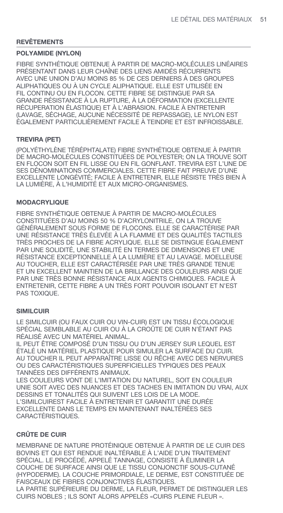## **POLYAMIDE (NYLON)**

FIBRE SYNTHÉTIQUE OBTENUE À PARTIR DE MACRO-MOLÉCULES LINÉAIRES PRÉSENTANT DANS LEUR CHAÎNE DES LIENS AMIDÉS RÉCURRENTS AVEC UNE UNION D'AU MOINS 85 % DE CES DERNIERS À DES GROUPES ALIPHATIQUES OU À UN CYCLE ALIPHATIQUE. ELLE EST UTILISÉE EN FIL CONTINU OU EN FLOCON. CETTE FIBRE SE DISTINGUE PAR SA GRANDE RÉSISTANCE À LA RUPTURE, À LA DÉFORMATION (EXCELLENTE RÉCUPERATION ÉLASTIQUE) ET À L'ABRASION. FACILE À ENTRETENIR (LAVAGE, SÉCHAGE, AUCUNE NÉCESSITÉ DE REPASSAGE), LE NYLON EST ÉGALEMENT PARTICULIÈREMENT FACILE À TEINDRE ET EST INFROISSABLE.

## **TREVIRA (PET)**

(POLYÉTHYLÈNE TÉRÉPHTALATE) FIBRE SYNTHÉTIQUE OBTENUE À PARTIR DE MACRO-MOLÉCULES CONSTITUÉES DE POLYESTER; ON LA TROUVE SOIT EN FLOCON SOIT EN FIL LISSE OU EN FIL GONFLANT. TREVIRA EST L'UNE DE SES DÉNOMINATIONS COMMERCIALES. CETTE FIBRE FAIT PREUVE D'UNE EXCELLENTE LONGÉVITÉ; FACILE À ENTRETENIR, ELLE RÉSISTE TRÈS BIEN À LA LUMIÈRE, À L'HUMIDITÉ ET AUX MICRO-ORGANISMES.

## **MODACRYLIQUE**

FIBRE SYNTHÉTIQUE OBTENUE À PARTIR DE MACRO-MOLÉCULES CONSTITUÉES D'AU MOINS 50 % D'ACRYLONITRILE, ON LA TROUVE GÉNÉRALEMENT SOUS FORME DE FLOCONS. ELLE SE CARACTÉRISE PAR UNE RÉSISTANCE TRÈS ÉLEVÉE À LA FLAMME ET DES QUALITÉS TACTILES TRÈS PROCHES DE LA FIBRE ACRYLIQUE. ELLE SE DISTINGUE ÉGALEMENT PAR UNE SOLIDITÉ, UNE STABILITÉ EN TERMES DE DIMENSIONS ET UNE RÉSISTANCE EXCEPTIONNELLE À LA LUMIÈRE ET AU LAVAGE. MOELLEUSE AU TOUCHER, ELLE EST CARACTÉRISÉE PAR UNE TRÈS GRANDE TENUE ET UN EXCELLENT MAINTIEN DE LA BRILLANCE DES COULEURS AINSI QUE PAR UNE TRÈS BONNE RÉSISTANCE AUX AGENTS CHIMIQUES. FACILE À ENTRETENIR, CETTE FIBRE A UN TRÈS FORT POUVOIR ISOLANT ET N'EST PAS TOXIQUE.

## **SIMILCUIR**

LE SIMILCUIR (OU FAUX CUIR OU VIN-CUIR) EST UN TISSU ÉCOLOGIQUE SPÉCIAL SEMBLABLE AU CUIR OU À LA CROÛTE DE CUIR N'ÉTANT PAS RÉALISÉ AVEC UN MATÉRIEL ANIMAL.

IL PEUT ÊTRE COMPOSÉ D'UN TISSU OU D'UN JERSEY SUR LEQUEL EST ÉTALÉ UN MATÉRIEL PLASTIQUE POUR SIMULER LA SURFACE DU CUIR. AU TOUCHER IL PEUT APPARAÎTRE LISSE OU RÊCHE AVEC DES NERVURES OU DES CARACTÉRISTIQUES SUPERFICIELLES TYPIQUES DES PEAUX TANNÉES DES DIFFÉRENTS ANIMAUX.

LES COULEURS VONT DE L'IMITATION DU NATUREL, SOIT EN COULEUR UNIE SOIT AVEC DES NUANCES ET DES TACHES EN IMITATION DU VRAI, AUX DESSINS ET TONALITÉS QUI SUIVENT LES LOIS DE LA MODE. L'SIMILCUIREST FACILE À ENTRETENIR ET GARANTIT UNE DURÉE EXCELLENTE DANS LE TEMPS EN MAINTENANT INALTÉRÉES SES CARACTÉRISTIQUES.

## **CRÛTE DE CUIR**

MEMBRANE DE NATURE PROTÉINIQUE OBTENUE À PARTIR DE LE CUIR DES BOVINS ET QUI EST RENDUE INALTÉRABLE À L'AIDE D'UN TRAITEMENT SPÉCIAL. LE PROCÉDÉ, APPELÉ TANNAGE, CONSISTE À ÉLIMINER LA COUCHE DE SURFACE AINSI QUE LE TISSU CONJONCTIF SOUS-CUTANÉ (HYPODERME). LA COUCHE PRIMORDIALE, LE DERME, EST CONSTITUÉE DE FAISCEAUX DE FIBRES CONJONCTIVES ÉLASTIQUES. LA PARTIE SUPÉRIEURE DU DERME, LA FLEUR, PERMET DE DISTINGUER LES

CUIRS NOBLES ; ILS SONT ALORS APPELÉS «CUIRS PLEINE FLEUR ».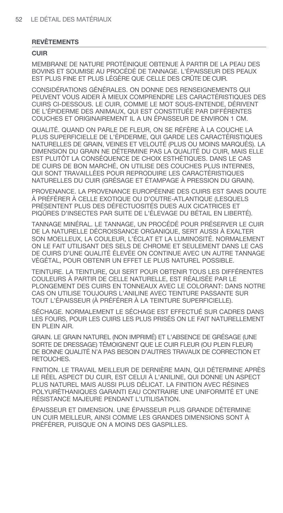#### **CUIR**

MEMBRANE DE NATURE PROTÉINIQUE OBTENUE À PARTIR DE LA PEAU DES BOVINS ET SOUMISE AU PROCÉDÉ DE TANNAGE. L'ÉPAISSEUR DES PEAUX EST PLUS FINE ET PLUS LÉGÈRE QUE CELLE DES CRÛTE DE CUIR.

CONSIDÉRATIONS GÉNÉRALES. ON DONNE DES RENSEIGNEMENTS QUI PEUVENT VOUS AIDER À MIEUX COMPRENDRE LES CARACTÉRISTIQUES DES CUIRS CI-DESSOUS. LE CUIR, COMME LE MOT SOUS-ENTENDE, DÉRIVENT DE L'ÉPIDERME DES ANIMAUX, QUI EST CONSTITUÉE PAR DIFFÉRENTES COUCHES ET ORIGINAIREMENT IL A UN ÉPAISSEUR DE ENVIRON 1 CM.

QUALITÉ. QUAND ON PARLE DE FLEUR, ON SE RÉFÈRE À LA COUCHE LA PLUS SUPERFICIELLE DE L'ÉPIDERME, QUI GARDE LES CARACTÉRISTIQUES NATURELLES DE GRAIN, VEINES ET VELOUTÉ (PLUS OU MOINS MARQUÉS). LA DIMENSION DU GRAIN NE DÉTERMINE PAS LA QUALITÉ DU CUIR, MAIS ELLE EST PLUTÔT LA CONSÉQUENCE DE CHOIX ESTHÉTIQUES. DANS LE CAS DE CUIRS DE BON MARCHÉ, ON UTILISE DES COUCHES PLUS INTERNES, QUI SONT TRAVAILLÉES POUR REPRODUIRE LES CARACTÉRISTIQUES NATURELLES DU CUIR (GRÉSAGE ET ÉTAMPAGE À PRESSION DU GRAIN).

PROVENANCE. LA PROVENANCE EUROPÉENNE DES CUIRS EST SANS DOUTE À PRÉFÉRER À CELLE EXOTIQUE OU D'OUTRE-ATLANTIQUE (LESQUELS PRÉSENTENT PLUS DES DÉFECTUOSITÉS DUES AUX CICATRICES ET PIQÛRES D'INSECTES PAR SUITE DE L'ÉLEVAGE DU BÉTAIL EN LIBERTÉ).

TANNAGE MINÉRAL. LE TANNAGE, UN PROCÉDÉ POUR PRÉSERVER LE CUIR DE LA NATURELLE DÉCROISSANCE ORGANIQUE, SERT AUSSI À EXALTER SON MOELLEUX, LA COULEUR, L'ÉCLAT ET LA LUMINOSITÉ. NORMALEMENT ON LE FAIT UTILISANT DES SELS DE CHROME ET SEULEMENT DANS LE CAS DE CUIRS D'UNE QUALITÉ ÉLEVÉE ON CONTINUE AVEC UN AUTRE TANNAGE VÉGÉTAL, POUR OBTENIR UN EFFET LE PLUS NATUREL POSSIBLE.

TEINTURE. LA TEINTURE, QUI SERT POUR OBTENIR TOUS LES DIFFÉRENTES COULEURS À PARTIR DE CELLE NATURELLE, EST RÉALISÉE PAR LE PLONGEMENT DES CUIRS EN TONNEAUX AVEC LE COLORANT: DANS NOTRE CAS ON UTILISE TOUJOURS L'ANILINE AVEC TEINTURE PASSANTE SUR TOUT L'ÉPAISSEUR (À PRÉFÉRER À LA TEINTURE SUPERFICIELLE).

SÉCHAGE. NORMALEMENT LE SÉCHAGE EST EFFECTUÉ SUR CADRES DANS LES FOURS, POUR LES CUIRS LES PLUS PRISÉS ON LE FAIT NATURELLEMENT EN PLEIN AIR.

GRAIN. LE GRAIN NATUREL (NON IMPRIMÉ) ET L'ABSENCE DE GRÉSAGE (UNE SORTE DE DRESSAGE) TÉMOIGNENT QUE LE CUIR FLEUR (OU PLEIN FLEUR) DE BONNE QUALITÉ N'A PAS BESOIN D'AUTRES TRAVAUX DE CORRECTION ET RETOUCHES.

FINITION. LE TRAVAIL MEILLEUR DE DERNIÈRE MAIN, QUI DÉTERMINE APRÈS LE RÉEL ASPECT DU CUIR, EST CELUI À L'ANILINE, QUI DONNE UN ASPECT PLUS NATUREL MAIS AUSSI PLUS DÉLICAT. LA FINITION AVEC RÉSINES POLYURÉTHANIQUES GARANTI EAU CONTRAIRE UNE UNIFORMITÉ ET UNE RÉSISTANCE MAJEURE PENDANT L'UTILISATION.

ÉPAISSEUR ET DIMENSION. UNE ÉPAISSEUR PLUS GRANDE DÉTERMINE UN CUIR MEILLEUR, AINSI COMME LES GRANDES DIMENSIONS SONT À PRÉFÉRER, PUISQUE ON A MOINS DES GASPILLES.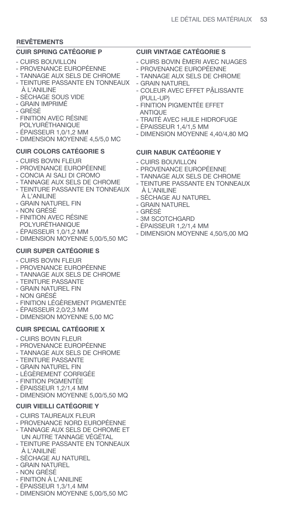## **CUIR SPRING CATÉGORIE P**

- CUIRS BOUVILLON
- PROVENANCE EUROPÉENNE
- TANNAGE AUX SELS DE CHROME
- TEINTURE PASSANTE EN TONNEAUX À L'ANILINE
- SÉCHAGE SOUS VIDE
- GRAIN IMPRIMÉ
- GRÉSÉ
- FINITION AVEC RÉSINE POLYURÉTHANIQUE
- ÉPAISSEUR 1,0/1,2 MM
- DIMENSION MOYENNE 4,5/5,0 MC

## **CUIR COLORS CATÉGORIE S**

- CUIRS BOVIN FLEUR
- PROVENANCE EUROPÉENNE
- CONCIA AI SALI DI CROMO
- TANNAGE AUX SELS DE CHROME
- TEINTURE PASSANTE EN TONNEAUX À L'ANILINE
- GRAIN NATUREL FIN
- NON GRÉSÉ
- FINITION AVEC RÉSINE POLYURÉTHANIQUE
- ÉPAISSEUR 1,0/1,2 MM
- DIMENSION MOYENNE 5,00/5,50 MC

## **CUIR SUPER CATÉGORIE S**

- CUIRS BOVIN FLEUR
- PROVENANCE EUROPÉENNE
- TANNAGE AUX SELS DE CHROME
- TEINTURE PASSANTE
- GRAIN NATUREL FIN
- NON GRÉSÉ
- FINITION LÉGÈREMENT PIGMENTÉE
- ÉPAISSEUR 2,0/2,3 MM
- DIMENSION MOYENNE 5,00 MC

## **CUIR SPECIAL CATÉGORIE X**

- CUIRS BOVIN FLEUR
- PROVENANCE EUROPÉENNE
- TANNAGE AUX SELS DE CHROME
- TEINTURE PASSANTE
- GRAIN NATUREL FIN
- LÉGÈREMENT CORRIGÉE
- FINITION PIGMENTÉE
- ÉPAISSEUR 1,2/1,4 MM
- DIMENSION MOYENNE 5,00/5,50 MQ

## **CUIR VIEILLI CATÉGORIE Y**

- CUIRS TAUREAUX FLEUR
- PROVENANCE NORD EUROPÉENNE
- TANNAGE AUX SELS DE CHROME ET UN AUTRE TANNAGE VÉGÉTAL
- TEINTURE PASSANTE EN TONNEAUX À L'ANILINE
- SÉCHAGE AU NATUREL
- GRAIN NATUREL
- NON GRÉSÉ
- FINITION À L'ANILINE
- ÉPAISSEUR 1,3/1,4 MM
- DIMENSION MOYENNE 5,00/5,50 MC

## **CUIR VINTAGE CATÉGORIE S**

- CUIRS BOVIN ÈMERI AVEC NUAGES
- PROVENANCE EUROPÉENNE
- TANNAGE AUX SELS DE CHROME
- GRAIN NATUREL
- COLEUR AVEC EFFET PẬLISSANTE (PULL-UP)
- FINITION PIGMENTÉE EFFET ANTIQUE
- TRAITÉ AVEC HUILE HIDROFUGE
- ÉPAISSEUR 1,4/1,5 MM
- DIMENSION MOYENNE 4,40/4,80 MQ

## **CUIR NABUK CATÉGORIE Y**

- CUIRS BOUVILLON
- PROVENANCE EUROPÉENNE
- TANNAGE AUX SELS DE CHROME
- TEINTURE PASSANTE EN TONNEAUX À L'ANILINE
- SÉCHAGE AU NATUREL
- GRAIN NATUREL
- GRÉSÉ
- 3M SCOTCHGARD
- ÉPAISSEUR 1,2/1,4 MM
- DIMENSION MOYENNE 4,50/5,00 MQ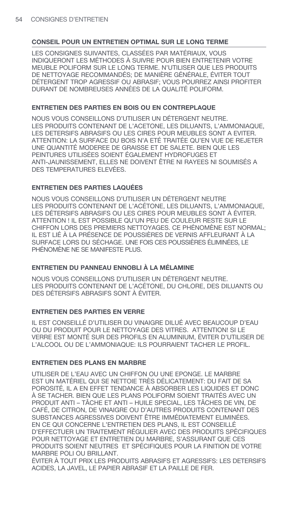LES CONSIGNES SUIVANTES. CLASSÉES PAR MATÉRIAUX. VOUS INDIQUERONT LES MÉTHODES À SUIVRE POUR BIEN ENTRETENIR VOTRE MEUBLE POLIFORM SUR LE LONG TERME. N'UTILISER QUE LES PRODUITS DE NETTOYAGE RECOMMANDÉS; DE MANIÈRE GÉNÉRALE, ÉVITER TOUT DÉTERGENT TROP AGRESSIF OU ABRASIF: VOUS POURREZ AINSI PROFITER DURANT DE NOMBREUSES ANNÉES DE LA QUALITÉ POLIFORM.

## ENTRETIEN DES PARTIES EN BOIS OU EN CONTREPLAQUE

NOUS VOUS CONSEILLONS D'UTILISER UN DÉTERGENT NEUTRE. LES PRODUITS CONTENANT DE L'ACETONE. LES DILUANTS. L'AMMONIAQUE. LES DETERSIFS ABRASIFS OU LES CIRES POUR MEUBLES SONT A EVITER. ATTENTION: LA SURFACE DU BOIS N'A ETÉ TRAITÉE QU'EN VUE DE REJETER UNE QUANTITÉ MODEREE DE GRAISSE ET DE SALETE. BIEN QUE LES PEINTURES UTILISÉES SOIENT ÉGALEMENT HYDROFUGES ET ANTI-JAUNISSEMENT. ELLES NE DOIVENT ÊTRE NI RAYEES NI SOUMISÉS A DES TEMPERATURES ELEVÉES.

## **ENTRETIEN DES PARTIES LAQUÉES**

NOUS VOUS CONSEILLONS D'UTILISER UN DÉTERGENT NEUTRE LES PRODUITS CONTENANT DE L'ACÉTONE, LES DILUANTS, L'AMMONIAQUE, LES DÉTERSIFS ABRASIFS OU LES CIRES POUR MEUBLES SONT À ÉVITER. ATTENTION ! IL EST POSSIBLE QU'UN PEU DE COULEUR RESTE SUR LE CHIFFON LORS DES PREMIERS NETTOYAGES, CE PHÉNOMÈNE EST NORMAL. IL EST LIÉ À LA PRÉSENCE DE POUSSIÈRES DE VERNIS AFFLEURANT À LA SURFACE LORS DU SÉCHAGE. UNE FOIS CES POUSSIÈRES ÉLIMINÉES. LE PHÉNOMÈNE NE SE MANIFESTE PLUS.

## ENTRETIEN DU PANNEAU ENNOBLI À LA MÉLAMINE

NOUS VOUS CONSEILLONS D'UTILISER UN DÉTERGENT NEUTRE. LES PRODUITS CONTENANT DE L'ACÉTONE. DU CHLORE, DES DILUANTS OU DES DÉTERSIFS ABRASIFS SONT À ÉVITER.

## **ENTRETIEN DES PARTIES EN VERRE**

IL EST CONSEILLÉ D'UTILISER DU VINAIGRE DILUÉ AVEC BEAUCOUP D'EAU OU DU PRODUIT POUR LE NETTOYAGE DES VITRES. ATTENTION! SI LE VERRE EST MONTÉ SUR DES PROFILS EN ALUMINIUM. ÉVITER D'UTILISER DE L'ALCOOL OU DE L'AMMONIAQUE: ILS POURRAIENT TACHER LE PROFIL.

## **ENTRETIEN DES PLANS EN MARBRE**

UTILISER DE L'EAU AVEC UN CHIFFON OU UNE EPONGE. LE MARBRE EST UN MATÉRIEL QUI SE NETTOIE TRÈS DÉLICATEMENT: DU FAIT DE SA POROSITÉ. IL A EN EFFET TENDANCE À ABSORBER LES LIQUIDES ET DONC À SE TACHER. BIEN QUE LES PLANS POLIFORM SOIENT TRAITÉS AVEC UN PRODUIT ANTI - TÂCHE ET ANTI - HUILE SPECIAL. LES TÂCHES DE VIN. DE CAFÉ, DE CITRON, DE VINAIGRE OU D'AUTRES PRODUITS CONTENANT DES SUBSTANCES AGRESSIVES DOIVENT ÊTRE IMMÉDIATEMENT ELIMINÉES. EN CE QUI CONCERNE L'ENTRETIEN DES PLANS, IL EST CONSEILLÉ D'EFFECTUER UN TRAITEMENT RÉGULIER AVEC DES PRODUITS SPÉCIFIQUES POUR NETTOYAGE ET ENTRETIEN DU MARBRE, S'ASSURANT QUE CES PRODUITS SOIENT NEUTRES ET SPÉCIFIQUES POUR LA FINITION DE VOTRE MARRRE POLLOU BRILLANT.

ÉVITER À TOUT PRIX LES PRODUITS ABRASIFS ET AGRESSIFS: LES DETERSIFS ACIDES. LA JAVEL. LE PAPIER ABRASIF ET LA PAILLE DE FER.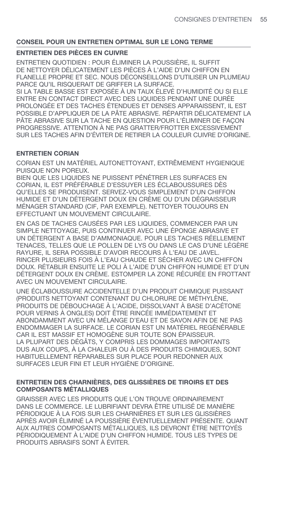## **ENTRETIEN DES PIÈCES EN CUIVRE**

ENTRETIEN QUOTIDIEN : POUR ÉLIMINER LA POUSSIÈRE, IL SUFFIT DE NETTOYER DÉLICATEMENT LES PIÈCES À L'AIDE D'UN CHIFFON EN FLANELLE PROPRE ET SEC. NOUS DÉCONSEILLONS D'UTILISER UN PLUMEAU PARCE QU'IL RISQUERAIT DE GRIFFER LA SURFACE.

SI LA TABLE BASSE EST EXPOSÉE À UN TAUX ÉLEVÉ D'HUMIDITÉ OU SI ELLE ENTRE EN CONTACT DIRECT AVEC DES LIQUIDES PENDANT UNE DURÉE PROLONGÉE ET DES TACHES ÉTENDUES ET DENSES APPARAISSENT, IL EST POSSIBLE D'APPLIQUER DE LA PÂTE ABRASIVE. RÉPARTIR DÉLICATEMENT LA PÂTE ABRASIVE SUR LA TACHE EN QUESTION POUR L'ÉLIMINER DE FAÇON PROGRESSIVE. ATTENTION À NE PAS GRATTER/FROTTER EXCESSIVEMENT SUR LES TACHES AFIN D'ÉVITER DE RETIRER LA COULEUR CUIVRE D'ORIGINE.

## **ENTRETIEN CORIAN**

CORIAN EST UN MATÉRIEL AUTONETTOYANT, EXTRÊMEMENT HYGIENIQUE PUISQUE NON POREUX.

BIEN QUE LES LIQUIDES NE PUISSENT PÉNÉTRER LES SURFACES EN CORIAN, IL EST PRÉFÉRABLE D'ESSUYER LES ÉCLABOUSSURES DÈS QU'ELLES SE PRODUISENT. SERVEZ-VOUS SIMPLEMENT D'UN CHIFFON HUMIDE ET D'UN DÉTERGENT DOUX EN CRÈME OU D'UN DÉGRAISSEUR MÉNAGER STANDARD (CIF, PAR EXEMPLE). NETTOYER TOUJOURS EN EFFECTUANT UN MOUVEMENT CIRCULAIRE.

EN CAS DE TACHES CAUSÉES PAR LES LIQUIDES, COMMENCER PAR UN SIMPLE NETTOYAGE, PUIS CONTINUER AVEC UNE ÉPONGE ABRASIVE ET UN DÉTERGENT A BASE D'AMMONIAQUE. POUR LES TACHES RÉELLEMENT TENACES, TELLES QUE LE POLLEN DE LYS OU DANS LE CAS D'UNE LÉGÈRE RAYURE, IL SERA POSSIBLE D'AVOIR RECOURS À L'EAU DE JAVEL. RINCER PLUSIEURS FOIS À L'EAU CHAUDE ET SÉCHER AVEC UN CHIFFON DOUX. RÉTABLIR ENSUITE LE POLI À L'AIDE D'UN CHIFFON HUMIDE ET D'UN DÉTERGENT DOUX EN CRÈME. ESTOMPER LA ZONE RÉCURÉE EN FROTTANT AVEC UN MOUVEMENT CIRCULAIRE.

UNE ÉCLABOUSSURE ACCIDENTELLE D'UN PRODUIT CHIMIQUE PUISSANT (PRODUITS NETTOYANT CONTENANT DU CHLORURE DE MÉTHYLÈNE, PRODUITS DE DÉBOUCHAGE À L'ACIDE, DISSOLVANT À BASE D'ACÉTONE POUR VERNIS À ONGLES) DOIT ÊTRE RINCÉE IMMÉDIATEMENT ET ABONDAMMENT AVEC UN MÉLANGE D'EAU ET DE SAVON AFIN DE NE PAS ENDOMMAGER LA SURFACE. LE CORIAN EST UN MATÉRIEL REGÉNÉRABLE CAR IL EST MASSIF ET HOMOGÈNE SUR TOUTE SON ÉPAISSEUR. LA PLUPART DES DÉGÂTS, Y COMPRIS LES DOMMAGES IMPORTANTS DUS AUX COUPS, À LA CHALEUR OU À DES PRODUITS CHIMIQUES, SONT HABITUELLEMENT RÉPARABLES SUR PLACE POUR REDONNER AUX SURFACES LEUR FINI ET LEUR HYGIÈNE D'ORIGINE.

## **ENTRETIEN DES CHARNIÈRES, DES GLISSIÈRES DE TIROIRS ET DES COMPOSANTS MÉTALLIQUES**

GRAISSER AVEC LES PRODUITS QUE L'ON TROUVE ORDINAIREMENT DANS LE COMMERCE. LE LUBRIFIANT DEVRA ÊTRE UTILISÉ DE MANIÈRE PÉRIODIQUE À LA FOIS SUR LES CHARNIÈRES ET SUR LES GLISSIÈRES APRÈS AVOIR ÉLIMINÉ LA POUSSIÈRE ÉVENTUELLEMENT PRÉSENTE. QUANT AUX AUTRES COMPOSANTS MÉTALLIQUES, ILS DEVRONT ÊTRE NETTOYÉS PÉRIODIQUEMENT À L'AIDE D'UN CHIFFON HUMIDE. TOUS LES TYPES DE PRODUITS ABRASIFS SONT À ÉVITER.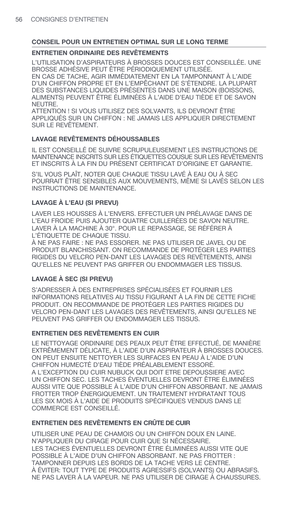## **ENTRETIEN ORDINAIRE DES REVÊTEMENTS**

L'UTILISATION D'ASPIRATEURS À BROSSES DOUCES EST CONSEILLÉE. UNE BROSSE ADHÉSIVE PEUT ÊTRE PÉRIODIQUEMENT UTILISÉE. EN CAS DE TACHE. AGIR IMMÉDIATEMENT EN LA TAMPONNANT À L'AIDE D'UN CHIFFON PROPRE ET EN L'EMPÊCHANT DE S'ÉTENDRE. LA PLUPART DES SUBSTANCES LIQUIDES PRÉSENTES DANS UNE MAISON (BOISSONS. ALIMENTS) PEUVENT ÊTRE ÉLIMINÉES À L'AIDE D'EAU TIÈDE ET DE SAVON NFUTRE.

ATTENTION ! SI VOUS UTILISEZ DES SOLVANTS. ILS DEVRONT ÊTRE APPLIQUÉS SUR UN CHIFFON : NE JAMAIS LES APPLIQUER DIRECTEMENT SUR LE REVÊTEMENT.

# **LAVAGE REVÊTEMENTS DÉHOUSSABLES**

IL EST CONSEILLÉ DE SUIVRE SCRUPULEUSEMENT LES INSTRUCTIONS DE MAINTENANCE INSCRITS SUR LES ÉTIQUETTES COUSUE SUR LES REVÊTEMENTS ET INSCRITS À LA FIN DU PRÉSENT CERTIFICAT D'ORIGINE ET GARANTIE.

S'IL VOUS PLAÎT. NOTER QUE CHAQUE TISSU LAVÉ À EAU OU À SEC POURRAIT ÊTRE SENSIBLES AUX MOUVEMENTS. MÊME SI LAVÉS SELON LES INSTRUCTIONS DE MAINTENANCE.

# LAVAGE À L'EAU (SI PREVU)

LAVER LES HOUSSES À L'ENVERS. EFFECTUER UN PRÉLAVAGE DANS DE L'EAU FROIDE PUIS AJOUTER QUATRE CUILLERÉES DE SAVON NEUTRE. LAVER À LA MACHINE À 30°. POUR LE REPASSAGE. SE RÉFÉRER À L'ÉTIQUETTE DE CHAQUE TISSU.

À NE PAS FAIRE : NE PAS ESSORER. NE PAS UTILISER DE JAVEL OU DE PRODUIT BLANCHISSANT, ON RECOMMANDE DE PROTÉGER LES PARTIES RIGIDES DU VELCRO PEN-DANT LES LAVAGES DES REVÊTEMENTS. AINSI QU'ELLES NE PEUVENT PAS GRIFFER OU ENDOMMAGER LES TISSUS.

# **LAVAGE À SEC (SI PREVU)**

S'ADRESSER À DES ENTREPRISES SPÉCIALISÉES ET FOURNIR LES INFORMATIONS RELATIVES AU TISSU FIGURANT À LA FIN DE CETTE FICHE PRODUIT. ON RECOMMANDE DE PROTÉGER LES PARTIES RIGIDES DU VELCRO PEN-DANT LES LAVAGES DES REVÊTEMENTS. AINSI QU'ELLES NE PEUVENT PAS GRIFFER OU ENDOMMAGER LES TISSUS.

# **ENTRETIEN DES REVÊTEMENTS EN CUIR**

LE NETTOYAGE ORDINAIRE DES PEAUX PEUT ÊTRE EFFECTUÉ. DE MANIÈRE EXTRÊMEMENT DÉLICATE. À L'AIDE D'UN ASPIRATEUR À BROSSES DOUCES. ON PEUT ENSUITE NETTOYER LES SURFACES EN PEAU À L'AIDE D'UN CHIFFON HUMECTÉ D'EAU TIÈDE PRÉALABLEMENT ESSORÉ. A L'EXCEPTION DU CUIR NUBUCK QUI DOIT ETRE DEPOUSSIERE AVEC UN CHIFFON SEC. LES TACHES ÉVENTUELLES DEVRONT ÊTRE ÉLIMINÉES AUSSI VITE QUE POSSIBLE À L'AIDE D'UN CHIFFON ABSORBANT. NE JAMAIS FROTTER TROP ÉNERGIQUEMENT. UN TRAITEMENT HYDRATANT TOUS LES SIX MOIS À L'AIDE DE PRODUITS SPÉCIFIQUES VENDUS DANS LE COMMERCE EST CONSEILLÉ.

# ENTRETIEN DES REVÊTEMENTS EN CRÛTE DE CUIR

UTILISER UNE PEAU DE CHAMOIS OU UN CHIFFON DOUX EN LAINE. N'APPLIQUER DU CIRAGE POUR CUIR QUE SI NÉCESSAIRE. LES TACHES ÉVENTUELLES DEVRONT ÊTRE ÉLIMINÉES AUSSI VITE QUE POSSIBLE À L'AIDE D'UN CHIFFON ABSORBANT. NE PAS FROTTER : TAMPONNER DEPUIS LES BORDS DE LA TACHE VERS LE CENTRE. À ÉVITER: TOUT TYPE DE PRODUITS AGRESSIFS (SOLVANTS) OU ABRASIFS. NE PAS LAVER À LA VAPEUR. NE PAS UTILISER DE CIRAGE À CHAUSSURES.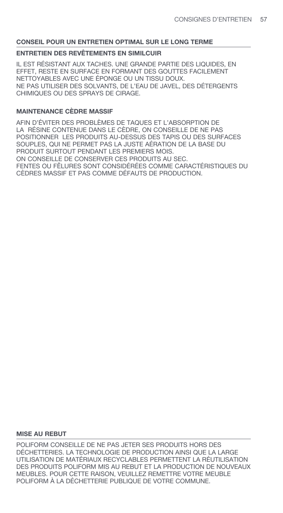## **ENTRETIEN DES REVÊTEMENTS EN SIMILCUIR**

IL EST RÉSISTANT AUX TACHES. UNE GRANDE PARTIE DES LIQUIDES, EN EFFET, RESTE EN SURFACE EN FORMANT DES GOUTTES FACILEMENT NETTOYABLES AVEC UNE ÉPONGE OU UN TISSU DOUX. NE PAS UTILISER DES SOLVANTS, DE L'EAU DE JAVEL, DES DÉTERGENTS CHIMIQUES OU DES SPRAYS DE CIRAGE.

## **MAINTENANCE CÈDRE MASSIF**

AFIN D'ÉVITER DES PROBLÈMES DE TAQUES ET L'ABSORPTION DE LA RÉSINE CONTENUE DANS LE CÈDRE, ON CONSEILLE DE NE PAS POSITIONNER LES PRODUITS AU-DESSUS DES TAPIS OU DES SURFACES SOUPLES, QUI NE PERMET PAS LA JUSTE AÉRATION DE LA BASE DU PRODUIT SURTOUT PENDANT LES PREMIERS MOIS. ON CONSEILLE DE CONSERVER CES PRODUITS AU SEC. FENTES OU FÊLURES SONT CONSIDÉRÉES COMME CARACTÉRISTIQUES DU CÈDRES MASSIF ET PAS COMME DÉFAUTS DE PRODUCTION.

#### **MISE AU REBUT**

POLIFORM CONSEILLE DE NE PAS JETER SES PRODUITS HORS DES DÉCHETTERIES. LA TECHNOLOGIE DE PRODUCTION AINSI QUE LA LARGE UTILISATION DE MATÉRIAUX RECYCLABLES PERMETTENT LA RÉUTILISATION DES PRODUITS POLIFORM MIS AU REBUT ET LA PRODUCTION DE NOUVEAUX MEUBLES. POUR CETTE RAISON, VEUILLEZ REMETTRE VOTRE MEUBLE POLIFORM À LA DÉCHETTERIE PUBLIQUE DE VOTRE COMMUNE.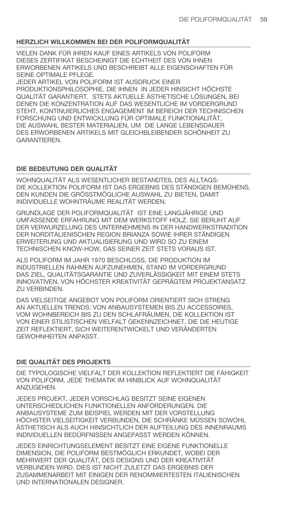## **HERZLICH WILLKOMMEN BEI DER POLIFORMQUALITÄT**

VIELEN DANK FÜR IHREN KAUF EINES ARTIKELS VON POLIFORM DIESES ZERTIFIKAT BESCHEINIGT DIE ECHTHEIT DES VON IHNEN ERWORBENEN ARTIKELS UND BESCHREIBT ALLE EIGENSCHAFTEN FÜR SEINE OPTIMALE PFLEGE.

JEDER ARTIKEL VON POLIFORM IST AUSDRUCK EINER PRODUKTIONSPHILOSOPHIE, DIE IHNEN IN JEDER HINSICHT HÖCHSTE QUALITÄT GARANTIERT. STETS AKTUELLE ÄSTHETISCHE LÖSUNGEN, BEI DENEN DIE KONZENTRATION AUF DAS WESENTLICHE IM VORDERGRUND STEHT, KONTINUIERLICHES ENGAGEMENT IM BEREICH DER TECHNISCHEN FORSCHUNG UND ENTWICKLUNG FÜR OPTIMALE FUNKTIONALITÄT, DIE AUSWAHL BESTER MATERIALIEN, UM DIE LANGE LEBENSDAUER DES ERWORBENEN ARTIKELS MIT GLEICHBLEIBENDER SCHÖNHEIT ZU GARANTIEREN.

# **DIE BEDEUTUNG DER QUALITÄT**

WOHNQUALITÄT ALS WESENTLICHER BESTANDTEIL DES ALLTAGS: DIE KOLLEKTION POLIFORM IST DAS ERGEBNIS DES STÄNDIGEN BEMÜHENS, DEN KUNDEN DIE GRÖSSTMÖGLICHE AUSWAHL ZU BIETEN, DAMIT INDIVIDUELLE WOHNTRÄUME REALITÄT WERDEN.

GRUNDLAGE DER POLIFORMQUALITÄT IST EINE LANGJÄHRIGE UND UMFASSENDE ERFAHRUNG MIT DEM WERKSTOFF HOLZ. SIE BERUHT AUF DER VERWURZELUNG DES UNTERNEHMENS IN DER HANDWERKSTRADITION DER NORDITALIENISCHEN REGION BRIANZA SOWIE IHRER STÄNDIGEN ERWEITERUNG UND AKTUALISIERUNG UND WIRD SO ZU EINEM TECHNISCHEN KNOW-HOW, DAS SEINER ZEIT STETS VORAUS IST.

ALS POLIFORM IM JAHR 1970 BESCHLOSS, DIE PRODUKTION IM INDUSTRIELLEN RAHMEN AUFZUNEHMEN, STAND IM VORDERGRUND DAS ZIEL, QUALITÄTSGARANTIE UND ZUVERLÄSSIGKEIT MIT EINEM STETS INNOVATIVEN, VON HÖCHSTER KREATIVITÄT GEPRÄGTEM PROJEKTANSATZ ZU VERBINDEN.

DAS VIELSEITIGE ANGEBOT VON POLIFORM ORIENTIERT SICH STRENG AN AKTUELLEN TRENDS: VON ANBAUSYSTEMEN BIS ZU ACCESSOIRES, VOM WOHNBEREICH BIS ZU DEN SCHLAFRÄUMEN, DIE KOLLEKTION IST VON EINER STILISTISCHEN VIELFALT GEKENNZEICHNET, DIE DIE HEUTIGE ZEIT REFLEKTIERT, SICH WEITERENTWICKELT UND VERÄNDERTEN GEWOHNHEITEN ANPASST.

## **DIE QUALITÄT DES PROJEKTS**

DIE TYPOLOGISCHE VIELFALT DER KOLLEKTION REFLEKTIERT DIE FÄHIGKEIT VON POLIFORM, JEDE THEMATIK IM HINBLICK AUF WOHNQUALITÄT ANZUGEHEN.

JEDES PROJEKT, JEDER VORSCHLAG BESITZT SEINE EIGENEN UNTERSCHIEDLICHEN FUNKTIONELLEN ANFORDERUNGEN. DIE ANBAUSYSTEME ZUM BEISPIEL WERDEN MIT DER VORSTELLUNG HÖCHSTER VIELSEITIGKEIT VERBUNDEN, DIE SCHRÄNKE MÜSSEN SOWOHL ÄSTHETISCH ALS AUCH HINSICHTLICH DER AUFTEILUNG DES INNENRAUMS INDIVIDUELLEN BEDÜRFNISSEN ANGEPASST WERDEN KÖNNEN.

JEDES EINRICHTUNGSELEMENT BESITZT EINE EIGENE FUNKTIONELLE DIMENSION, DIE POLIFORM BESTMÖGLICH ERKUNDET, WOBEI DER MEHRWERT DER QUALITÄT, DES DESIGNS UND DER KREATIVITÄT VERBUNDEN WIRD. DIES IST NICHT ZULETZT DAS ERGEBNIS DER ZUSAMMENARBEIT MIT EINIGEN DER RENOMMIERTESTEN ITALIENISCHEN UND INTERNATIONALEN DESIGNER.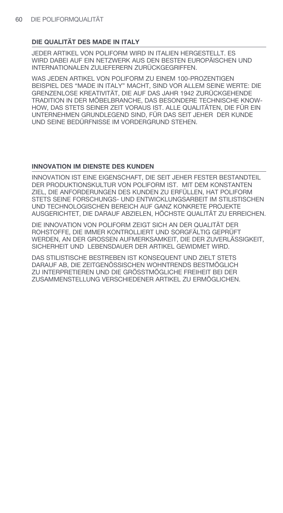## **DIE QUALITÄT DES MADE IN ITALY**

JEDER ARTIKEL VON POLIFORM WIRD IN ITALIEN HERGESTELLT. ES WIRD DABEI AUF EIN NETZWERK AUS DEN BESTEN EUROPÄISCHEN UND INTERNATIONALEN ZULIEFERERN ZURÜCKGEGRIFFEN.

WAS JEDEN ARTIKEL VON POLIFORM ZU EINEM 100-PROZENTIGEN BEISPIEL DES "MADE IN ITALY" MACHT, SIND VOR ALLEM SEINE WERTE: DIE GRENZENLOSE KREATIVITÄT, DIE AUF DAS JAHR 1942 ZURÜCKGEHENDE TRADITION IN DER MÖBELBRANCHE, DAS BESONDERE TECHNISCHE KNOW-HOW, DAS STETS SEINER ZEIT VORAUS IST. ALLE QUALITÄTEN, DIE FÜR EIN UNTERNEHMEN GRUNDLEGEND SIND, FÜR DAS SEIT JEHER DER KUNDE UND SEINE BEDÜRFNISSE IM VORDERGRUND STEHEN.

## **INNOVATION IM DIENSTE DES KUNDEN**

INNOVATION IST EINE EIGENSCHAFT, DIE SEIT JEHER FESTER BESTANDTEIL DER PRODUKTIONSKULTUR VON POLIFORM IST. MIT DEM KONSTANTEN ZIEL, DIE ANFORDERUNGEN DES KUNDEN ZU ERFÜLLEN, HAT POLIFORM STETS SEINE FORSCHUNGS- UND ENTWICKLUNGSARBEIT IM STILISTISCHEN UND TECHNOLOGISCHEN BEREICH AUF GANZ KONKRETE PROJEKTE AUSGERICHTET, DIE DARAUF ABZIELEN, HÖCHSTE QUALITÄT ZU ERREICHEN.

DIE INNOVATION VON POLIFORM ZEIGT SICH AN DER QUALITÄT DER ROHSTOFFE, DIE IMMER KONTROLLIERT UND SORGFÄLTIG GEPRÜFT WERDEN, AN DER GROSSEN AUFMERKSAMKEIT, DIE DER ZUVERLÄSSIGKEIT, SICHERHEIT UND LEBENSDAUER DER ARTIKEL GEWIDMET WIRD.

DAS STILISTISCHE BESTREBEN IST KONSEQUENT UND ZIELT STETS DARAUF AB, DIE ZEITGENÖSSISCHEN WOHNTRENDS BESTMÖGLICH ZU INTERPRETIEREN UND DIE GRÖSSTMÖGLICHE FREIHEIT BEI DER ZUSAMMENSTELLUNG VERSCHIEDENER ARTIKEL ZU ERMÖGLICHEN.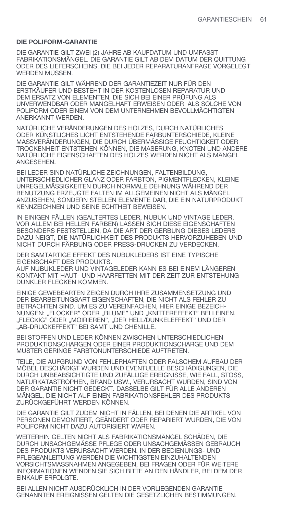#### **DIE POLIFORM-GARANTIE**

DIE GARANTIE GILT ZWEI (2) JAHRE AB KAUFDATUM UND UMFASST FABRIKATIONSMÄNGEL. DIE GARANTIE GILT AB DEM DATUM DER QUITTUNG ODER DES LIEFERSCHEINS, DIE BEI JEDER REPARATURANFRAGE VORGELEGT WERDEN MÜSSEN.

DIE GARANTIE GILT WÄHREND DER GARANTIEZEIT NUR FÜR DEN ERSTKÄUFER UND BESTEHT IN DER KOSTENLOSEN REPARATUR UND DEM ERSATZ VON ELEMENTEN, DIE SICH BEI EINER PRÜFUNG ALS UNVERWENDBAR ODER MANGELHAFT ERWEISEN ODER ALS SOLCHE VON POLIFORM ODER EINEM VON DEM UNTERNEHMEN BEVOLLMÄCHTIGTEN ANERKANNT WERDEN.

NATÜRLICHE VERÄNDERUNGEN DES HOLZES, DURCH NATÜRLICHES ODER KÜNSTLICHES LICHT ENTSTEHENDE FARBUNTERSCHIEDE, KLEINE MASSVERÄNDERUNGEN, DIE DURCH ÜBERMÄSSIGE FEUCHTIGKEIT ODER TROCKENHEIT ENTSTEHEN KÖNNEN, DIE MASERUNG, KNOTEN UND ANDERE NATÜRLICHE EIGENSCHAFTEN DES HOLZES WERDEN NICHT ALS MÄNGEL ANGESEHEN.

BEI LEDER SIND NATÜRLICHE ZEICHNUNGEN, FALTENBILDUNG, UNTERSCHIEDLICHER GLANZ ODER FARBTON, PIGMENTFLECKEN, KLEINE UNREGELMÄSSIGKEITEN DURCH NORMALE DEHNUNG WÄHREND DER BENUTZUNG ERZEUGTE FALTEN IM ALLGEMEINEN NICHT ALS MÄNGEL ANZUSEHEN, SONDERN STELLEN ELEMENTE DAR, DIE EIN NATURPRODUKT KENNZEICHNEN UND SEINE ECHTHEIT BEWEISEN.

IN EINIGEN FÄLLEN (GEALTERTES LEDER, NUBUK UND VINTAGE LEDER, VOR ALLEM BEI HELLEN FARBEN) LASSEN SICH DIESE EIGENSCHAFTEN BESONDERS FESTSTELLEN, DA DIE ART DER GERBUNG DIESES LEDERS DAZU NEIGT, DIE NATÜRLICHKEIT DES PRODUKTS HERVORZUHEBEN UND NICHT DURCH FÄRBUNG ODER PRESS-DRUCKEN ZU VERDECKEN.

DER SAMTARTIGE EFFEKT DES NUBUKLEDERS IST EINE TYPISCHE EIGENSCHAFT DES PRODUKTS.

AUF NUBUKLEDER UND VINTAGELEDER KANN ES BEI EINEM LÄNGEREN KONTAKT MIT HAUT- UND HAARFETTEN MIT DER ZEIT ZUR ENTSTEHUNG DUNKLER FLECKEN KOMMEN.

EINIGE GEWEBEARTEN ZEIGEN DURCH IHRE ZUSAMMENSETZUNG UND DER BEARBEITUNGSART EIGENSCHAFTEN, DIE NICHT ALS FEHLER ZU BETRACHTEN SIND. UM ES ZU VEREINFACHEN, HIER EINIGE BEZEICH-NUNGEN: "FLOCKER" ODER "BLUME" UND "KNITTEREFFEKT" BEI LEINEN, "FLECKIG" ODER "MOIRIEREN", "DER HELL/DUNKELEFFEKT" UND DER "AB-DRUCKEFFEKT" BEI SAMT UND CHENILLE.

BEI STOFFEN UND LEDER KÖNNEN ZWISCHEN UNTERSCHIEDLICHEN PRODUKTIONSCHARGEN ODER EINER PRODUKTIONSCHARGE UND DEM MUSTER GERINGE FARBTONUNTERSCHIEDE AUFTRETEN.

TEILE, DIE AUFGRUND VON FEHLERHAFTEN ODER FALSCHEM AUFBAU DER MÖBEL BESCHÄDIGT WURDEN UND EVENTUELLE BESCHÄDIGUNGEN, DIE DURCH UNBEABSICHTIGTE UND ZUFÄLLIGE EREIGNISSE, WIE FALL, STOSS, NATURKATASTROPHEN, BRAND USW., VERURSACHT WURDEN, SIND VON DER GARANTIE NICHT GEDECKT. DASSELBE GILT FÜR ALLE ANDEREN MÄNGEL, DIE NICHT AUF EINEN FABRIKATIONSFEHLER DES PRODUKTS ZURÜCKGEFÜHRT WERDEN KÖNNEN.

DIE GARANTIE GILT ZUDEM NICHT IN FÄLLEN, BEI DENEN DIE ARTIKEL VON PERSONEN DEMONTIERT, GEÄNDERT ODER REPARIERT WURDEN, DIE VON POLIFORM NICHT DAZU AUTORISIERT WAREN.

WEITERHIN GELTEN NICHT ALS FABRIKATIONSMÄNGEL SCHÄDEN, DIE DURCH UNSACHGEMÄSSE PFLEGE ODER UNSACHGEMÄSSEN GEBRAUCH DES PRODUKTS VERURSACHT WERDEN. IN DER BEDIENUNGS- UND PFLEGEANLEITUNG WERDEN DIE WICHTIGSTEN EINZUHALTENDEN VORSICHTSMASSNAHMEN ANGEGEBEN, BEI FRAGEN ODER FÜR WEITERE INFORMATIONEN WENDEN SIE SICH BITTE AN DEN HÄNDLER, BEI DEM DER EINKAUF ERFOLGTE.

BEI ALLEN NICHT AUSDRÜCKLICH IN DER VORLIEGENDEN GARANTIE GENANNTEN EREIGNISSEN GELTEN DIE GESETZLICHEN BESTIMMUNGEN.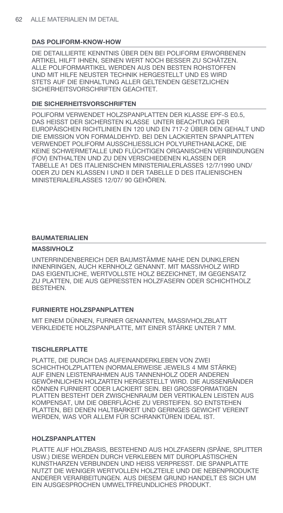## **DAS POLIFORM-KNOW-HOW**

DIE DETAILLIERTE KENNTNIS ÜBER DEN BEI POLIFORM ERWORBENEN ARTIKEL HILFT IHNEN, SEINEN WERT NOCH BESSER ZU SCHÄTZEN ALLE POLIFORMARTIKEL WERDEN AUS DEN BESTEN ROHSTOFFEN UND MIT HILFE NEUSTER TECHNIK HERGESTELLT UND ES WIRD STETS AUF DIE EINHALTUNG ALLER GELTENDEN GESETZLICHEN SICHFRHFITSVORSCHRIFTEN GFACHTFT.

## **DIE SICHERHEITSVORSCHRIFTEN**

POLIFORM VERWENDET HOLZSPANPLATTEN DER KLASSE EPF-S E0.5, DAS HEISST DER SICHERSTEN KLASSE UNTER BEACHTUNG DER EUROPÄISCHEN RICHTLINIEN EN 120 UND EN 717-2 ÜBER DEN GEHALT UND DIE EMISSION VON FORMALDEHYD. BEI DEN LACKIERTEN SPANPLATTEN VERWENDET POLIFORM AUSSCHLIESSLICH POLYURETHANLACKE. DIE KEINE SCHWERMETALLE UND FLÜCHTIGEN ORGANISCHEN VERBINDUNGEN (FOV) ENTHALTEN UND ZU DEN VERSCHIEDENEN KLASSEN DER TABELLE A1 DES ITALIENISCHEN MINISTERIALERLASSES 12/7/1990 UND/ ODER ZU DEN KLASSEN I UND II DER TABELLE D DES ITALIENISCHEN MINISTERIALERLASSES 12/07/90 GEHÖREN.

## **BAUMATERIALIEN**

## **MASSIVHOLZ**

UNTERRINDENBEREICH DER BAUMSTÄMME NAHE DEN DUNKLEREN INNENRINGEN, AUCH KERNHOLZ GENANNT. MIT MASSIVHOLZ WIRD DAS EIGENTLICHE, WERTVOLLSTE HOLZ BEZEICHNET, IM GEGENSATZ ZU PLATTEN, DIE AUS GEPRESSTEN HOLZFASERN ODER SCHICHTHOLZ **BESTEHEN** 

## **FURNIERTE HOLZSPANPLATTEN**

MIT EINEM DÜNNEN. FURNIER GENANNTEN. MASSIVHOLZBLATT VERKLEIDETE HOLZSPANPLATTE. MIT EINER STÄRKE UNTER 7 MM.

## **TISCHLERPLATTE**

PLATTE, DIE DURCH DAS AUFEINANDERKLEBEN VON ZWEI SCHICHTHOLZPLATTEN (NORMALERWEISE JEWEILS 4 MM STÄRKE) AUF EINEN LEISTENRAHMEN AUS TANNENHOLZ ODER ANDEREN GEWÖHNLICHEN HOLZARTEN HERGESTELLT WIRD. DIE AUSSENRÄNDER KÖNNEN FURNIERT ODER LACKIERT SEIN. BEI GROSSFORMATIGEN PLATTEN BESTEHT DER ZWISCHENRAUM DER VERTIKALEN LEISTEN AUS KOMPENSAT. UM DIE OBERFLÄCHE ZU VERSTEIFEN. SO ENTSTEHEN PLATTEN. BEI DENEN HALTBARKEIT UND GERINGES GEWICHT VEREINT WERDEN. WAS VOR ALLEM FÜR SCHRANKTÜREN IDEAL IST.

## **HOLZSPANPLATTEN**

PLATTE AUF HOLZBASIS, BESTEHEND AUS HOLZFASERN (SPÄNE, SPLITTER USW.) DIESE WERDEN DURCH VERKLEBEN MIT DUROPLASTISCHEN KUNSTHARZEN VERBUNDEN UND HEISS VERPRESST. DIE SPANPLATTE NUTZT DIE WENIGER WERTVOLLEN HOLZTEILE UND DIE NEBENPRODUKTE ANDERER VERARBEITUNGEN. AUS DIESEM GRUND HANDELT ES SICH UM EIN AUSGESPROCHEN UMWELTFREUNDLICHES PRODUKT.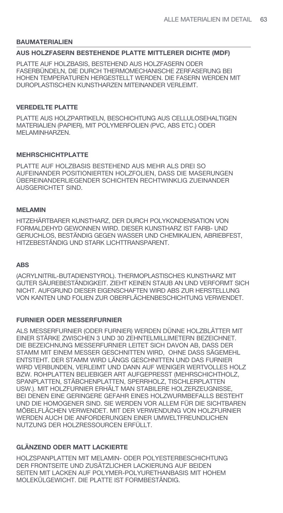#### **BAUMATERIALIEN**

#### **AUS HOLZFASERN BESTEHENDE PLATTE MITTLERER DICHTE (MDF)**

PLATTE AUF HOLZBASIS, BESTEHEND AUS HOLZFASERN ODER FASERBÜNDELN, DIE DURCH THERMOMECHANISCHE ZERFASERUNG BEI HOHEN TEMPERATUREN HERGESTELLT WERDEN. DIE FASERN WERDEN MIT DUROPLASTISCHEN KUNSTHARZEN MITEINANDER VERLEIMT.

#### **VEREDELTE PLATTE**

PLATTE AUS HOLZPARTIKELN, BESCHICHTUNG AUS CELLULOSEHALTIGEN MATERIALIEN (PAPIER), MIT POLYMERFOLIEN (PVC, ABS ETC.) ODER MELAMINHARZEN.

### **MEHRSCHICHTPLATTE**

PLATTE AUF HOLZBASIS BESTEHEND AUS MEHR ALS DREI SO AUFEINANDER POSITIONIERTEN HOLZFOLIEN, DASS DIE MASERUNGEN ÜBEREINANDERLIEGENDER SCHICHTEN RECHTWINKLIG ZUEINANDER AUSGERICHTET SIND.

#### **MELAMIN**

HITZEHÄRTBARER KUNSTHARZ, DER DURCH POLYKONDENSATION VON FORMALDEHYD GEWONNEN WIRD. DIESER KUNSTHARZ IST FARB- UND GERUCHLOS, BESTÄNDIG GEGEN WASSER UND CHEMIKALIEN, ABRIEBFEST, HITZEBESTÄNDIG UND STARK LICHTTRANSPARENT.

#### **ABS**

(ACRYLNITRIL-BUTADIENSTYROL). THERMOPLASTISCHES KUNSTHARZ MIT GUTER SÄUREBESTÄNDIGKEIT. ZIEHT KEINEN STAUB AN UND VERFORMT SICH NICHT. AUFGRUND DIESER EIGENSCHAFTEN WIRD ABS ZUR HERSTELLUNG VON KANTEN UND FOLIEN ZUR OBERFLÄCHENBESCHICHTUNG VERWENDET.

#### **FURNIER ODER MESSERFURNIER**

ALS MESSERFURNIER (ODER FURNIER) WERDEN DÜNNE HOLZBLÄTTER MIT EINER STÄRKE ZWISCHEN 3 UND 30 ZEHNTELMILLIMETERN BEZEICHNET. DIE BEZEICHNUNG MESSERFURNIER LEITET SICH DAVON AB, DASS DER STAMM MIT EINEM MESSER GESCHNITTEN WIRD, OHNE DASS SÄGEMEHL ENTSTEHT. DER STAMM WIRD LÄNGS GESCHNITTEN UND DAS FURNIER WIRD VERBUNDEN, VERLEIMT UND DANN AUF WENIGER WERTVOLLES HOLZ BZW. ROHPLATTEN BELIEBIGER ART AUFGEPRESST (MEHRSCHICHTHOLZ, SPANPLATTEN, STÄBCHENPLATTEN, SPERRHOLZ, TISCHLERPLATTEN USW.). MIT HOLZFURNIER ERHÄLT MAN STABILERE HOLZERZEUGNISSE, BEI DENEN EINE GERINGERE GEFAHR EINES HOLZWURMBEFALLS BESTEHT UND DIE HOMOGENER SIND. SIE WERDEN VOR ALLEM FÜR DIE SICHTBAREN MÖBELFLÄCHEN VERWENDET. MIT DER VERWENDUNG VON HOLZFURNIER WERDEN AUCH DIE ANFORDERUNGEN EINER UMWELTFREUNDLICHEN NUTZUNG DER HOLZRESSOURCEN ERFÜLLT.

## **GLÄNZEND ODER MATT LACKIERTE**

HOLZSPANPLATTEN MIT MELAMIN- ODER POLYESTERBESCHICHTUNG DER FRONTSEITE UND ZUSÄTZLICHER LACKIERUNG AUF BEIDEN SEITEN MIT LACKEN AUF POLYMER-POLYURETHANBASIS MIT HOHEM MOLEKÜLGEWICHT. DIE PLATTE IST FORMBESTÄNDIG.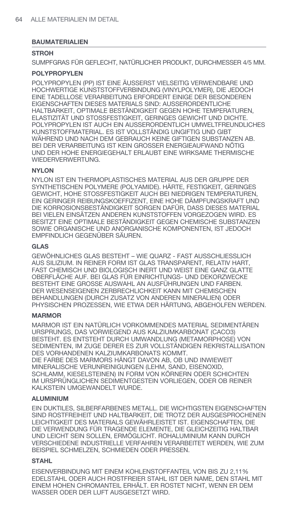## **BAUMATERIALIEN**

## **STROH**

SUMPFGRAS FÜR GEFLECHT, NATÜRLICHER PRODUKT, DURCHMESSER 4/5 MM.

# **POLYPROPYLEN**

POLYPROPYLEN (PP) IST EINE ÄUSSERST VIELSEITIG VERWENDBARE UND HOCHWERTIGE KUNSTSTOFFVERBINDUNG (VINYLPOLYMER), DIE JEDOCH EINE TADELLOSE VERARBEITUNG ERFORDERT EINIGE DER BESONDEREN EIGENSCHAFTEN DIESES MATERIALS SIND: AUSSERORDENTLICHE HALTBARKEIT, OPTIMALE BESTÄNDIGKEIT GEGEN HOHE TEMPERATUREN, ELASTIZITÄT UND STOSSFESTIGKEIT, GERINGES GEWICHT UND DICHTE. POLYPROPYLEN IST AUCH EIN AUSSERORDENTLICH UMWELTFREUNDLICHES KUNSTSTOFFMATERIAL. ES IST VOLLSTÄNDIG UNGIFTIG UND GIBT WÄHREND UND NACH DEM GEBRAUCH KEINE GIFTIGEN SUBSTANZEN AB. BEI DER VERARBEITUNG IST KEIN GROSSER ENERGIEAUFWAND NÖTIG UND DER HOHE ENERGIEGEHALT ERLAUBT EINE WIRKSAME THERMISCHE WIEDERVERWERTUNG.

## **NYLON**

NYLON IST EIN THERMOPLASTISCHES MATERIAL AUS DER GRUPPE DER SYNTHETISCHEN POLYMERE (POLYAMIDE). HÄRTE, FESTIGKEIT, GERINGES GEWICHT, HOHE STOSSFESTIGKEIT AUCH BEI NIEDRIGEN TEMPERATUREN, EIN GERINGER REIBUNGSKOEFFIZENT, EINE HOHE DÄMPFUNGSKRAFT UND DIE KORROSIONSBESTÄNDIGKEIT SORGEN DAFÜR, DASS DIESES MATERIAL BEI VIELEN EINSÄTZEN ANDEREN KUNSTSTOFFEN VORGEZOGEN WIRD. ES BESITZT EINE OPTIMALE BESTÄNDIGKEIT GEGEN CHEMISCHE SUBSTANZEN SOWIE ORGANISCHE UND ANORGANISCHE KOMPONENTEN, IST JEDOCH EMPFINDLICH GEGENÜBER SÄUREN.

#### **GLAS**

GEWÖHNLICHES GLAS BESTEHT – WIE QUARZ - FAST AUSSCHLIESSLICH AUS SILIZIUM. IN REINER FORM IST GLAS TRANSPARENT, RELATIV HART, FAST CHEMISCH UND BIOLOGISCH INERT UND WEIST EINE GANZ GLATTE OBERFLÄCHE AUF. BEI GLAS FÜR EINRICHTUNGS- UND DEKORZWECKE BESTEHT EINE GROSSE AUSWAHL AN AUSFÜHRUNGEN UND FARBEN. DER WESENSEIGENEN ZERBRECHLICHKEIT KANN MIT CHEMISCHEN BEHANDLUNGEN (DURCH ZUSATZ VON ANDEREN MINERALIEN) ODER PHYSISCHEN PROZESSEN, WIE ETWA DER HÄRTUNG, ABGEHOLFEN WERDEN.

## **MARMOR**

MARMOR IST EIN NATÜRLICH VORKOMMENDES MATERIAL SEDIMENTÄREN URSPRUNGS, DAS VORWIEGEND AUS KALZIUMKARBONAT (CACO3) BESTEHT. ES ENTSTEHT DURCH UMWANDLUNG (METAMORPHOSE) VON SEDIMENTEN, IM ZUGE DERER ES ZUR VOLLSTÄNDIGEN REKRISTALLISATION DES VORHANDENEN KALZIUMKARBONATS KOMMT. DIE FARBE DES MARMORS HÄNGT DAVON AB, OB UND INWIEWEIT MINERALISCHE VERUNREINIGUNGEN (LEHM, SAND, EISENOXID, SCHLAMM, KIESELSTEINEN) IN FORM VON KÖRNERN ODER SCHICHTEN IM URSPRÜNGLICHEN SEDIMENTGESTEIN VORLIEGEN, ODER OB REINER KALKSTEIN UMGEWANDELT WURDE.

## **ALUMINIUM**

EIN DUKTILES, SILBERFARBENES METALL. DIE WICHTIGSTEN EIGENSCHAFTEN SIND ROSTFREIHEIT UND HALTBARKEIT, DIE TROTZ DER AUSGESPROCHENEN LEICHTIGKEIT DES MATERIALS GEWÄHRLEISTET IST. EIGENSCHAFTEN, DIE DIE VERWENDUNG FÜR TRAGENDE ELEMENTE, DIE GLEICHZEITIG HALTBAR UND LEICHT SEIN SOLLEN, ERMÖGLICHT. ROHALUMINIUM KANN DURCH VERSCHIEDENE INDUSTRIELLE VERFAHREN VERARBEITET WERDEN, WIE ZUM BEISPIEL SCHMELZEN, SCHMIEDEN ODER PRESSEN.

## **STAHL**

EISENVERBINDUNG MIT EINEM KOHLENSTOFFANTEIL VON BIS ZU 2,11% EDELSTAHL ODER AUCH ROSTFREIER STAHL IST DER NAME, DEN STAHL MIT EINEM HOHEN CHROMANTEIL ERHÄLT. ER ROSTET NICHT, WENN ER DEM WASSER ODER DER LUFT AUSGESETZT WIRD.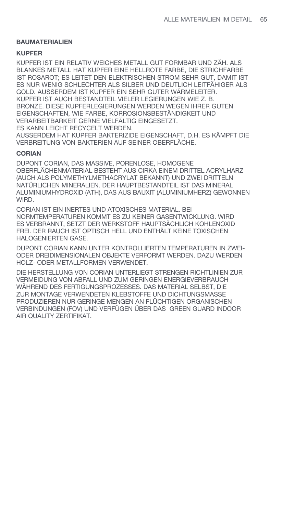## **BAUMATERIALIEN**

## **KUPFER**

KUPFER IST EIN RELATIV WEICHES METALL GUT FORMBAR UND ZÄH. ALS BLANKES METALL HAT KUPFER EINE HELLROTE FARBE, DIE STRICHFARBE IST ROSAROT; ES LEITET DEN ELEKTRISCHEN STROM SEHR GUT, DAMIT IST ES NUR WENIG SCHLECHTER ALS SILBER UND DEUTLICH LEITFÄHIGER ALS GOLD. AUSSERDEM IST KUPFER EIN SEHR GUTER WÄRMELEITER. KUPFER IST AUCH BESTANDTEIL VIELER LEGIERUNGEN WIE Z. B. BRONZE. DIESE KUPFERLEGIERUNGEN WERDEN WEGEN IHRER GUTEN EIGENSCHAFTEN, WIE FARBE, KORROSIONSBESTÄNDIGKEIT UND VERARBEITBARKEIT GERNE VIELFÄLTIG EINGESETZT. ES KANN LEICHT RECYCELT WERDEN.

AUSSERDEM HAT KUPFER BAKTERIZIDE EIGENSCHAFT, D.H. ES KÄMPFT DIE VERBREITUNG VON BAKTERIEN AUF SEINER OBERFLÄCHE.

## **CORIAN**

DUPONT CORIAN, DAS MASSIVE, PORENLOSE, HOMOGENE OBERFLÄCHENMATERIAL BESTEHT AUS CIRKA EINEM DRITTEL ACRYLHARZ (AUCH ALS POLYMETHYLMETHACRYLAT BEKANNT) UND ZWEI DRITTELN NATÜRLICHEN MINERALIEN. DER HAUPTBESTANDTEIL IST DAS MINERAL ALUMINIUMHYDROXID (ATH), DAS AUS BAUXIT (ALUMINIUMHERZ) GEWONNEN WIRD.

CORIAN IST EIN INERTES UND ATOXISCHES MATERIAL. BEI NORMTEMPERATUREN KOMMT ES ZU KEINER GASENTWICKLUNG. WIRD ES VERBRANNT, SETZT DER WERKSTOFF HAUPTSÄCHLICH KOHLENOXID FREI. DER RAUCH IST OPTISCH HELL UND ENTHÄLT KEINE TOXISCHEN HALOGENIERTEN GASE.

DUPONT CORIAN KANN UNTER KONTROLLIERTEN TEMPERATUREN IN ZWEI-ODER DREIDIMENSIONALEN OBJEKTE VERFORMT WERDEN. DAZU WERDEN HOLZ- ODER METALLFORMEN VERWENDET.

DIE HERSTELLUNG VON CORIAN UNTERLIEGT STRENGEN RICHTLINIEN ZUR VERMEIDUNG VON ABFALL UND ZUM GERINGEN ENERGIEVERBRAUCH WÄHREND DES FERTIGUNGSPROZESSES. DAS MATERIAL SELBST, DIE ZUR MONTAGE VERWENDETEN KLEBSTOFFE UND DICHTUNGSMASSE PRODUZIEREN NUR GERINGE MENGEN AN FLÜCHTIGEN ORGANISCHEN VERBINDUNGEN (FOV) UND VERFÜGEN ÜBER DAS GREEN GUARD INDOOR AIR QUALITY ZERTIFIKAT.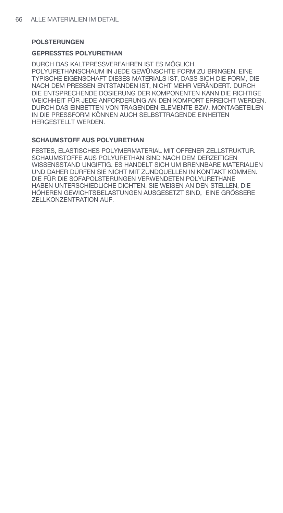## **POLSTERUNGEN**

#### **GEPRESSTES POLYURETHAN**

DURCH DAS KALTPRESSVERFAHREN IST ES MÖGLICH, POLYURETHANSCHAUM IN JEDE GEWÜNSCHTE FORM ZU BRINGEN. EINE TYPISCHE EIGENSCHAFT DIESES MATERIALS IST, DASS SICH DIE FORM, DIE NACH DEM PRESSEN ENTSTANDEN IST, NICHT MEHR VERÄNDERT. DURCH DIE ENTSPRECHENDE DOSIERUNG DER KOMPONENTEN KANN DIE RICHTIGE WEICHHEIT FÜR JEDE ANFORDERUNG AN DEN KOMFORT ERREICHT WERDEN. DURCH DAS EINBETTEN VON TRAGENDEN ELEMENTE BZW. MONTAGETEILEN IN DIE PRESSFORM KÖNNEN AUCH SELBSTTRAGENDE EINHEITEN HERGESTELLT WERDEN.

## **SCHAUMSTOFF AUS POLYURETHAN**

FESTES, ELASTISCHES POLYMERMATERIAL MIT OFFENER ZELLSTRUKTUR. SCHAUMSTOFFE AUS POLYURETHAN SIND NACH DEM DERZEITIGEN WISSENSSTAND UNGIFTIG. ES HANDELT SICH UM BRENNBARE MATERIALIEN UND DAHER DÜRFEN SIE NICHT MIT ZÜNDQUELLEN IN KONTAKT KOMMEN. DIE FÜR DIE SOFAPOLSTERUNGEN VERWENDETEN POLYURETHANE HABEN UNTERSCHIEDLICHE DICHTEN. SIE WEISEN AN DEN STELLEN, DIE HÖHEREN GEWICHTSBELASTUNGEN AUSGESETZT SIND, EINE GRÖSSERE ZELLKONZENTRATION AUF.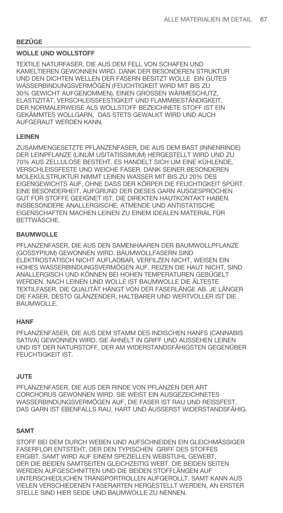## **BEZÜGE**

# **WOLLE UND WOLLSTOFF**

TEXTILE NATURFASER, DIE AUS DEM FELL VON SCHAFEN UND KAMELTIEREN GEWONNEN WIRD. DANK DER BESONDEREN STRUKTUR UND DEN DICHTEN WELLEN DER FASERN BESITZT WOLLE EIN GUTES WASSERBINDUNGSVERMÖGEN (FEUCHTIGKEIT WIRD MIT BIS ZU 30% GEWICHT AUFGENOMMEN), EINEN GROSSEN WÄRMESCHUTZ, ELASTIZITÄT, VERSCHLEISSFESTIGKEIT UND FLAMMBESTÄNDIGKEIT. DER NORMALERWEISE ALS WOLLSTOFF BEZEICHNETE STOFF IST EIN GEKÄMMTES WOLLGARN, DAS STETS GEWALKT WIRD UND AUCH AUFGERAUT WERDEN KANN.

## **LEINEN**

ZUSAMMENGESETZTE PFLANZENFASER, DIE AUS DEM BAST (INNENRINDE) DER LEINPFLANZE (LINUM USITATISSIMUM) HERGESTELLT WIRD UND ZU 70% AUS ZELLULOSE BESTEHT. ES HANDELT SICH UM EINE KÜHLENDE, VERSCHLEISSFESTE UND WEICHE FASER. DANK SEINER BESONDEREN MOLEKÜLSTRUKTUR NIMMT LEINEN WASSER MIT BIS ZU 20% DES EIGENGEWICHTS AUF, OHNE DASS DER KÖRPER DIE FEUCHTIGKEIT SPÜRT. EINE BESONDERHEIT, AUFGRUND DER DIESES GARN AUSGESPROCHEN GUT FÜR STOFFE GEEIGNET IST, DIE DIREKTEN HAUTKONTAKT HABEN. INSBESONDERE ANALLERGISCHE, ATMENDE UND ANTISTATISCHE EIGENSCHAFTEN MACHEN LEINEN ZU EINEM IDEALEN MATERIAL FÜR BETTWÄSCHE.

## **BAUMWOLLE**

PFLANZENFASER, DIE AUS DEN SAMENHAAREN DER BAUMWOLLPFLANZE (GOSSYPIUM) GEWONNEN WIRD. BAUMWOLLFASERN SIND ELEKTROSTATISCH NICHT AUFLADBAR, VERFILZEN NICHT, WEISEN EIN HOHES WASSERBINDUNGSVERMÖGEN AUF, REIZEN DIE HAUT NICHT, SIND ANALLERGISCH UND KÖNNEN BEI HOHEN TEMPERATUREN GEBÜGELT WERDEN. NACH LEINEN UND WOLLE IST BAUMWOLLE DIE ÄLTESTE TEXTILFASER. DIE QUALITÄT HÄNGT VON DER FASERLÄNGE AB. JE LÄNGER DIE FASER, DESTO GLÄNZENDER, HALTBARER UND WERTVOLLER IST DIE BAUMWOLLE.

## **HANF**

PFLANZENFASER, DIE AUS DEM STAMM DES INDISCHEN HANFS (CANNABIS SATIVA) GEWONNEN WIRD. SIE ÄHNELT IN GRIFF UND AUSSEHEN LEINEN UND IST DER NATURSTOFF, DER AM WIDERSTANDSFÄHIGSTEN GEGENÜBER FEUCHTIGKEIT IST.

## **JUTE**

PFLANZENFASER, DIE AUS DER RINDE VON PFLANZEN DER ART CORCHORUS GEWONNEN WIRD. SIE WEIST EIN AUSGEZEICHNETES WASSERBINDUNGSVERMÖGEN AUF, DIE FASER IST RAU UND REISSFEST. DAS GARN IST EBENFALLS RAU, HART UND ÄUSSERST WIDERSTANDSFÄHIG.

## **SAMT**

STOFF BEI DEM DURCH WEBEN UND AUFSCHNEIDEN EIN GLEICHMÄSSIGER FASERFLOR ENTSTEHT, DER DEN TYPISCHEN GRIFF DES STOFFES ERGIBT. SAMT WIRD AUF EINEM SPEZIELLEN WEBSTUHL GEWEBT, DER DIE BEIDEN SAMTSEITEN GLEICHZEITIG WEBT. DIE BEIDEN SEITEN WERDEN AUFGESCHNITTEN UND DIE BEIDEN STOFFLÄNGEN AUF UNTERSCHIEDLICHEN TRANSPORTROLLEN AUFGEROLLT. SAMT KANN AUS VIELEN VERSCHIEDENEN FASERARTEN HERGESTELLT WERDEN, AN ERSTER STELLE SIND HIER SEIDE UND BAUMWOLLE ZU NENNEN.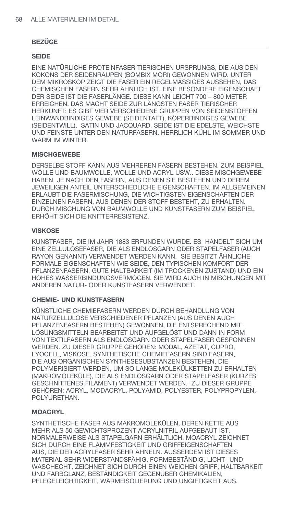## **REZÜGE**

### **SEIDE**

EINE NATÜRLICHE PROTEINFASER TIERISCHEN URSPRUNGS. DIE AUS DEN KOKONS DER SEIDENRAUPEN (BOMBIX MORI) GEWONNEN WIRD. UNTER DEM MIKROSKOP ZEIGT DIE FASER EIN REGELMÄSSIGES AUSSEHEN. DAS CHEMISCHEN FASERN SEHR ÄHNLICH IST. EINE BESONDERE EIGENSCHAFT DER SEIDE IST DIE FASERLÄNGE. DIESE KANN LEICHT 700 - 800 METER ERREICHEN. DAS MACHT SEIDE ZUR LÄNGSTEN FASER TIERISCHER HERKUNFT: ES GIBT VIER VERSCHIEDENE GRUPPEN VON SEIDENSTOFFEN LEINWANDBINDIGES GEWEBE (SEIDENTAFT), KÖPERBINDIGES GEWEBE (SEIDENTWILL), SATIN UND JACQUARD. SEIDE IST DIE EDELSTE, WEICHSTE UND FEINSTE UNTER DEN NATURFASERN. HERRLICH KÜHL IM SOMMER UND WARM IM WINTER.

## **MISCHGEWEBE**

DERSELBE STOFF KANN AUS MEHREREN FASERN BESTEHEN, ZUM BEISPIEL WOLLE UND BAUMWOLLE. WOLLE UND ACRYL USW., DIESE MISCHGEWEBE HABEN JE NACH DEN FASERN, AUS DENEN SIE BESTEHEN UND DEREM JEWEILIGEN ANTEIL UNTERSCHIEDLICHE EIGENSCHAFTEN. IM ALLGEMEINEN ERLAUBT DIE FASERMISCHUNG, DIE WICHTIGSTEN EIGENSCHAFTEN DER EINZELNEN FASERN, AUS DENEN DER STOFF BESTEHT, ZU ERHALTEN. DURCH MISCHUNG VON BAUMWOLLE UND KUNSTFASERN ZUM BEISPIEL ERHÖHT SICH DIE KNITTERRESISTENZ.

## **VISKOSE**

KUNSTFASER, DIE IM JAHR 1883 ERFUNDEN WURDE. ES HANDELT SICH UM EINE ZELLULOSEFASER, DIE ALS ENDLOSGARN ODER STAPELFASER (AUCH RAYON GENANNT) VERWENDET WERDEN KANN. SIE BESITZT ÄHNLICHE FORMALE EIGENSCHAFTEN WIE SEIDE, DEN TYPISCHEN KOMFORT DER PFLANZENFASERN, GUTE HALTBARKEIT (IM TROCKENEN ZUSTAND) UND EIN HOHES WASSERBINDUNGSVERMÖGEN. SIE WIRD AUCH IN MISCHUNGEN MIT ANDEREN NATUR- ODER KUNSTFASERN VERWENDET.

## **CHEMIE- UND KUNSTFASERN**

KÜNSTLICHE CHEMIEFASERN WERDEN DURCH BEHANDLUNG VON NATURZELLULOSE VERSCHIEDENER PFLANZEN (AUS DENEN AUCH PFLANZENFASERN BESTEHEN) GEWONNEN. DIE ENTSPRECHEND MIT LÖSUNGSMITTELN BEARBEITET UND AUFGELÖST UND DANN IN FORM VON TEXTILFASERN ALS ENDLOSGARN ODER STAPELFASER GESPONNEN WERDEN. ZU DIESER GRUPPE GEHÖREN: MODAL, AZETAT, CUPRO. LYOCELL, VISKOSE, SYNTHETISCHE CHEMIEFASERN SIND FASERN. DIE AUS ORGANISCHEN SYNTHESESUBSTANZEN BESTEHEN. DIE POLYMERISIERT WERDEN. UM SO LANGE MOLEKÜLKETTEN ZU ERHALTEN (MAKROMOLEKÜLE), DIE ALS ENDLOSGARN ODER STAPELFASER (KURZES GESCHNITTENES FILAMENT) VERWENDET WERDEN. ZU DIESER GRUPPE GEHÖREN: ACRYL, MODACRYL, POLYAMID, POLYESTER, POLYPROPYLEN, POLYURETHAN.

## **MOACRYL**

SYNTHETISCHE FASER AUS MAKROMOLEKÜLEN, DEREN KETTE AUS MEHR ALS 50 GEWICHTSPROZENT ACRYLNITRIL AUFGEBAUT IST. NORMALERWEISE ALS STAPELGARN ERHÄLTLICH, MOACRYL ZEICHNET SICH DURCH EINE FLAMMFESTIGKEIT UND GRIFFEIGENSCHAFTEN AUS. DIE DER ACRYLFASER SEHR ÄHNELN. AUSSERDEM IST DIESES MATERIAL SEHR WIDERSTANDSFÄHIG, FORMBESTÄNDIG, LICHT- UND WASCHECHT, ZEICHNET SICH DURCH EINEN WEICHEN GRIFF, HALTBARKEIT UND FARBGLANZ. BESTÄNDIGKEIT GEGENÜBER CHEMIKALIEN. PFLEGELEICHTIGKEIT. WÄRMEISOLIERUNG UND UNGIFTIGKEIT AUS.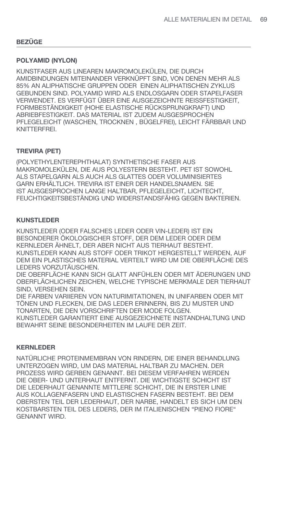## **REZÜGE**

#### **POLYAMID (NYLON)**

KUNSTFASER AUS LINEAREN MAKROMOLEKÜLEN, DIE DURCH AMIDBINDUNGEN MITEINANDER VERKNÜPFT SIND. VON DENEN MEHR ALS 85% AN ALIPHATISCHE GRUPPEN ODER EINEN ALIPHATISCHEN ZYKLUS GEBUNDEN SIND. POLYAMID WIRD ALS ENDLOSGARN ODER STAPELFASER VERWENDET. ES VERFÜGT ÜBER EINE AUSGEZEICHNTE REISSFESTIGKEIT. FORMBESTÄNDIGKEIT (HOHE ELASTISCHE RÜCKSPRUNGKRAFT) UND ABRIEBFESTIGKEIT. DAS MATERIAL IST ZUDEM AUSGESPROCHEN PFLEGELEICHT (WASCHEN, TROCKNEN, BÜGELFREI), LEICHT FÄRBBAR UND KNITTERFREI.

## **TREVIRA (PET)**

(POLYETHYLENTEREPHTHALAT) SYNTHETISCHE FASER AUS MAKROMOLEKÜLEN. DIE AUS POLYESTERN BESTEHT. PET IST SOWOHL ALS STAPELGARN ALS AUCH ALS GLATTES ODER VOLUMINISIERTES GARN ERHÄLTLICH. TREVIRA IST EINER DER HANDELSNAMEN. SIE IST AUSGESPROCHEN LANGE HALTBAR, PFLEGELEICHT, LICHTECHT, FEUCHTIGKEITSBESTÄNDIG UND WIDERSTANDSFÄHIG GEGEN BAKTERIEN.

#### **KUNSTLEDER**

KUNSTLEDER (ODER FALSCHES LEDER ODER VIN-LEDER) IST EIN BESONDERER ÖKOLOGISCHER STOFF, DER DEM LEDER ODER DEM KERNLEDER ÄHNELT, DER ABER NICHT AUS TIERHAUT BESTEHT. KUNSTLEDER KANN AUS STOFF ODER TRIKOT HERGESTELLT WERDEN. AUF DEM EIN PLASTISCHES MATERIAL VERTEILT WIRD UM DIE OBERFLÄCHE DES LEDERS VORZUTÄUSCHEN.

DIE OBERFLÄCHE KANN SICH GLATT ANFÜHLEN ODER MIT ÄDERUNGEN UND OBERFLÄCHLICHEN ZEICHEN, WELCHE TYPISCHE MERKMALE DER TIERHAUT SIND. VERSEHEN SEIN.

DIE FARBEN VARIIEREN VON NATURIMITATIONEN. IN UNIFARBEN ODER MIT TÖNEN UND FLECKEN. DIE DAS LEDER ERINNERN. BIS ZU MUSTER UND TONARTEN. DIE DEN VORSCHRIFTEN DER MODE FOLGEN. KUNSTLEDER GARANTIERT EINE AUSGEZEICHNETE INSTANDHALTUNG UND BEWAHRT SFINE BESONDERHEITEN IM LAUFE DER ZEIT.

#### **KERNLEDER**

NATÜRLICHE PROTEINMEMBRAN VON RINDERN, DIE EINER BEHANDLUNG UNTERZOGEN WIRD, UM DAS MATERIAL HALTBAR ZU MACHEN. DER PROZESS WIRD GERBEN GENANNT. BEI DIESEM VERFAHREN WERDEN DIE OBER- UND UNTERHAUT ENTFERNT. DIE WICHTIGSTE SCHICHT IST DIE LEDERHAUT GENANNTE MITTLERE SCHICHT, DIE IN ERSTER LINIE AUS KOLLAGENFASERN UND ELASTISCHEN FASERN BESTEHT. BEI DEM OBERSTEN TEIL DER LEDERHAUT. DER NARBE, HANDELT ES SICH UM DEN KOSTBARSTEN TEIL DES LEDERS. DER IM ITALIENISCHEN "PIENO FIORE" **GENANNT WIRD.**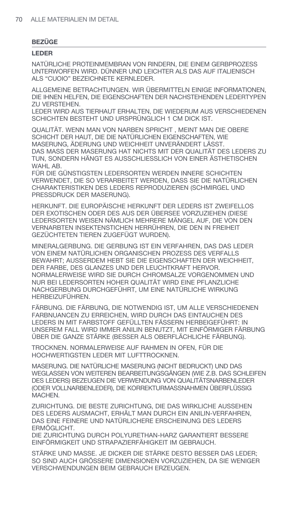## **REZÜGE**

### **LEDER**

NATÜRLICHE PROTEINMEMBRAN VON RINDERN. DIE EINEM GERBPROZESS UNTERWORFEN WIRD. DÜNNER UND LEICHTER ALS DAS AUF ITALIENISCH ALS "CUOIO" BEZEICHNETE KERNLEDER.

ALLGEMEINE BETRACHTUNGEN. WIR ÜBERMITTELN EINIGE INFORMATIONEN, DIE IHNEN HELFEN. DIE EIGENSCHAFTEN DER NACHSTEHENDEN LEDERTYPEN **7U VERSTEHEN.** 

LEDER WIRD AUS TIERHAUT ERHALTEN, DIE WIEDERUM AUS VERSCHIEDENEN SCHICHTEN BESTEHT UND URSPRÜNGLICH 1 CM DICK IST.

QUALITÄT. WENN MAN VON NARBEN SPRICHT, MEINT MAN DIE OBERE SCHICHT DER HAUT, DIE DIE NATÜRLICHEN EIGENSCHAFTEN, WIE MASERUNG. ÄDERUNG UND WEICHHEIT UNVERÄNDERT LÄSST. DAS MASS DER MASERUNG HAT NICHTS MIT DER QUALITÄT DES LEDERS ZU TUN. SONDERN HÄNGT ES AUSSCHLIESSLICH VON EINER ÄSTHETISCHEN WAHL AB.

FÜR DIE GÜNSTIGSTEN LEDERSORTEN WERDEN INNERE SCHICHTEN VERWENDET, DIE SO VERARBEITET WERDEN, DASS SIE DIE NATÜRLICHEN CHARAKTERISTIKEN DES LEDERS REPRODUZIEREN (SCHMIRGEL UND PRESSDRUCK DER MASERUNG).

HERKUNFT. DIE EUROPÄISCHE HERKUNFT DER LEDERS IST ZWEIFELLOS DER EXOTISCHEN ODER DES AUS DER ÜBERSEE VORZUZIEHEN (DIESE LEDERSORTEN WEISEN NÄMLICH MEHRERE MÄNGEL AUF. DIE VON DEN VERNARBTEN INSEKTENSTICHEN HERRÜHREN. DIE DEN IN FREIHEIT GEZÜCHTETEN TIEREN ZUGEFÜGT WURDEN).

MINERALGERBUNG. DIE GERBUNG IST EIN VERFAHREN. DAS DAS LEDER VON EINEM NATÜRLICHEN ORGANISCHEN PROZESS DES VERFALLS BEWAHRT; AUSSERDEM HEBT SIE DIE EIGENSCHAFTEN DER WEICHHEIT, DER FARBE. DES GLANZES UND DER LEUCHTKRAFT HERVOR. NORMALERWEISE WIRD SIE DURCH CHROMSALZE VORGENOMMEN UND NUR BEI LEDERSORTEN HOHER QUALITÄT WIRD EINE PFLANZLICHE NACHGERBUNG DURCHGEFÜHRT. UM EINE NATÜRLICHE WIRKUNG HERBEIZUFÜHREN.

FÄRBUNG. DIE FÄRBUNG, DIE NOTWENDIG IST, UM ALLE VERSCHIEDENEN FARBNUANCEN ZU ERREICHEN. WIRD DURCH DAS EINTAUCHEN DES LEDERS IN MIT FARBSTOFF GEFÜLLTEN FÄSSERN HERBEIGEFÜHRT: IN UNSEREM FALL WIRD IMMER ANILIN BENUTZT, MIT EINFÖRMIGER FÄRBUNG ÜBER DIE GANZE STÄRKE (BESSER ALS OBERFLÄCHLICHE FÄRBUNG).

TROCKNEN. NORMALERWEISE AUF RAHMEN IN OFEN. FÜR DIE HOCHWERTIGSTEN LEDER MIT LUFTTROCKNEN.

MASERUNG. DIE NATÜRLICHE MASERUNG (NICHT BEDRUCKT) UND DAS WEGLASSEN VON WEITEREN BEARBEITUNGSGÄNGEN (WIE Z.B. DAS SCHLEIFEN DES LEDERS) BEZEUGEN DIE VERWENDUNG VON QUALITÄTSNARBENLEDER (ODER VOLLNARBENLEDER). DIE KORREKTURMASSNAHMEN ÜBERFLÜSSIG **MACHEN** 

ZURICHTUNG. DIE BESTE ZURICHTUNG. DIE DAS WIRKLICHE AUSSEHEN DES LEDERS AUSMACHT. ERHÄLT MAN DURCH EIN ANILIN-VERFAHREN. DAS EINE FEINERE UND NATÜRLICHERE ERSCHEINUNG DES LEDERS FRMÖGLICHT.

DIE ZURICHTUNG DURCH POLYURETHAN-HARZ GARANTIERT BESSERE EINFÖRMIGKEIT UND STRAPAZIERFÄHIGKEIT IM GEBRAUCH.

STÄRKE UND MASSE. JE DICKER DIE STÄRKE DESTO BESSER DAS LEDER: SO SIND AUCH GRÖSSERE DIMENSIONEN VORZUZIEHEN. DA SIE WENIGER VERSCHWENDUNGEN BEIM GEBRAUCH ERZEUGEN.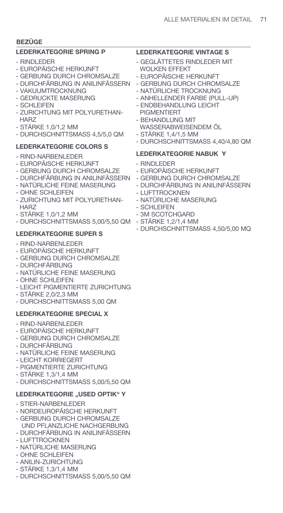# **BEZÜGE**

# **LEDERKATEGORIE SPRING P**

- RINDLEDER
- EUROPÄISCHE HERKUNFT
- GERBUNG DURCH CHROMSALZE
- DURCHFÄRBUNG IN ANILINFÄSSERN
- VAKUUMTROCKNUNG - GEDRUCKTE MASERUNG
- SCHLEIFEN
- ZURICHTUNG MIT POLYURETHAN- H<sub>AR7</sub>
- STÄRKE 1,0/1,2 MM
- DURCHSCHNITTSMASS 4,5/5,0 QM

# **LEDERKATEGORIE COLORS S**

- RIND-NARBENLEDER
- EUROPÄISCHE HERKUNFT
- GERBUNG DURCH CHROMSALZE
- DURCHFÄRBUNG IN ANILINFÄSSERN
- NATÜRLICHE FEINE MASERUNG
- OHNE SCHLEIFEN
- ZURICHTUNG MIT POLYURETHAN- **HARZ**
- STÄRKE 1,0/1,2 MM
- DURCHSCHNITTSMASS 5,00/5,50 QM STÄRKE 1,2/1,4 MM

# **LEDERKATEGORIE SUPER S**

- RIND-NARBENLEDER
- EUROPÄISCHE HERKUNFT
- GERBUNG DURCH CHROMSALZE
- DURCHFÄRBUNG
- NATÜRLICHE FEINE MASERUNG
- OHNE SCHLEIFEN
- LEICHT PIGMENTIERTE ZURICHTUNG
- STÄRKE 2,0/2,3 MM
- DURCHSCHNITTSMASS 5,00 QM

# **LEDERKATEGORIE SPECIAL X**

- RIND-NARBENLEDER
- EUROPÄISCHE HERKUNFT
- GERBUNG DURCH CHROMSALZE
- DURCHFÄRBUNG
- NATÜRLICHE FEINE MASERUNG
- LEICHT KORRIEGERT
- PIGMENTIERTE ZURICHTUNG
- STÄRKE 1,3/1,4 MM
- DURCHSCHNITTSMASS 5,00/5,50 QM

# **LEDERKATEGORIE "USED OPTIK" Y**

- STIER-NARBENLEDER
- NORDEUROPÄISCHE HERKUNFT
- GERBUNG DURCH CHROMSALZE UND PFLANZLICHE NACHGERBUNG
- DURCHFÄRBUNG IN ANILINFÄSSERN
- LUFTTROCKNEN
- NATÜRLICHE MASERUNG
- OHNE SCHLEIFEN
- ANILIN-ZURICHTUNG
- STÄRKE 1,3/1,4 MM
- DURCHSCHNITTSMASS 5,00/5,50 QM

# **LEDERKATEGORIE VINTAGE S**

- GEGLÄTTETES RINDLEDER MIT WOLKEN EFFEKT
- EUROPÄISCHE HERKUNFT
- GERBUNG DURCH CHROMSALZE
- NATÜRLICHE TROCKNUNG
- ANHELLENDER FARBE (PULL-UP)
- ENDBEHANDLUNG LEICHT PIGMENTIERT
- BEHANDLUNG MIT
- WASSERABWEISENDEM ÖL
- STÄRKE 1,4/1,5 MM
- DURCHSCHNITTSMASS 4,40/4,80 QM

# **LEDERKATEGORIE NABUK Y**

- RINDLEDER
- EUROPÄISCHE HERKUNFT
- GERBUNG DURCH CHROMSALZE
- DURCHFÄRBUNG IN ANILINFÄSSERN
- LUFTTROCKNEN
- NATÜRLICHE MASERUNG
- SCHLEIFEN
- 3M SCOTCHGARD
- 
- DURCHSCHNITTSMASS 4,50/5,00 MQ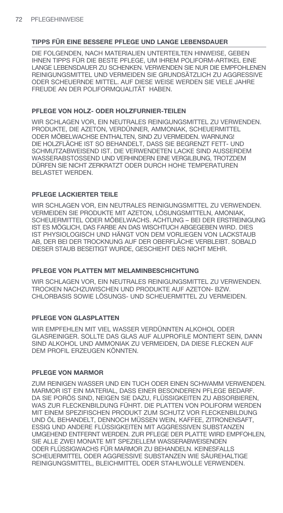DIE FOLGENDEN, NACH MATERIALIEN UNTERTEILTEN HINWEISE, GEBEN IHNEN TIPPS FÜR DIE BESTE PFLEGE, UM IHREM POLIFORM-ARTIKEL EINE LANGE LEBENSDAUER ZU SCHENKEN. VERWENDEN SIE NUR DIE EMPFOHLENEN REINIGUNGSMITTEL UND VERMEIDEN SIE GRUNDSÄTZLICH ZU AGGRESSIVE ODER SCHEUERNDE MITTEL. AUF DIESE WEISE WERDEN SIE VIELE JAHRE FREUDE AN DER POLIFORMQUALITÄT HABEN.

### **PFLEGE VON HOLZ- ODER HOLZFURNIER-TEILEN**

WIR SCHLAGEN VOR, EIN NEUTRALES REINIGUNGSMITTEL ZU VERWENDEN. PRODUKTE, DIE AZETON, VERDÜNNER, AMMONIAK, SCHEUERMITTEL ODER MÖBELWACHSE ENTHALTEN, SIND ZU VERMEIDEN. WARNUNG! DIE HOLZFLÄCHE IST SO BEHANDELT, DASS SIE BEGRENZT FETT- UND SCHMUTZABWEISEND IST. DIE VERWENDETEN LACKE SIND AUSSERDEM WASSERABSTOSSEND UND VERHINDERN EINE VERGILBUNG, TROTZDEM DÜRFEN SIE NICHT ZERKRATZT ODER DURCH HOHE TEMPERATUREN BELASTET WERDEN.

### **PFLEGE LACKIERTER TEILE**

WIR SCHLAGEN VOR, EIN NEUTRALES REINIGUNGSMITTEL ZU VERWENDEN. VERMEIDEN SIE PRODUKTE MIT AZETON, LÖSUNGSMITTELN, AMONIAK, SCHEUERMITTEL ODER MÖBELWACHS. ACHTUNG – BEI DER ERSTREINIGUNG IST ES MÖGLICH, DAS FARBE AN DAS WISCHTUCH ABGEGEBEN WIRD. DIES IST PHYSIOLOGISCH UND HÄNGT VON DEM VORLIEGEN VON LACKSTAUB AB, DER BEI DER TROCKNUNG AUF DER OBERFLÄCHE VERBLEIBT. SOBALD DIESER STAUB BESEITIGT WURDE, GESCHIEHT DIES NICHT MEHR.

### **PFLEGE VON PLATTEN MIT MELAMINBESCHICHTUNG**

WIR SCHLAGEN VOR, EIN NEUTRALES REINIGUNGSMITTEL ZU VERWENDEN. TROCKEN NACHZUWISCHEN UND PRODUKTE AUF AZETON- BZW. CHLORBASIS SOWIE LÖSUNGS- UND SCHEUERMITTEL ZU VERMEIDEN.

### **PFLEGE VON GLASPLATTEN**

WIR EMPFEHLEN MIT VIEL WASSER VERDÜNNTEN ALKOHOL ODER GLASREINIGER. SOLLTE DAS GLAS AUF ALUPROFILE MONTIERT SEIN, DANN SIND ALKOHOL UND AMMONIAK ZU VERMEIDEN, DA DIESE FLECKEN AUF DEM PROFIL ERZEUGEN KÖNNTEN.

#### **PFLEGE VON MARMOR**

ZUM REINIGEN WASSER UND EIN TUCH ODER EINEN SCHWAMM VERWENDEN. MARMOR IST EIN MATERIAL, DASS EINER BESONDEREN PFLEGE BEDARF. DA SIE PORÖS SIND, NEIGEN SIE DAZU, FLÜSSIGKEITEN ZU ABSORBIEREN, WAS ZUR FLECKENBILDUNG FÜHRT. DIE PLATTEN VON POLIFORM WERDEN MIT EINEM SPEZIFISCHEN PRODUKT ZUM SCHUTZ VOR FLECKENBILDUNG UND ÖL BEHANDELT, DENNOCH MÜSSEN WEIN, KAFFEE, ZITRONENSAFT, ESSIG UND ANDERE FLÜSSIGKEITEN MIT AGGRESSIVEN SUBSTANZEN UMGEHEND ENTFERNT WERDEN. ZUR PFLEGE DER PLATTE WIRD EMPFOHLEN, SIE ALLE ZWEI MONATE MIT SPEZIELLEM WASSERABWEISENDEN ODER FLÜSSIGWACHS FÜR MARMOR ZU BEHANDELN. KEINESFALLS SCHEUERMITTEL ODER AGGRESSIVE SUBSTANZEN WIE SÄUREHALTIGE REINIGUNGSMITTEL, BLEICHMITTEL ODER STAHLWOLLE VERWENDEN.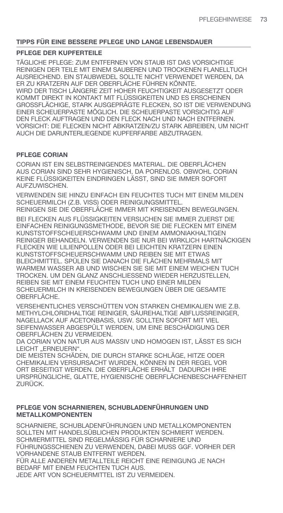### **PFLEGE DER KUPFERTEILE**

TÄGLICHE PFLEGE: ZUM ENTFERNEN VON STAUB IST DAS VORSICHTIGE REINIGEN DER TEILE MIT EINEM SAUBEREN UND TROCKENEN FLANELLTUCH AUSREICHEND. EIN STAUBWEDEL SOLLTE NICHT VERWENDET WERDEN, DA ER ZU KRATZERN AUF DER OBERFLÄCHE FÜHREN KÖNNTE. WIRD DER TISCH LÄNGERE ZEIT HOHER FEUCHTIGKEIT AUSGESETZT ODER KOMMT DIREKT IN KONTAKT MIT FLÜSSIGKEITEN UND ES ERSCHEINEN GROSSFLÄCHIGE, STARK AUSGEPRÄGTE FLECKEN, SO IST DIE VERWENDUNG EINER SCHEUERPASTE MÖGLICH. DIE SCHEUERPASTE VORSICHTIG AUF DEN FLECK AUFTRAGEN UND DEN FLECK NACH UND NACH ENTFERNEN. VORSICHT: DIE FLECKEN NICHT ABKRATZEN/ZU STARK ABREIBEN, UM NICHT AUCH DIE DARUNTERLIEGENDE KUPFERFARBE ABZUTRAGEN.

### **PFLEGE CORIAN**

CORIAN IST EIN SELBSTREINIGENDES MATERIAL. DIE OBERFLÄCHEN AUS CORIAN SIND SEHR HYGIENISCH, DA PORENLOS. OBWOHL CORIAN KEINE FLÜSSIGKEITEN EINDRINGEN LÄSST, SIND SIE IMMER SOFORT AUFZUWISCHEN.

VERWENDEN SIE HINZU EINFACH EIN FEUCHTES TUCH MIT EINEM MILDEN SCHEUERMILCH (Z.B. VISS) ODER REINIGUNGSMITTEL.

REINIGEN SIE DIE OBERFLÄCHE IMMER MIT KREISENDEN BEWEGUNGEN.

BEI FLECKEN AUS FLÜSSIGKEITEN VERSUCHEN SIE IMMER ZUERST DIE EINFACHEN REINIGUNGSMETHODE, BEVOR SIE DIE FLECKEN MIT EINEM KUNSTSTOFFSCHEUERSCHWAMM UND EINEM AMMONIAKHALTIGEN REINIGER BEHANDELN. VERWENDEN SIE NUR BEI WIRKLICH HARTNÄCKIGEN FLECKEN WIE LILIENPOLLEN ODER BEI LEICHTEN KRATZERN EINEN KUNSTSTOFFSCHEUERSCHWAMM UND REIBEN SIE MIT ETWAS BLEICHMITTEL. SPÜLEN SIE DANACH DIE FLÄCHEN MEHRMALS MIT WARMEM WASSER AB UND WISCHEN SIE SIE MIT EINEM WEICHEN TUCH TROCKEN. UM DEN GLANZ ANSCHLIESSEND WIEDER HERZUSTELLEN, REIBEN SIE MIT EINEM FEUCHTEN TUCH UND EINER MILDEN SCHEUERMILCH IN KREISENDEN BEWEGUNGEN ÜBER DIE GESAMTE OBERFLÄCHE.

VERSEHENTLICHES VERSCHÜTTEN VON STARKEN CHEMIKALIEN WIE Z.B. METHYLCHLORIDHALTIGE REINIGER, SÄUREHALTIGE ABFLUSSREINIGER, NAGELLACK AUF ACETONBASIS, USW. SOLLTEN SOFORT MIT VIEL SEIFENWASSER ABGESPÜLT WERDEN, UM EINE BESCHÄDIGUNG DER OBERFLÄCHEN ZU VERMEIDEN.

DA CORIAN VON NATUR AUS MASSIV UND HOMOGEN IST, LÄSST ES SICH LEICHT ..ERNEUERN".

DIE MEISTEN SCHÄDEN, DIE DURCH STARKE SCHLÄGE, HITZE ODER CHEMIKALIEN VERSURSACHT WURDEN, KÖNNEN IN DER REGEL VOR ORT BESEITIGT WERDEN. DIE OBERFLÄCHE ERHÄLT DADURCH IHRE URSPRÜNGLICHE, GLATTE, HYGIENISCHE OBERFLÄCHENBESCHAFFENHEIT ZURÜCK.

#### **PFLEGE VON SCHARNIEREN, SCHUBLADENFÜHRUNGEN UND METALLKOMPONENTEN**

SCHARNIERE, SCHUBLADENFÜHRUNGEN UND METALLKOMPONENTEN SOLLTEN MIT HANDELSÜBLICHEN PRODUKTEN SCHMIERT WERDEN. SCHMIERMITTEL SIND REGELMÄSSIG FÜR SCHARNIERE UND FÜHRUNGSSCHIENEN ZU VERWENDEN, DABEI MUSS GGF. VORHER DER VORHANDENE STAUB ENTFERNT WERDEN. FÜR ALLE ANDEREN METALLTEILE REICHT EINE REINIGUNG JE NACH BEDARF MIT EINEM FEUCHTEN TUCH AUS.

JEDE ART VON SCHEUERMITTEL IST ZU VERMEIDEN.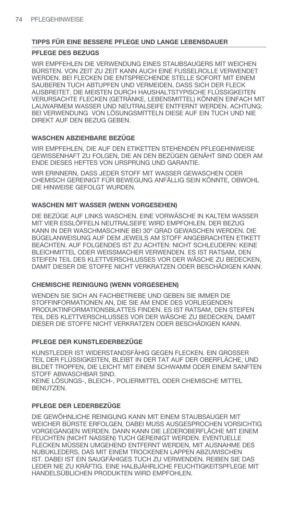### **PFLEGE DES BEZUGS**

WIR EMPFEHLEN DIE VERWENDUNG EINES STAUBSAUGERS MIT WEICHEN BÜRSTEN. VON ZEIT ZU ZEIT KANN AUCH EINE FUSSELROLLE VERWENDET WERDEN. BEI FLECKEN DIE ENTSPRECHENDE STELLE SOFORT MIT EINEM SAUBEREN TUCH ABTUPFEN UND VERMEIDEN, DASS SICH DER FLECK AUSBREITET. DIE MEISTEN DURCH HAUSHALTSTYPISCHE FLÜSSIGKEITEN VERURSACHTE FLECKEN (GETRÄNKE, LEBENSMITTEL) KÖNNEN EINFACH MIT LAUWARMEM WASSER UND NEUTRALSEIFE ENTFERNT WERDEN. ACHTUNG: BEI VERWENDUNG VON LÖSUNGSMITTELN DIESE AUF EIN TUCH UND NIE DIREKT AUF DEN BEZUG GEBEN.

### **WASCHEN ABZIEHBARE BEZÜGE**

WIR EMPFEHLEN, DIE AUF DEN ETIKETTEN STEHENDEN PFLEGEHINWEISE GEWISSENHAFT ZU FOLGEN, DIE AN DEN BEZÜGEN GENÄHT SIND ODER AM ENDE DIESES HEFTES VON URSPRUNG UND GARANTIE.

WIR ERINNERN, DASS JEDER STOFF MIT WASSER GEWASCHEN ODER CHEMISCH GEREINIGT FÜR BEWEGUNG ANFÄLLIG SEIN KÖNNTE, OBWOHL DIE HINWEISE GEFOLGT WURDEN.

### **WASCHEN MIT WASSER (WENN VORGESEHEN)**

DIE BEZÜGE AUF LINKS WASCHEN. EINE VORWÄSCHE IN KALTEM WASSER MIT VIER ESSLÖFFELN NEUTRALSEIFE WIRD EMPFOHLEN. DER BEZUG KANN IN DER WASCHMASCHINE BEI 30º GRAD GEWASCHEN WERDEN. DIE BÜGELANWEISUNG AUF DEM JEWEILS AM STOFF ANGEBRACHTEN ETIKETT BEACHTEN. AUF FOLGENDES IST ZU ACHTEN: NICHT SCHLEUDERN: KEINE BLEICHMITTEL ODER WEISSMACHER VERWENDEN. ES IST RATSAM, DEN STEIFEN TEIL DES KLETTVERSCHLUSSES VOR DER WÄSCHE ZU BEDECKEN, DAMIT DIESER DIE STOFFE NICHT VERKRATZEN ODER BESCHÄDIGEN KANN.

### **CHEMISCHE REINIGUNG (WENN VORGESEHEN)**

WENDEN SIE SICH AN FACHBETRIEBE UND GEBEN SIE IMMER DIE STOFFINFORMATIONEN AN, DIE SIE AM ENDE DES VORLIEGENDEN PRODUKTINFORMATIONSBLATTES FINDEN. ES IST RATSAM, DEN STEIFEN TEIL DES KLETTVERSCHLUSSES VOR DER WÄSCHE ZU BEDECKEN, DAMIT DIESER DIE STOFFE NICHT VERKRATZEN ODER BESCHÄDIGEN KANN.

### **PFLEGE DER KUNSTLEDERBEZÜGE**

KUNSTLEDER IST WIDERSTANDSFÄHIG GEGEN ELECKEN. EIN GROSSER TEIL DER FLÜSSIGKEITEN, BLEIBT IN DER TAT AUF DER OBERFLÄCHE, UND BILDET TROPFEN, DIE LEICHT MIT EINEM SCHWAMM ODER EINEM SANFTEN STOFF ABWASCHBAR SIND.

KEINE LÖSUNGS-, BLEICH-, POLIERMITTEL ODER CHEMISCHE MITTEL BENUTZEN.

### **PFLEGE DER LEDERBEZÜGE**

DIE GEWÖHNLICHE REINIGUNG KANN MIT EINEM STAUBSAUGER MIT WEICHER BÜRSTE ERFOLGEN, DABEI MUSS AUSGESPROCHEN VORSICHTIG VORGEGANGEN WERDEN. DANN KANN DIE LEDEROBERFLÄCHE MIT EINEM FEUCHTEN (NICHT NASSEN) TUCH GEREINIGT WERDEN. EVENTUELLE FLECKEN MÜSSEN UMGEHEND ENTFERNT WERDEN, MIT AUSNAHME DES NUBUKLEDERS, DAS MIT EINEM TROCKENEN LAPPEN ABZUWISCHEN IST. DABEI IST EIN SAUGFÄHIGES TUCH ZU VERWENDEN. REIBEN SIE DAS LEDER NIE ZU KRÄFTIG. EINE HALBJÄHRLICHE FEUCHTIGKEITSPFLEGE MIT HANDELSÜBLICHEN PRODUKTEN WIRD EMPFOHLEN.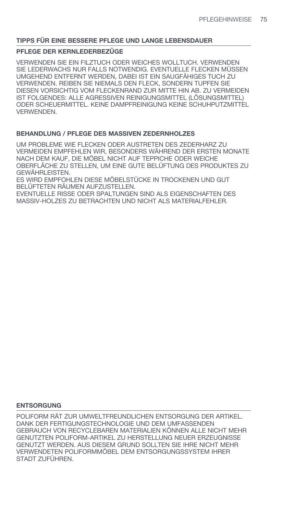### **PFLEGE DER KERNLEDERBEZÜGE**

VERWENDEN SIE EIN FILZTUCH ODER WEICHES WOLLTUCH. VERWENDEN SIE LEDERWACHS NUR FALLS NOTWENDIG. EVENTUELLE FLECKEN MÜSSEN UMGEHEND ENTFERNT WERDEN, DABEI IST EIN SAUGFÄHIGES TUCH ZU VERWENDEN. REIBEN SIE NIEMALS DEN FLECK, SONDERN TUPFEN SIE DIESEN VORSICHTIG VOM FLECKENRAND ZUR MITTE HIN AB. ZU VERMEIDEN IST FOLGENDES: ALLE AGRESSIVEN REINIGUNGSMITTEL (LÖSUNGSMITTEL) ODER SCHEUERMITTEL. KEINE DAMPFREINIGUNG KEINE SCHUHPUTZMITTEL VERWENDEN.

### **BEHANDLUNG / PFLEGE DES MASSIVEN ZEDERNHOLZES**

UM PROBLEME WIE FLECKEN ODER AUSTRETEN DES ZEDERHARZ ZU VERMEIDEN EMPFEHLEN WIR, BESONDERS WÄHREND DER ERSTEN MONATE NACH DEM KAUF, DIE MÖBEL NICHT AUF TEPPICHE ODER WEICHE OBERFLÄCHE ZU STELLEN, UM EINE GUTE BELÜFTUNG DES PRODUKTES ZU GEWÄHRLEISTEN.

ES WIRD EMPFOHLEN DIESE MÖBELSTÜCKE IN TROCKENEN UND GUT BELÜFTETEN RÄUMEN AUFZUSTELLEN.

EVENTUELLE RISSE ODER SPALTUNGEN SIND ALS EIGENSCHAFTEN DES MASSIV-HOLZES ZU BETRACHTEN UND NICHT ALS MATERIALFEHLER.

#### **ENTSORGUNG**

POLIFORM RÄT ZUR UMWELTFREUNDLICHEN ENTSORGUNG DER ARTIKEL. DANK DER FERTIGUNGSTECHNOLOGIE UND DEM UMFASSENDEN GEBRAUCH VON RECYCLEBAREN MATERIALIEN KÖNNEN ALLE NICHT MEHR GENUTZTEN POLIFORM-ARTIKEL ZU HERSTELLUNG NEUER ERZEUGNISSE GENUTZT WERDEN. AUS DIESEM GRUND SOLLTEN SIE IHRE NICHT MEHR VERWENDETEN POLIFORMMÖBEL DEM ENTSORGUNGSSYSTEM IHRER STADT ZUFÜHREN.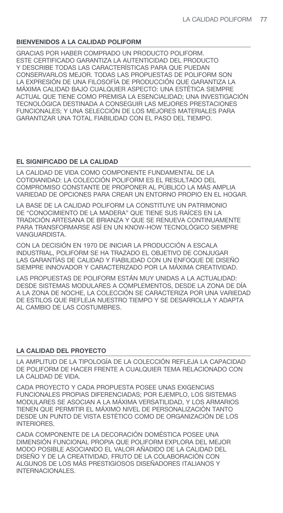## **BIENVENIDOS A LA CALIDAD POLIFORM**

GRACIAS POR HABER COMPRADO UN PRODUCTO POLIFORM. ESTE CERTIFICADO GARANTIZA LA AUTENTICIDAD DEL PRODUCTO Y DESCRIBE TODAS LAS CARACTERÍSTICAS PARA QUE PUEDAN CONSERVARLOS MEJOR. TODAS LAS PROPUESTAS DE POLIFORM SON LA EXPRESIÓN DE UNA FILOSOFÍA DE PRODUCCIÓN QUE GARANTIZA LA MÁXIMA CALIDAD BAJO CUALQUIER ASPECTO: UNA ESTÉTICA SIEMPRE ACTUAL QUE TIENE COMO PREMISA LA ESENCIALIDAD; UNA INVESTIGACIÓN TECNOLÓGICA DESTINADA A CONSEGUIR LAS MEJORES PRESTACIONES FUNCIONALES; Y UNA SELECCIÓN DE LOS MEJORES MATERIALES PARA GARANTIZAR UNA TOTAL FIABILIDAD CON EL PASO DEL TIEMPO.

## **EL SIGNIFICADO DE LA CALIDAD**

LA CALIDAD DE VIDA COMO COMPONENTE FUNDAMENTAL DE LA COTIDIANIDAD: LA COLECCIÓN POLIFORM ES EL RESULTADO DEL COMPROMISO CONSTANTE DE PROPONER AL PÚBLICO LA MÁS AMPLIA VARIEDAD DE OPCIONES PARA CREAR UN ENTORNO PROPIO EN EL HOGAR.

LA BASE DE LA CALIDAD POLIFORM LA CONSTITUYE UN PATRIMONIO DE "CONOCIMIENTO DE LA MADERA" QUE TIENE SUS RAÍCES EN LA TRADICIÓN ARTESANA DE BRIANZA Y QUE SE RENUEVA CONTINUAMENTE PARA TRANSFORMARSE ASÍ EN UN KNOW-HOW TECNOLÓGICO SIEMPRE VANGUARDISTA.

CON LA DECISIÓN EN 1970 DE INICIAR LA PRODUCCIÓN A ESCALA INDUSTRIAL, POLIFORM SE HA TRAZADO EL OBJETIVO DE CONJUGAR LAS GARANTÍAS DE CALIDAD Y FIABILIDAD CON UN ENFOQUE DE DISEÑO SIEMPRE INNOVADOR Y CARACTERIZADO POR LA MÁXIMA CREATIVIDAD.

LAS PROPUESTAS DE POLIFORM ESTÁN MUY UNIDAS A LA ACTUALIDAD: DESDE SISTEMAS MODULARES A COMPLEMENTOS, DESDE LA ZONA DE DÍA A LA ZONA DE NOCHE, LA COLECCIÓN SE CARACTERIZA POR UNA VARIEDAD DE ESTILOS QUE REFLEJA NUESTRO TIEMPO Y SE DESARROLLA Y ADAPTA AL CAMBIO DE LAS COSTUMBRES.

### **LA CALIDAD DEL PROYECTO**

LA AMPLITUD DE LA TIPOLOGÍA DE LA COLECCIÓN REFLEJA LA CAPACIDAD DE POLIFORM DE HACER FRENTE A CUALQUIER TEMA RELACIONADO CON LA CALIDAD DE VIDA.

CADA PROYECTO Y CADA PROPUESTA POSEE UNAS EXIGENCIAS FUNCIONALES PROPIAS DIFERENCIADAS; POR EJEMPLO, LOS SISTEMAS MODULARES SE ASOCIAN A LA MÁXIMA VERSATILIDAD, Y LOS ARMARIOS TIENEN QUE PERMITIR EL MÁXIMO NIVEL DE PERSONALIZACIÓN TANTO DESDE UN PUNTO DE VISTA ESTÉTICO COMO DE ORGANIZACIÓN DE LOS INTERIORES.

CADA COMPONENTE DE LA DECORACIÓN DOMÉSTICA POSEE UNA DIMENSIÓN FUNCIONAL PROPIA QUE POLIFORM EXPLORA DEL MEJOR MODO POSIBLE ASOCIANDO EL VALOR AÑADIDO DE LA CALIDAD DEL DISEÑO Y DE LA CREATIVIDAD, FRUTO DE LA COLABORACIÓN CON ALGUNOS DE LOS MÁS PRESTIGIOSOS DISEÑADORES ITALIANOS Y INTERNACIONALES.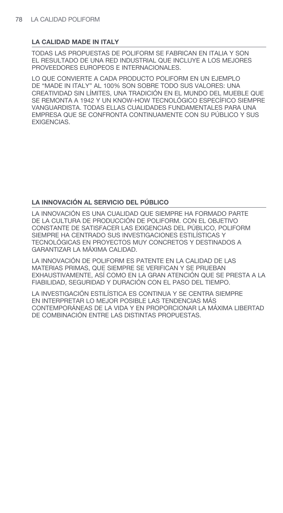### **LA CALIDAD MADE IN ITALY**

TODAS LAS PROPUESTAS DE POLIFORM SE FABRICAN EN ITALIA Y SON EL RESULTADO DE UNA RED INDUSTRIAL QUE INCLUYE A LOS MEJORES PROVEEDORES EUROPEOS E INTERNACIONALES.

LO QUE CONVIERTE A CADA PRODUCTO POLIFORM EN UN EJEMPLO DE "MADE IN ITALY" AL 100% SON SOBRE TODO SUS VALORES: UNA CREATIVIDAD SIN LÍMITES, UNA TRADICIÓN EN EL MUNDO DEL MUEBLE QUE SE REMONTA A 1942 Y UN KNOW-HOW TECNOLÓGICO ESPECÍFICO SIEMPRE VANGUARDISTA. TODAS ELLAS CUALIDADES FUNDAMENTALES PARA UNA EMPRESA QUE SE CONFRONTA CONTINUAMENTE CON SU PÚBLICO Y SUS EXIGENCIAS.

### **LA INNOVACIÓN AL SERVICIO DEL PÚBLICO**

LA INNOVACIÓN ES UNA CUALIDAD QUE SIEMPRE HA FORMADO PARTE DE LA CULTURA DE PRODUCCIÓN DE POLIFORM. CON EL OBJETIVO CONSTANTE DE SATISFACER LAS EXIGENCIAS DEL PÚBLICO, POLIFORM SIEMPRE HA CENTRADO SUS INVESTIGACIONES ESTILÍSTICAS Y TECNOLÓGICAS EN PROYECTOS MUY CONCRETOS Y DESTINADOS A GARANTIZAR LA MÁXIMA CALIDAD.

LA INNOVACIÓN DE POLIFORM ES PATENTE EN LA CALIDAD DE LAS MATERIAS PRIMAS, QUE SIEMPRE SE VERIFICAN Y SE PRUEBAN EXHAUSTIVAMENTE, ASÍ COMO EN LA GRAN ATENCIÓN QUE SE PRESTA A LA FIABILIDAD, SEGURIDAD Y DURACIÓN CON EL PASO DEL TIEMPO.

LA INVESTIGACIÓN ESTILÍSTICA ES CONTINUA Y SE CENTRA SIEMPRE EN INTERPRETAR LO MEJOR POSIBLE LAS TENDENCIAS MÁS CONTEMPORÁNEAS DE LA VIDA Y EN PROPORCIONAR LA MÁXIMA LIBERTAD DE COMBINACIÓN ENTRE LAS DISTINTAS PROPUESTAS.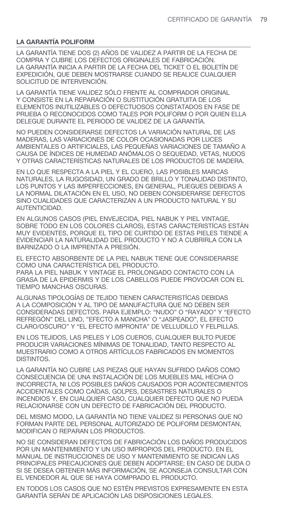### **LA GARANTÍA POLIFORM**

LA GARANTÍA TIENE DOS (2) AÑOS DE VALIDEZ A PARTIR DE LA FECHA DE COMPRA Y CUBRE LOS DEFECTOS ORIGINALES DE FABRICACIÓN. LA GARANTÍA INICIA A PARTIR DE LA FECHA DEL TICKET O EL BOLETÍN DE EXPEDICIÓN, QUE DEBEN MOSTRARSE CUANDO SE REALICE CUALQUIER SOLICITUD DE INTERVENCIÓN.

LA GARANTÍA TIENE VALIDEZ SÓLO FRENTE AL COMPRADOR ORIGINAL Y CONSISTE EN LA REPARACIÓN O SUSTITUCIÓN GRATUITA DE LOS ELEMENTOS INUTILIZABLES O DEFECTUOSOS CONSTATADOS EN FASE DE PRUEBA O RECONOCIDOS COMO TALES POR POLIFORM O POR QUIEN ELLA DELEGUE DURANTE EL PERIODO DE VALIDEZ DE LA GARANTÍA.

NO PUEDEN CONSIDERARSE DEFECTOS LA VARIACIÓN NATURAL DE LAS MADERAS, LAS VARIACIONES DE COLOR OCASIONADAS POR LUCES AMBIENTALES O ARTIFICIALES, LAS PEQUEÑAS VARIACIONES DE TAMAÑO A CAUSA DE ÍNDICES DE HUMEDAD ANÓMALOS O SEQUEDAD, VETAS, NUDOS Y OTRAS CARACTERÍSTICAS NATURALES DE LOS PRODUCTOS DE MADERA.

EN LO QUE RESPECTA A LA PIEL Y EL CUERO, LAS POSIBLES MARCAS NATURALES, LA RUGOSIDAD, UN GRADO DE BRILLO Y TONALIDAD DISTINTO, LOS PUNTOS Y LAS IMPERFECCIONES, EN GENERAL, PLIEGUES DEBIDAS A LA NORMAL DILATACIÓN EN EL USO, NO DEBEN CONSIDERARSE DEFECTOS SINO CUALIDADES QUE CARACTERIZAN A UN PRODUCTO NATURAL Y SU AUTENTICIDAD.

EN ALGUNOS CASOS (PIEL ENVEJECIDA, PIEL NABUK Y PIEL VINTAGE, SOBRE TODO EN LOS COLORES CLAROS), ESTAS CARACTERISTÍCAS ESTÁN MUY EVIDENTES, PORQUE EL TIPO DE CURTIDO DE ESTAS PIELES TIENDE A EVIDENCIAR LA NATURALIDAD DEL PRODUCTO Y NO A CUBRIRLA CON LA BARNIZADO O LA IMPRENTA A PRESIÓN.

EL EFECTO ABSORBENTE DE LA PIEL NABUK TIENE QUE CONSIDERARSE COMO UNA CARACTERÍSTICA DEL PRODUCTO. PARA LA PIEL NABUK Y VINTAGE EL PROLONGADO CONTACTO CON LA GRASA DE LA EPIDERMIS Y DE LOS CABELLOS PUEDE PROVOCAR CON EL TIEMPO MANCHAS OSCURAS.

ALGUNAS TIPOLOGÍAS DE TEJIDO TIENEN CARACTERISTÍCAS DEBIDAS A LA COMPOSICIÓN Y AL TIPO DE MANUFACTURA QUE NO DEBEN SER CONSIDERADAS DEFECTOS. PARA EJEMPLO: "NUDO" O "RAYADO" Y "EFECTO REFREGÓN" DEL LINO, "EFECTO A MANCHA" O "JASPEADO", EL EFECTO CLARO/OSCURO" Y "EL EFECTO IMPRONTA" DE VELLUDILLO Y FELPILLAS.

EN LOS TEJIDOS, LAS PIELES Y LOS CUEROS, CUALQUIER BULTO PUEDE PRODUCIR VARIACIONES MÍNIMAS DE TONALIDAD, TANTO RESPECTO AL MUESTRARIO COMO A OTROS ARTÍCULOS FABRICADOS EN MOMENTOS DISTINTOS.

LA GARANTÍA NO CUBRE LAS PIEZAS QUE HAYAN SUFRIDO DAÑOS COMO CONSECUENCIA DE UNA INSTALACIÓN DE LOS MUEBLES MAL HECHA O INCORRECTA, NI LOS POSIBLES DAÑOS CAUSADOS POR ACONTECIMIENTOS ACCIDENTALES COMO CAÍDAS, GOLPES, DESASTRES NATURALES O INCENDIOS Y, EN CUALQUIER CASO, CUALQUIER DEFECTO QUE NO PUEDA RELACIONARSE CON UN DEFECTO DE FABRICACIÓN DEL PRODUCTO.

DEL MISMO MODO, LA GARANTÍA NO TIENE VALIDEZ SI PERSONAS QUE NO FORMAN PARTE DEL PERSONAL AUTORIZADO DE POLIFORM DESMONTAN, MODIFICAN O REPARAN LOS PRODUCTOS.

NO SE CONSIDERAN DEFECTOS DE FABRICACIÓN LOS DAÑOS PRODUCIDOS POR UN MANTENIMIENTO Y UN USO IMPROPIOS DEL PRODUCTO. EN EL MANUAL DE INSTRUCCIONES DE USO Y MANTENIMIENTO SE INDICAN LAS PRINCIPALES PRECAUCIONES QUE DEBEN ADOPTARSE; EN CASO DE DUDA O SI SE DESEA OBTENER MÁS INFORMACIÓN, SE ACONSEJA CONSULTAR CON EL VENDEDOR AL QUE SE HAYA COMPRADO EL PRODUCTO.

EN TODOS LOS CASOS QUE NO ESTÉN PREVISTOS EXPRESAMENTE EN ESTA GARANTÍA SERÁN DE APLICACIÓN LAS DISPOSICIONES LEGALES.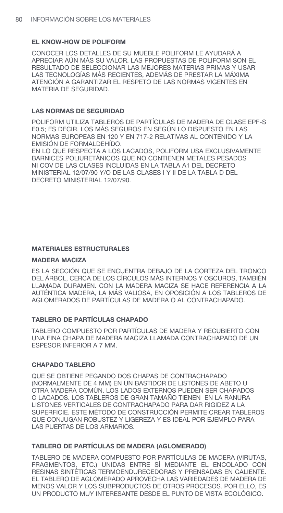### **EL KNOW-HOW DE POLIFORM**

CONOCER LOS DETALLES DE SU MUEBLE POLIFORM LE AYUDARÁ A APRECIAR AÚN MÁS SU VALOR. LAS PROPUESTAS DE POLIFORM SON EL RESULTADO DE SELECCIONAR LAS MEJORES MATERIAS PRIMAS Y USAR LAS TECNOLOGÍAS MÁS RECIENTES, ADEMÁS DE PRESTAR LA MÁXIMA ATENCIÓN A GARANTIZAR EL RESPETO DE LAS NORMAS VIGENTES EN MATERIA DE SEGURIDAD.

### **LAS NORMAS DE SEGURIDAD**

POLIFORM UTILIZA TABLEROS DE PARTÍCULAS DE MADERA DE CLASE EPF-S E0.5; ES DECIR, LOS MÁS SEGUROS EN SEGÚN LO DISPUESTO EN LAS NORMAS EUROPEAS EN 120 Y EN 717-2 RELATIVAS AL CONTENIDO Y LA EMISIÓN DE FORMALDEHÍDO.

EN LO QUE RESPECTA A LOS LACADOS, POLIFORM USA EXCLUSIVAMENTE BARNICES POLIURETÁNICOS QUE NO CONTIENEN METALES PESADOS NI COV DE LAS CLASES INCLUIDAS EN LA TABLA A1 DEL DECRETO MINISTERIAL 12/07/90 Y/O DE LAS CLASES I Y II DE LA TABLA D DEL DECRETO MINISTERIAL 12/07/90.

### **MATERIALES ESTRUCTURALES**

### **MADERA MACIZA**

ES LA SECCIÓN QUE SE ENCUENTRA DEBAJO DE LA CORTEZA DEL TRONCO DEL ÁRBOL, CERCA DE LOS CÍRCULOS MÁS INTERNOS Y OSCUROS, TAMBIÉN LLAMADA DURAMEN. CON LA MADERA MACIZA SE HACE REFERENCIA A LA AUTÉNTICA MADERA, LA MÁS VALIOSA, EN OPOSICIÓN A LOS TABLEROS DE AGLOMERADOS DE PARTÍCULAS DE MADERA O AL CONTRACHAPADO.

### **TABLERO DE PARTÍCULAS CHAPADO**

TABLERO COMPUESTO POR PARTÍCULAS DE MADERA Y RECUBIERTO CON UNA FINA CHAPA DE MADERA MACIZA LLAMADA CONTRACHAPADO DE UN ESPESOR INFERIOR A 7 MM.

### **CHAPADO TABLERO**

QUE SE OBTIENE PEGANDO DOS CHAPAS DE CONTRACHAPADO (NORMALMENTE DE 4 MM) EN UN BASTIDOR DE LISTONES DE ABETO U OTRA MADERA COMÚN. LOS LADOS EXTERNOS PUEDEN SER CHAPADOS O LACADOS. LOS TABLEROS DE GRAN TAMAÑO TIENEN EN LA RANURA LISTONES VERTICALES DE CONTRACHAPADO PARA DAR RIGIDEZ A LA SUPERFICIE. ESTE MÉTODO DE CONSTRUCCIÓN PERMITE CREAR TABLEROS QUE CONJUGAN ROBUSTEZ Y LIGEREZA Y ES IDEAL POR EJEMPLO PARA LAS PUERTAS DE LOS ARMARIOS.

### **TABLERO DE PARTÍCULAS DE MADERA (AGLOMERADO)**

TABLERO DE MADERA COMPUESTO POR PARTÍCULAS DE MADERA (VIRUTAS, FRAGMENTOS, ETC.) UNIDAS ENTRE SÍ MEDIANTE EL ENCOLADO CON RESINAS SINTÉTICAS TERMOENDURECEDORAS Y PRENSADAS EN CALIENTE. EL TABLERO DE AGLOMERADO APROVECHA LAS VARIEDADES DE MADERA DE MENOS VALOR Y LOS SUBPRODUCTOS DE OTROS PROCESOS. POR ELLO, ES UN PRODUCTO MUY INTERESANTE DESDE EL PUNTO DE VISTA ECOLÓGICO.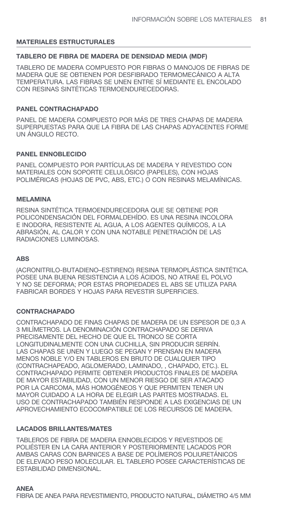### **MATERIALES ESTRUCTURALES**

### **TABLERO DE FIBRA DE MADERA DE DENSIDAD MEDIA (MDF)**

TABLERO DE MADERA COMPUESTO POR FIBRAS O MANOJOS DE FIBRAS DE MADERA QUE SE OBTIENEN POR DESFIBRADO TERMOMECÁNICO A ALTA TEMPERATURA. LAS FIBRAS SE UNEN ENTRE SÍ MEDIANTE EL ENCOLADO CON RESINAS SINTÉTICAS TERMOENDURECEDORAS.

### **PANEL CONTRACHAPADO**

PANEL DE MADERA COMPUESTO POR MÁS DE TRES CHAPAS DE MADERA SUPERPUESTAS PARA QUE LA FIBRA DE LAS CHAPAS ADYACENTES FORME UN ÁNGULO RECTO.

### **PANEL ENNOBLECIDO**

PANEL COMPUESTO POR PARTÍCULAS DE MADERA Y REVESTIDO CON MATERIALES CON SOPORTE CELULÓSICO (PAPELES), CON HOJAS POLIMÉRICAS (HOJAS DE PVC, ABS, ETC.) O CON RESINAS MELAMÍNICAS.

#### **MELAMINA**

RESINA SINTÉTICA TERMOENDURECEDORA QUE SE OBTIENE POR POLICONDENSACIÓN DEL FORMALDEHÍDO. ES UNA RESINA INCOLORA E INODORA, RESISTENTE AL AGUA, A LOS AGENTES QUÍMICOS, A LA ABRASIÓN, AL CALOR Y CON UNA NOTABLE PENETRACIÓN DE LAS RADIACIONES LUMINOSAS.

#### **ABS**

(ACRONITRILO-BUTADIENO–ESTIRENO) RESINA TERMOPLÁSTICA SINTÉTICA. POSEE UNA BUENA RESISTENCIA A LOS ÁCIDOS, NO ATRAE EL POLVO Y NO SE DEFORMA; POR ESTAS PROPIEDADES EL ABS SE UTILIZA PARA FABRICAR BORDES Y HOJAS PARA REVESTIR SUPERFICIES.

#### **CONTRACHAPADO**

CONTRACHAPADO DE FINAS CHAPAS DE MADERA DE UN ESPESOR DE 0,3 A 3 MILÍMETROS. LA DENOMINACIÓN CONTRACHAPADO SE DERIVA PRECISAMENTE DEL HECHO DE QUE EL TRONCO SE CORTA LONGITUDINALMENTE CON UNA CUCHILLA, SIN PRODUCIR SERRÍN. LAS CHAPAS SE UNEN Y LUEGO SE PEGAN Y PRENSAN EN MADERA MENOS NOBLE Y/O EN TABLEROS EN BRUTO DE CUALQUIER TIPO (CONTRACHAPEADO, AGLOMERADO, LAMINADO, , CHAPADO, ETC.). EL CONTRACHAPADO PERMITE OBTENER PRODUCTOS FINALES DE MADERA DE MAYOR ESTABILIDAD, CON UN MENOR RIESGO DE SER ATACADO POR LA CARCOMA, MÁS HOMOGÉNEOS Y QUE PERMITEN TENER UN MAYOR CUIDADO A LA HORA DE ELEGIR LAS PARTES MOSTRADAS. EL USO DE CONTRACHAPADO TAMBIÉN RESPONDE A LAS EXIGENCIAS DE UN APROVECHAMIENTO ECOCOMPATIBLE DE LOS RECURSOS DE MADERA.

#### **LACADOS BRILLANTES/MATES**

TABLEROS DE FIBRA DE MADERA ENNOBLECIDOS Y REVESTIDOS DE POLIÉSTER EN LA CARA ANTERIOR Y POSTERIORMENTE LACADOS POR AMBAS CARAS CON BARNICES A BASE DE POLÍMEROS POLIURETÁNICOS DE ELEVADO PESO MOLECULAR. EL TABLERO POSEE CARACTERÍSTICAS DE ESTABILIDAD DIMENSIONAL.

**ANEA**  FIBRA DE ANEA PARA REVESTIMIENTO, PRODUCTO NATURAL, DIÁMETRO 4/5 MM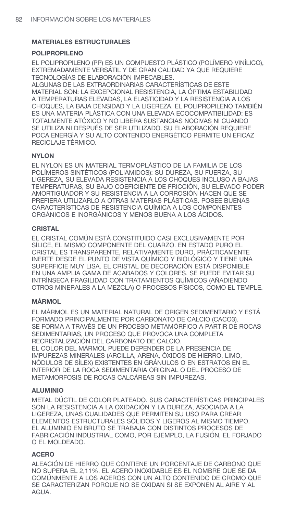### **MATERIALES ESTRUCTURALES**

### **POLIPROPILENO**

EL POLIPROPILENO (PP) ES UN COMPUESTO PLÁSTICO (POLÍMERO VINÍLICO), EXTREMADAMENTE VERSÁTIL Y DE GRAN CALIDAD YA QUE REQUIERE TECNOLOGÍAS DE ELABORACIÓN IMPECABLES.

ALGUNAS DE LAS EXTRAORDINARIAS CARACTERÍSTICAS DE ESTE MATERIAL SON: LA EXCEPCIONAL RESISTENCIA, LA ÓPTIMA ESTABILIDAD A TEMPERATURAS ELEVADAS, LA ELASTICIDAD Y LA RESISTENCIA A LOS CHOQUES, LA BAJA DENSIDAD Y LA LIGEREZA. EL POLIPROPILENO TAMBIÉN ES UNA MATERIA PLÁSTICA CON UNA ELEVADA ECOCOMPATIBILIDAD: ES TOTALMENTE ATÓXICO Y NO LIBERA SUSTANCIAS NOCIVAS NI CUANDO SE UTILIZA NI DESPUÉS DE SER UTILIZADO. SU ELABORACIÓN REQUIERE POCA ENERGÍA Y SU ALTO CONTENIDO ENERGÉTICO PERMITE UN EFICAZ RECICLAJE TÉRMICO.

### **NYLON**

EL NYLON ES UN MATERIAL TERMOPLÁSTICO DE LA FAMILIA DE LOS POLÍMEROS SINTÉTICOS (POLIAMIDOS): SU DUREZA, SU FUERZA, SU LIGEREZA, SU ELEVADA RESISTENCIA A LOS CHOQUES INCLUSO A BAJAS TEMPERATURAS, SU BAJO COEFICIENTE DE FRICCIÓN, SU ELEVADO PODER AMORTIGUADOR Y SU RESISTENCIA A LA CORROSIÓN HACEN QUE SE PREFIERA UTILIZARLO A OTRAS MATERIAS PLÁSTICAS. POSEE BUENAS CARACTERÍSTICAS DE RESISTENCIA QUÍMICA A LOS COMPONENTES ORGÁNICOS E INORGÁNICOS Y MENOS BUENA A LOS ÁCIDOS.

### **CRISTAL**

EL CRISTAL COMÚN ESTÁ CONSTITUIDO CASI EXCLUSIVAMENTE POR SÍLICE, EL MISMO COMPONENTE DEL CUARZO. EN ESTADO PURO EL CRISTAL ES TRANSPARENTE, RELATIVAMENTE DURO, PRÁCTICAMENTE INERTE DESDE EL PUNTO DE VISTA QUÍMICO Y BIOLÓGICO Y TIENE UNA SUPERFICIE MUY LISA. EL CRISTAL DE DECORACIÓN ESTÁ DISPONIBLE EN UNA AMPLIA GAMA DE ACABADOS Y COLORES. SE PUEDE EVITAR SU INTRÍNSECA FRAGILIDAD CON TRATAMIENTOS QUÍMICOS (AÑADIENDO OTROS MINERALES A LA MEZCLA) O PROCESOS FÍSICOS, COMO EL TEMPLE.

### **MÁRMOL**

EL MÁRMOL ES UN MATERIAL NATURAL DE ORIGEN SEDIMENTARIO Y ESTÁ FORMADO PRINCIPALMENTE POR CARBONATO DE CALCIO (CACO3). SE FORMA A TRAVÉS DE UN PROCESO METAMÓRFICO A PARTIR DE ROCAS SEDIMENTARIAS, UN PROCESO QUE PROVOCA UNA COMPLETA RECRISTALIZACIÓN DEL CARBONATO DE CALCIO.

EL COLOR DEL MÁRMOL PUEDE DEPENDER DE LA PRESENCIA DE IMPUREZAS MINERALES (ARCILLA, ARENA, ÓXIDOS DE HIERRO, LIMO, NÓDULOS DE SÍLEX) EXISTENTES EN GRÁNULOS O EN ESTRATOS EN EL INTERIOR DE LA ROCA SEDIMENTARIA ORIGINAL O DEL PROCESO DE METAMORFOSIS DE ROCAS CALCÁREAS SIN IMPUREZAS.

#### **ALUMINIO**

METAL DÚCTIL DE COLOR PLATEADO. SUS CARACTERÍSTICAS PRINCIPALES SON LA RESISTENCIA A LA OXIDACIÓN Y LA DUREZA, ASOCIADA A LA LIGEREZA, UNAS CUALIDADES QUE PERMITEN SU USO PARA CREAR ELEMENTOS ESTRUCTURALES SÓLIDOS Y LIGEROS AL MISMO TIEMPO. EL ALUMINIO EN BRUTO SE TRABAJA CON DISTINTOS PROCESOS DE FABRICACIÓN INDUSTRIAL COMO, POR EJEMPLO, LA FUSIÓN, EL FORJADO O EL MOLDEADO.

#### **ACERO**

ALEACIÓN DE HIERRO QUE CONTIENE UN PORCENTAJE DE CARBONO QUE NO SUPERA EL 2,11%. EL ACERO INOXIDABLE ES EL NOMBRE QUE SE DA COMÚNMENTE A LOS ACEROS CON UN ALTO CONTENIDO DE CROMO QUE SE CARACTERIZAN PORQUE NO SE OXIDAN SI SE EXPONEN AL AIRE Y AL AGUA.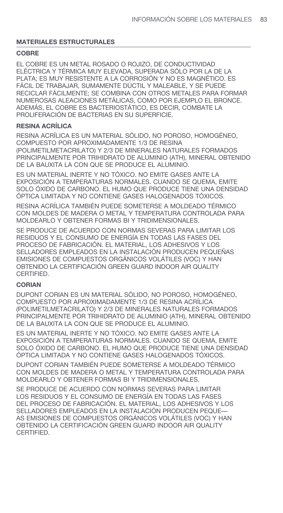### **MATERIALES ESTRUCTURALES**

### **COBRE**

EL COBRE ES UN METAL ROSADO O ROJIZO, DE CONDUCTIVIDAD ELÉCTRICA Y TÉRMICA MUY ELEVADA, SUPERADA SÓLO POR LA DE LA PLATA; ES MUY RESISTENTE A LA CORROSIÓN Y NO ES MAGNÉTICO. ES FÁCIL DE TRABAJAR, SUMAMENTE DÚCTIL Y MALEABLE, Y SE PUEDE RECICLAR FÁCILMENTE; SE COMBINA CON OTROS METALES PARA FORMAR NUMEROSAS ALEACIONES METÁLICAS, COMO POR EJEMPLO EL BRONCE. ADEMÁS, EL COBRE ES BACTERIOSTÁTICO, ES DECIR, COMBATE LA PROLIFERACIÓN DE BACTERIAS EN SU SUPERFICIE.

## **RESINA ACRÍLICA**

RESINA ACRÍLICA ES UN MATERIAL SÓLIDO, NO POROSO, HOMOGÉNEO, COMPUESTO POR APROXIMADAMENTE 1/3 DE RESINA (POLIMETILMETACRILATO) Y 2/3 DE MINERALES NATURALES FORMADOS PRINCIPALMENTE POR TRIHIDRATO DE ALUMINIO (ATH), MINERAL OBTENIDO DE LA BAUXITA LA CON QUE SE PRODUCE EL ALUMINIO.

ES UN MATERIAL INERTE Y NO TÓXICO. NO EMITE GASES ANTE LA EXPOSICIÓN A TEMPERATURAS NORMALES. CUANDO SE QUEMA, EMITE SOLO ÓXIDO DE CARBONO. EL HUMO QUE PRODUCE TIENE UNA DENSIDAD ÓPTICA LIMITADA Y NO CONTIENE GASES HALOGENADOS TÓXICOS.

RESINA ACRÍLICA TAMBIÉN PUEDE SOMETERSE A MOLDEADO TÉRMICO CON MOLDES DE MADERA O METAL Y TEMPERATURA CONTROLADA PARA MOLDEARLO Y OBTENER FORMAS BI Y TRIDIMENSIONALES.

SE PRODUCE DE ACUERDO CON NORMAS SEVERAS PARA LIMITAR LOS RESIDUOS Y EL CONSUMO DE ENERGÍA EN TODAS LAS FASES DEL PROCESO DE FABRICACIÓN. EL MATERIAL, LOS ADHESIVOS Y LOS SELLADORES EMPLEADOS EN LA INSTALACIÓN PRODUCEN PEQUEÑAS EMISIONES DE COMPUESTOS ORGÁNICOS VOLÁTILES (VOC) Y HAN OBTENIDO LA CERTIFICACIÓN GREEN GUARD INDOOR AIR QUALITY CERTIFIED.

#### **CORIAN**

DUPONT CORIAN ES UN MATERIAL SÓLIDO, NO POROSO, HOMOGÉNEO, COMPUESTO POR APROXIMADAMENTE 1/3 DE RESINA ACRÍLICA (POLIMETILMETACRILATO) Y 2/3 DE MINERALES NATURALES FORMADOS PRINCIPALMENTE POR TRIHIDRATO DE ALUMINIO (ATH), MINERAL OBTENIDO DE LA BAUXITA LA CON QUE SE PRODUCE EL ALUMINIO.

ES UN MATERIAL INERTE Y NO TÓXICO. NO EMITE GASES ANTE LA EXPOSICIÓN A TEMPERATURAS NORMALES. CUANDO SE QUEMA, EMITE SOLO ÓXIDO DE CARBONO. EL HUMO QUE PRODUCE TIENE UNA DENSIDAD ÓPTICA LIMITADA Y NO CONTIENE GASES HALOGENADOS TÓXICOS.

DUPONT CORIAN TAMBIÉN PUEDE SOMETERSE A MOLDEADO TÉRMICO CON MOLDES DE MADERA O METAL Y TEMPERATURA CONTROLADA PARA MOLDEARLO Y OBTENER FORMAS BI Y TRIDIMENSIONALES.

SE PRODUCE DE ACUERDO CON NORMAS SEVERAS PARA LIMITAR LOS RESIDUOS Y EL CONSUMO DE ENERGÍA EN TODAS LAS FASES DEL PROCESO DE FABRICACIÓN. EL MATERIAL, LOS ADHESIVOS Y LOS SELLADORES EMPLEADOS EN LA INSTALACIÓN PRODUCEN PEQUE— AS EMISIONES DE COMPUESTOS ORGÁNICOS VOLÁTILES (VOC) Y HAN OBTENIDO LA CERTIFICACIÓN GREEN GUARD INDOOR AIR QUALITY CERTIFIED.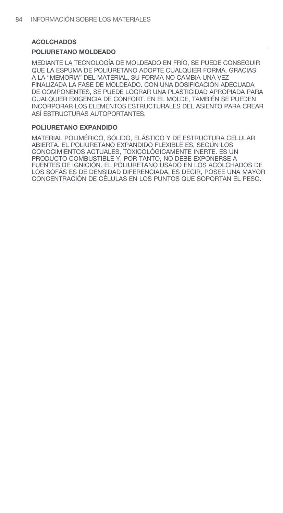### **ACOLCHADOS**

### **POLIURETANO MOLDEADO**

MEDIANTE LA TECNOLOGÍA DE MOLDEADO EN FRÍO, SE PUEDE CONSEGUIR QUE LA ESPUMA DE POLIURETANO ADOPTE CUALQUIER FORMA. GRACIAS A LA "MEMORIA" DEL MATERIAL, SU FORMA NO CAMBIA UNA VEZ FINALIZADA LA FASE DE MOLDEADO. CON UNA DOSIFICACIÓN ADECUADA DE COMPONENTES, SE PUEDE LOGRAR UNA PLASTICIDAD APROPIADA PARA CUALQUIER EXIGENCIA DE CONFORT. EN EL MOLDE, TAMBIÉN SE PUEDEN INCORPORAR LOS ELEMENTOS ESTRUCTURALES DEL ASIENTO PARA CREAR ASÍ ESTRUCTURAS AUTOPORTANTES.

#### **POLIURETANO EXPANDIDO**

MATERIAL POLIMÉRICO, SÓLIDO, ELÁSTICO Y DE ESTRUCTURA CELULAR ABIERTA. EL POLIURETANO EXPANDIDO FLEXIBLE ES, SEGÚN LOS CONOCIMIENTOS ACTUALES, TOXICOLÓGICAMENTE INERTE. ES UN PRODUCTO COMBUSTIBLE Y, POR TANTO, NO DEBE EXPONERSE A FUENTES DE IGNICIÓN. EL POLIURETANO USADO EN LOS ACOLCHADOS DE LOS SOFÁS ES DE DENSIDAD DIFERENCIADA, ES DECIR, POSEE UNA MAYOR CONCENTRACIÓN DE CÉLULAS EN LOS PUNTOS QUE SOPORTAN EL PESO.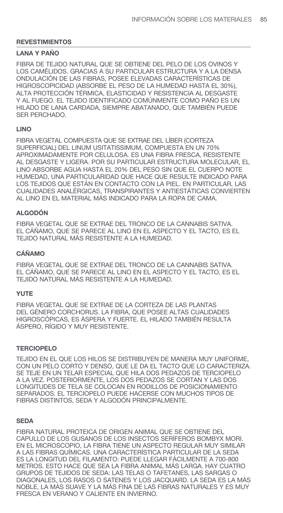#### **LANA Y PAÑO**

FIBRA DE TEJIDO NATURAL QUE SE OBTIENE DEL PELO DE LOS OVINOS Y LOS CAMÉLIDOS. GRACIAS A SU PARTICULAR ESTRUCTURA Y A LA DENSA ONDULACIÓN DE LAS FIBRAS, POSEE ELEVADAS CARACTERÍSTICAS DE HIGROSCOPICIDAD (ABSORBE EL PESO DE LA HUMEDAD HASTA EL 30%), ALTA PROTECCIÓN TÉRMICA, ELASTICIDAD Y RESISTENCIA AL DESGASTE Y AL FUEGO. EL TEJIDO IDENTIFICADO COMÚNMENTE COMO PAÑO ES UN HILADO DE LANA CARDADA, SIEMPRE ABATANADO, QUE TAMBIÉN PUEDE SER PERCHADO.

#### **LINO**

FIBRA VEGETAL COMPUESTA QUE SE EXTRAE DEL LÍBER (CORTEZA SUPERFICIAL) DEL LINUM USITATISSIMUM, COMPUESTA EN UN 70% APROXIMADAMENTE POR CELULOSA. ES UNA FIBRA FRESCA, RESISTENTE AL DESGASTE Y LIGERA. POR SU PARTICULAR ESTRUCTURA MOLECULAR, EL LINO ABSORBE AGUA HASTA EL 20% DEL PESO SIN QUE EL CUERPO NOTE HUMEDAD, UNA PARTICULARIDAD QUE HACE QUE RESULTE INDICADO PARA LOS TEJIDOS QUE ESTÁN EN CONTACTO CON LA PIEL. EN PARTICULAR, LAS CUALIDADES ANALÉRGICAS, TRANSPIRANTES Y ANTIESTÁTICAS CONVIERTEN AL LINO EN EL MATERIAL MÁS INDICADO PARA LA ROPA DE CAMA.

### **ALGODÓN**

FIBRA VEGETAL QUE SE EXTRAE DEL TRONCO DE LA CANNABIS SATIVA. EL CÁÑAMO, QUE SE PARECE AL LINO EN EL ASPECTO Y EL TACTO, ES EL TEJIDO NATURAL MÁS RESISTENTE A LA HUMEDAD.

### **CÁÑAMO**

FIBRA VEGETAL QUE SE EXTRAE DEL TRONCO DE LA CANNABIS SATIVA. EL CÁÑAMO, QUE SE PARECE AL LINO EN EL ASPECTO Y EL TACTO, ES EL TEJIDO NATURAL MÁS RESISTENTE A LA HUMEDAD.

### **YUTE**

FIBRA VEGETAL QUE SE EXTRAE DE LA CORTEZA DE LAS PLANTAS DEL GÉNERO CORCHORUS. LA FIBRA, QUE POSEE ALTAS CUALIDADES HIGROSCÓPICAS, ES ÁSPERA Y FUERTE. EL HILADO TAMBIÉN RESULTA ÁSPERO, RÍGIDO Y MUY RESISTENTE.

### **TERCIOPELO**

TEJIDO EN EL QUE LOS HILOS SE DISTRIBUYEN DE MANERA MUY UNIFORME, CON UN PELO CORTO Y DENSO, QUE LE DA EL TACTO QUE LO CARACTERIZA. SE TEJE EN UN TELAR ESPECIAL QUE HILA DOS PEDAZOS DE TERCIOPELO A LA VEZ. POSTERIORMENTE, LOS DOS PEDAZOS SE CORTAN Y LAS DOS LONGITUDES DE TELA SE COLOCAN EN RODILLOS DE POSICIONAMIENTO SEPARADOS. EL TERCIOPELO PUEDE HACERSE CON MUCHOS TIPOS DE FIBRAS DISTINTOS, SEDA Y ALGODÓN PRINCIPALMENTE.

#### **SEDA**

FIBRA NATURAL PROTEICA DE ORIGEN ANIMAL QUE SE OBTIENE DEL CAPULLO DE LOS GUSANOS DE LOS INSECTOS SERÍFEROS BOMBYX MORI. EN EL MICROSCOPIO, LA FIBRA TIENE UN ASPECTO REGULAR MUY SIMILAR A LAS FIBRAS QUÍMICAS. UNA CARACTERÍSTICA PARTICULAR DE LA SEDA ES LA LONGITUD DEL FILAMENTO: PUEDE LLEGAR FÁCILMENTE A 700-800 METROS. ESTO HACE QUE SEA LA FIBRA ANIMAL MÁS LARGA. HAY CUATRO GRUPOS DE TEJIDOS DE SEDA: LAS TELAS O TAFETANES, LAS SARGAS O DIAGONALES, LOS RASOS O SATENES Y LOS JACQUARD. LA SEDA ES LA MÁS NOBLE, LA MÁS SUAVE Y LA MÁS FINA DE LAS FIBRAS NATURALES Y ES MUY FRESCA EN VERANO Y CALIENTE EN INVIERNO.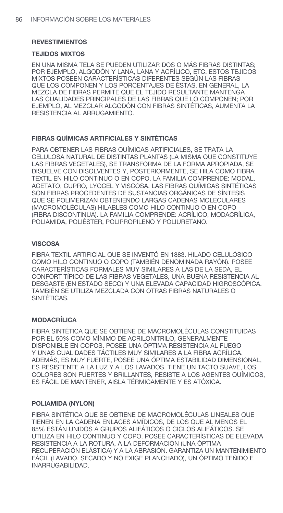#### **TEJIDOS MIXTOS**

EN UNA MISMA TELA SE PUEDEN UTILIZAR DOS O MÁS FIBRAS DISTINTAS; POR EJEMPLO, ALGODÓN Y LANA, LANA Y ACRÍLICO, ETC. ESTOS TEJIDOS MIXTOS POSEEN CARACTERÍSTICAS DIFERENTES SEGÚN LAS FIBRAS QUE LOS COMPONEN Y LOS PORCENTAJES DE ÉSTAS. EN GENERAL, LA MEZCLA DE FIBRAS PERMITE QUE EL TEJIDO RESULTANTE MANTENGA LAS CUALIDADES PRINCIPALES DE LAS FIBRAS QUE LO COMPONEN; POR EJEMPLO, AL MEZCLAR ALGODÓN CON FIBRAS SINTÉTICAS, AUMENTA LA RESISTENCIA AL ARRUGAMIENTO.

### **FIBRAS QUÍMICAS ARTIFICIALES Y SINTÉTICAS**

PARA OBTENER LAS FIBRAS QUÍMICAS ARTIFICIALES, SE TRATA LA CELULOSA NATURAL DE DISTINTAS PLANTAS (LA MISMA QUE CONSTITUYE LAS FIBRAS VEGETALES), SE TRANSFORMA DE LA FORMA APROPIADA, SE DISUELVE CON DISOLVENTES Y, POSTERIORMENTE, SE HILA COMO FIBRA TEXTIL EN HILO CONTINUO O EN COPO. LA FAMILIA COMPRENDE: MODAL, ACETATO, CUPRO, LYOCEL Y VISCOSA. LAS FIBRAS QUÍMICAS SINTÉTICAS SON FIBRAS PROCEDENTES DE SUSTANCIAS ORGÁNICAS DE SÍNTESIS QUE SE POLIMERIZAN OBTENIENDO LARGAS CADENAS MOLECULARES (MACROMOLÉCULAS) HILABLES COMO HILO CONTINUO O EN COPO (FIBRA DISCONTINUA). LA FAMILIA COMPRENDE: ACRÍLICO, MODACRÍLICA, POLIAMIDA, POLIÉSTER, POLIPROPILENO Y POLIURETANO.

### **VISCOSA**

FIBRA TEXTIL ARTIFICIAL QUE SE INVENTÓ EN 1883. HILADO CELULÓSICO COMO HILO CONTINUO O COPO (TAMBIÉN DENOMINADA RAYÓN). POSEE CARACTERÍSTICAS FORMALES MUY SIMILARES A LAS DE LA SEDA, EL CONFORT TÍPICO DE LAS FIBRAS VEGETALES, UNA BUENA RESISTENCIA AL DESGASTE (EN ESTADO SECO) Y UNA ELEVADA CAPACIDAD HIGROSCÓPICA. TAMBIÉN SE UTILIZA MEZCLADA CON OTRAS FIBRAS NATURALES O SINTÉTICAS.

#### **MODACRÍLICA**

FIBRA SINTÉTICA QUE SE OBTIENE DE MACROMOLÉCULAS CONSTITUIDAS POR EL 50% COMO MÍNIMO DE ACRILONITRILO, GENERALMENTE DISPONIBLE EN COPOS. POSEE UNA ÓPTIMA RESISTENCIA AL FUEGO Y UNAS CUALIDADES TÁCTILES MUY SIMILARES A LA FIBRA ACRÍLICA. ADEMÁS, ES MUY FUERTE, POSEE UNA ÓPTIMA ESTABILIDAD DIMENSIONAL, ES RESISTENTE A LA LUZ Y A LOS LAVADOS, TIENE UN TACTO SUAVE, LOS COLORES SON FUERTES Y BRILLANTES, RESISTE A LOS AGENTES QUÍMICOS, ES FÁCIL DE MANTENER, AISLA TÉRMICAMENTE Y ES ATÓXICA.

### **POLIAMIDA (NYLON)**

FIBRA SINTÉTICA QUE SE OBTIENE DE MACROMOLÉCULAS LINEALES QUE TIENEN EN LA CADENA ENLACES AMÍDICOS, DE LOS QUE AL MENOS EL 85% ESTÁN UNIDOS A GRUPOS ALIFÁTICOS O CICLOS ALIFÁTICOS. SE UTILIZA EN HILO CONTINUO Y COPO. POSEE CARACTERÍSTICAS DE ELEVADA RESISTENCIA A LA ROTURA, A LA DEFORMACIÓN (UNA ÓPTIMA RECUPERACIÓN ELÁSTICA) Y A LA ABRASIÓN. GARANTIZA UN MANTENIMIENTO FÁCIL (LAVADO, SECADO Y NO EXIGE PLANCHADO), UN ÓPTIMO TEÑIDO E INARRUGABILIDAD.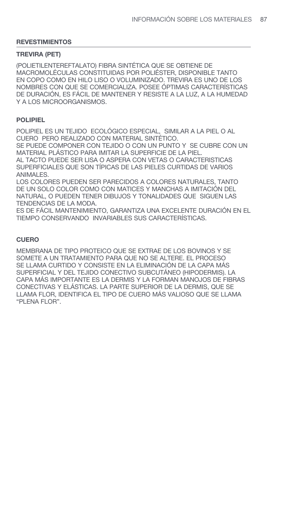#### **TREVIRA (PET)**

(POLIETILENTEREFTALATO) FIBRA SINTÉTICA QUE SE OBTIENE DE MACROMOLÉCULAS CONSTITUIDAS POR POLIÉSTER, DISPONIBLE TANTO EN COPO COMO EN HILO LISO O VOLUMINIZADO. TREVIRA ES UNO DE LOS NOMBRES CON QUE SE COMERCIALIZA. POSEE ÓPTIMAS CARACTERÍSTICAS DE DURACIÓN, ES FÁCIL DE MANTENER Y RESISTE A LA LUZ, A LA HUMEDAD Y A LOS MICROORGANISMOS.

#### **POLIPIEL**

POLIPIEL ES UN TEJIDO ECOLÓGICO ESPECIAL, SIMILAR A LA PIEL O AL CUERO PERO REALIZADO CON MATERIAL SINTÉTICO.

SE PUEDE COMPONER CON TEJIDO O CON UN PUNTO Y SE CUBRE CON UN MATERIAL PLÁSTICO PARA IMITAR LA SUPERFICIE DE LA PIEL. AL TACTO PUEDE SER LISA O ASPERA CON VETAS O CARACTERISTICAS SUPERFICIALES QUE SON TÍPICAS DE LAS PIELES CURTIDAS DE VARIOS ANIMALES.

LOS COLORES PUEDEN SER PARECIDOS A COLORES NATURALES, TANTO DE UN SOLO COLOR COMO CON MATICES Y MANCHAS A IMITACIÓN DEL NATURAL, O PUEDEN TENER DIBUJOS Y TONALIDADES QUE SIGUEN LAS TENDENCIAS DE LA MODA.

ES DE FÁCIL MANTENIMIENTO, GARANTIZA UNA EXCELENTE DURACIÓN EN EL TIEMPO CONSERVANDO INVARIABLES SUS CARACTERÍSTICAS.

### **CUERO**

MEMBRANA DE TIPO PROTEICO QUE SE EXTRAE DE LOS BOVINOS Y SE SOMETE A UN TRATAMIENTO PARA QUE NO SE ALTERE. EL PROCESO SE LLAMA CURTIDO Y CONSISTE EN LA ELIMINACIÓN DE LA CAPA MÁS SUPERFICIAL Y DEL TEJIDO CONECTIVO SUBCUTÁNEO (HIPODERMIS). LA CAPA MÁS IMPORTANTE ES LA DERMIS Y LA FORMAN MANOJOS DE FIBRAS CONECTIVAS Y ELÁSTICAS. LA PARTE SUPERIOR DE LA DERMIS, QUE SE LLAMA FLOR, IDENTIFICA EL TIPO DE CUERO MÁS VALIOSO QUE SE LLAMA "PLENA FLOR".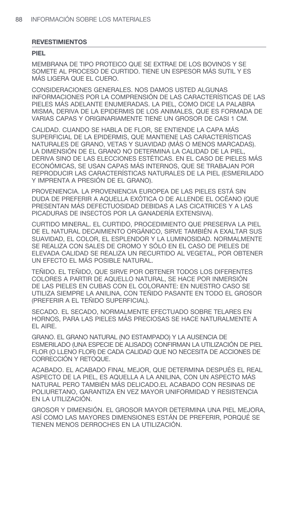#### **PIEL**

MEMBRANA DE TIPO PROTEICO QUE SE EXTRAE DE LOS BOVINOS Y SE SOMETE AL PROCESO DE CURTIDO. TIENE UN ESPESOR MÁS SUTIL Y ES MÁS LIGERA QUE EL CUERO.

CONSIDERACIONES GENERALES. NOS DAMOS USTED ALGUNAS INFORMACIONES POR LA COMPRENSIÓN DE LAS CARACTERÍSTICAS DE LAS PIELES MÁS ADELANTE ENUMERADAS. LA PIEL, COMO DICE LA PALABRA MISMA, DERIVA DE LA EPIDERMIS DE LOS ANIMALES, QUE ES FORMADA DE VARIAS CAPAS Y ORIGINARIAMENTE TIENE UN GROSOR DE CASI 1 CM.

CALIDAD. CUANDO SE HABLA DE FLOR, SE ENTIENDE LA CAPA MÁS SUPERFICIAL DE LA EPIDERMIS, QUE MANTIENE LAS CARACTERÍSTICAS NATURALES DE GRANO, VETAS Y SUAVIDAD (MÁS O MENOS MARCADAS). LA DIMENSIÓN DE EL GRANO NO DETERMINA LA CALIDAD DE LA PIEL, DERIVA SINO DE LAS ELECCIONES ESTÉTICAS. EN EL CASO DE PIELES MÁS ECONÓMICAS, SE USAN CAPAS MÁS INTERNOS, QUE SE TRABAJAN POR REPRODUCIR LAS CARACTERÍSTICAS NATURALES DE LA PIEL (ESMERILADO Y IMPRENTA A PRESIÓN DE EL GRANO).

PROVENIENCIA. LA PROVENIENCIA EUROPEA DE LAS PIELES ESTÁ SIN DUDA DE PREFERIR A AQUELLA EXÓTICA O DE ALLENDE EL OCÉANO (QUE PRESENTAN MÁS DEFECTUOSIDAD DEBIDAS A LAS CICATRICES Y A LAS PICADURAS DE INSECTOS POR LA GANADERÍA EXTENSIVA).

CURTIDO MINERAL. EL CURTIDO, PROCEDIMIENTO QUE PRESERVA LA PIEL DE EL NATURAL DECAIMIENTO ORGÁNICO, SIRVE TAMBIÉN A EXALTAR SUS SUAVIDAD, EL COLOR, EL ESPLENDOR Y LA LUMINOSIDAD. NORMALMENTE SE REALIZA CON SALES DE CROMO Y SÓLO EN EL CASO DE PIELES DE ELEVADA CALIDAD SE REALIZA UN RECURTIDO AL VEGETAL, POR OBTENER UN EFECTO EL MÁS POSIBLE NATURAL.

TEÑIDO. EL TEÑIDO, QUE SIRVE POR OBTENER TODOS LOS DIFERENTES COLORES A PARTIR DE AQUELLO NATURAL, SE HACE POR INMERSIÓN DE LAS PIELES EN CUBAS CON EL COLORANTE: EN NUESTRO CASO SE UTILIZA SIEMPRE LA ANILINA, CON TEÑIDO PASANTE EN TODO EL GROSOR (PREFERIR A EL TEÑIDO SUPERFICIAL).

SECADO. EL SECADO, NORMALMENTE EFECTUADO SOBRE TELARES EN HORNOS, PARA LAS PIELES MÁS PRECIOSAS SE HACE NATURALMENTE A EL AIRE.

GRANO. EL GRANO NATURAL (NO ESTAMPADO) Y LA AUSENCIA DE ESMERILADO (UNA ESPECIE DE ALISADO) CONFIRMAN LA UTILIZACIÓN DE PIEL FLOR (O LLENO FLOR) DE CADA CALIDAD QUE NO NECESITA DE ACCIONES DE CORRECCIÓN Y RETOQUE.

ACABADO. EL ACABADO FINAL MEJOR, QUE DETERMINA DESPUÉS EL REAL ASPECTO DE LA PIEL, ES AQUELLA A LA ANILINA, CON UN ASPECTO MÁS NATURAL PERO TAMBIÉN MÁS DELICADO.EL ACABADO CON RESINAS DE POLIURETANO, GARANTIZA EN VEZ MAYOR UNIFORMIDAD Y RESISTENCIA EN LA UTILIZACIÓN.

GROSOR Y DIMENSIÓN. EL GROSOR MAYOR DETERMINA UNA PIEL MEJORA, ASÍ COMO LAS MAYORES DIMENSIONES ESTÁN DE PREFERIR, PORQUÉ SE TIENEN MENOS DERROCHES EN LA UTILIZACIÓN.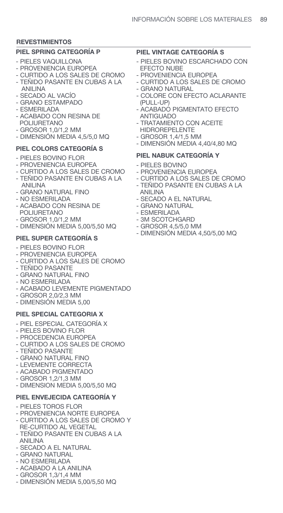#### **PIEL SPRING CATEGORÍA P**

- PIELES VAQUILLONA
- PROVENIENCIA EUROPEA
- CURTIDO A LOS SALES DE CROMO - TEÑIDO PASANTE EN CUBAS A LA
- ANILINA
- SECADO AL VACÍO
- GRANO ESTAMPADO
- ESMERILADA
- ACABADO CON RESINA DE POLIURETANO
- GROSOR 1,0/1,2 MM
- DIMENSIÓN MEDIA 4,5/5,0 MQ

#### **PIEL COLORS CATEGORÍA S**

- PIELES BOVINO ELOR
- PROVENIENCIA EUROPEA
- CURTIDO A LOS SALES DE CROMO
- TEÑIDO PASANTE EN CUBAS A LA ANILINA
- GRANO NATURAL FINO
- NO ESMERILADA
- ACABADO CON RESINA DE POLIURETANO
- GROSOR 1,0/1,2 MM
- DIMENSIÓN MEDIA 5,00/5,50 MQ

### **PIEL SUPER CATEGORÍA S**

- PIELES BOVINO FLOR
- PROVENIENCIA EUROPEA
- CURTIDO A LOS SALES DE CROMO
- TEÑIDO PASANTE
- GRANO NATURAL FINO
- NO ESMERILADA
- ACABADO LEVEMENTE PIGMENTADO
- GROSOR 2,0/2,3 MM
- DIMENSIÓN MEDIA 5,00

#### **PIEL SPECIAL CATEGORIA X**

- PIEL ESPECIAL CATEGORÍA X
- PIELES BOVINO FLOR
- PROCEDENCIA EUROPEA
- CURTIDO A LOS SALES DE CROMO
- TEÑIDO PASANTE
- GRANO NATURAL FINO
- LEVEMENTE CORRECTA
- ACABADO PIGMENTADO
- GROSOR 1,2/1,3 MM
- DIMENSION MEDIA 5,00/5,50 MQ

#### **PIEL ENVEJECIDA CATEGORÍA Y**

- PIELES TOROS FLOR
- PROVENIENCIA NORTE EUROPEA
- CURTIDO A LOS SALES DE CROMO Y RE-CURTIDO AL VEGETAL
- TEÑIDO PASANTE EN CUBAS A LA ANILINA
- SECADO A EL NATURAL
- GRANO NATURAL
- NO ESMERILADA
- ACABADO A LA ANILINA
- GROSOR 1,3/1,4 MM
- DIMENSIÓN MEDIA 5,00/5,50 MQ

### **PIEL VINTAGE CATEGORÍA S**

- PIELES BOVINO ESCARCHADO CON EFECTO NUBE
- PROVENIENCIA EUROPEA
- CURTIDO A LOS SALES DE CROMO
- GRANO NATURAL
- COLORE CON EFECTO ACLARANTE (PULL-UP)
- ACABADO PIGMENTATO EFECTO ANTIGUADO
- TRATAMIENTO CON ACEITE
- HIDROREPELENTE
- GROSOR 1,4/1,5 MM
- DIMENSIÓN MEDIA 4,40/4,80 MQ

#### **PIEL NABUK CATEGORÍA Y**

- PIELES BOVINO
- PROVENIENCIA EUROPEA
- CURTIDO A LOS SALES DE CROMO
- TEÑIDO PASANTE EN CUBAS A LA ANILINA
- SECADO A EL NATURAL
- GRANO NATURAL
- ESMERILADA
- 3M SCOTCHGARD
- GROSOR 4,5/5,0 MM
- DIMENSIÓN MEDIA 4,50/5,00 MQ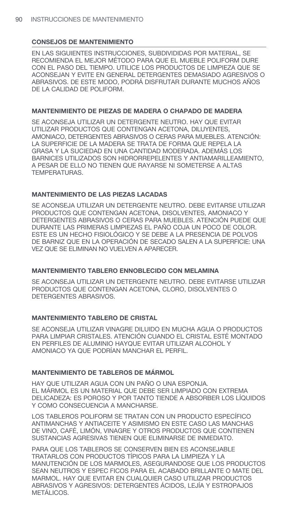EN LAS SIGUIENTES INSTRUCCIONES, SUBDIVIDIDAS POR MATERIAL, SE RECOMIENDA EL MEJOR MÉTODO PARA QUE EL MUEBLE POLIFORM DURE CON EL PASO DEL TIEMPO. UTILICE LOS PRODUCTOS DE LIMPIEZA QUE SE ACONSEJAN Y EVITE EN GENERAL DETERGENTES DEMASIADO AGRESIVOS O ABRASIVOS. DE ESTE MODO, PODRÁ DISFRUTAR DURANTE MUCHOS AÑOS DE LA CALIDAD DE POLIFORM.

#### **MANTENIMIENTO DE PIEZAS DE MADERA O CHAPADO DE MADERA**

SE ACONSEJA UTILIZAR UN DETERGENTE NEUTRO. HAY QUE EVITAR UTILIZAR PRODUCTOS QUE CONTENGAN ACETONA, DILUYENTES, AMONIACO, DETERGENTES ABRASIVOS O CERAS PARA MUEBLES. ATENCIÓN: LA SUPERFICIE DE LA MADERA SE TRATA DE FORMA QUE REPELA LA GRASA Y LA SUCIEDAD EN UNA CANTIDAD MODERADA. ADEMÁS LOS BARNICES UTILIZADOS SON HIDRORREPELENTES Y ANTIAMARILLEAMIENTO, A PESAR DE ELLO NO TIENEN QUE RAYARSE NI SOMETERSE A ALTAS TEMPERATURAS.

### **MANTENIMIENTO DE LAS PIEZAS LACADAS**

SE ACONSEJA UTILIZAR UN DETERGENTE NEUTRO. DEBE EVITARSE UTILIZAR PRODUCTOS QUE CONTENGAN ACETONA, DISOLVENTES, AMONIACO Y DETERGENTES ABRASIVOS O CERAS PARA MUEBLES. ATENCIÓN PUEDE QUE DURANTE LAS PRIMERAS LIMPIEZAS EL PAÑO COJA UN POCO DE COLOR. ESTE ES UN HECHO FISIOLÓGICO Y SE DEBE A LA PRESENCIA DE POLVOS DE BARNIZ QUE EN LA OPERACIÓN DE SECADO SALEN A LA SUPERFICIE: UNA VEZ QUE SE ELIMINAN NO VUELVEN A APARECER.

#### **MANTENIMIENTO TABLERO ENNOBLECIDO CON MELAMINA**

SE ACONSEJA UTILIZAR UN DETERGENTE NEUTRO. DEBE EVITARSE UTILIZAR PRODUCTOS QUE CONTENGAN ACETONA, CLORO, DISOLVENTES O DETERGENTES ABRASIVOS.

### **MANTENIMIENTO TABLERO DE CRISTAL**

SE ACONSEJA UTILIZAR VINAGRE DILUIDO EN MUCHA AGUA O PRODUCTOS PARA LIMPIAR CRISTALES. ATENCIÓN CUANDO EL CRISTAL ESTÉ MONTADO EN PERFILES DE ALUMINIO HAYQUE EVITAR UTILIZAR ALCOHOL Y AMONIACO YA QUE PODRÍAN MANCHAR EL PERFIL.

#### **MANTENIMIENTO DE TABLEROS DE MÁRMOL**

HAY QUE UTILIZAR AGUA CON UN PAÑO O UNA ESPONJA. EL MÁRMOL ES UN MATERIAL QUE DEBE SER LIMPIADO CON EXTREMA DELICADEZA: ES POROSO Y POR TANTO TIENDE A ABSORBER LOS LÍQUIDOS Y COMO CONSECUENCIA A MANCHARSE.

LOS TABLEROS POLIFORM SE TRATAN CON UN PRODUCTO ESPECÍFICO ANTIMANCHAS Y ANTIACEITE Y ASIMISMO EN ESTE CASO LAS MANCHAS DE VINO, CAFÉ, LIMÓN, VINAGRE Y OTROS PRODUCTOS QUE CONTIENEN SUSTANCIAS AGRESIVAS TIENEN QUE ELIMINARSE DE INMEDIATO.

PARA QUE LOS TABLEROS SE CONSERVEN BIEN ES ACONSEJABLE TRATARLOS CON PRODUCTOS TÍPICOS PARA LA LIMPIEZA Y LA MANUTENCIÓN DE LOS MARMOLES, ASEGURANDOSE QUE LOS PRODUCTOS SEAN NEUTROS Y ESPEC FICOS PARA EL ACABADO BRILLANTE O MATE DEL MARMOL. HAY QUE EVITAR EN CUALQUIER CASO UTILIZAR PRODUCTOS ABRASIVOS Y AGRESIVOS: DETERGENTES ÁCIDOS, LEJÍA Y ESTROPAJOS METÁLICOS.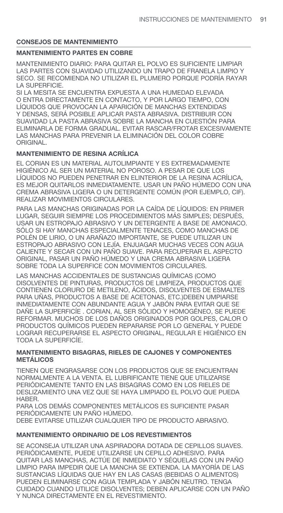### **MANTENIMIENTO PARTES EN COBRE**

MANTENIMIENTO DIARIO: PARA QUITAR EL POLVO ES SUFICIENTE LIMPIAR LAS PARTES CON SUAVIDAD UTILIZANDO UN TRAPO DE FRANELA LIMPIO Y SECO. SE RECOMIENDA NO UTILIZAR EL PLUMERO PORQUE PODRÍA RAYAR LA SUPERFICIE.

SI LA MESITA SE ENCUENTRA EXPUESTA A UNA HUMEDAD ELEVADA O ENTRA DIRECTAMENTE EN CONTACTO, Y POR LARGO TIEMPO, CON LÍQUIDOS QUE PROVOCAN LA APARICIÓN DE MANCHAS EXTENDIDAS Y DENSAS, SERÁ POSIBLE APLICAR PASTA ABRASIVA. DISTRIBUIR CON SUAVIDAD LA PASTA ABRASIVA SOBRE LA MANCHA EN CUESTIÓN PARA ELIMINARLA DE FORMA GRADUAL. EVITAR RASCAR/FROTAR EXCESIVAMENTE LAS MANCHAS PARA PREVENIR LA ELIMINACIÓN DEL COLOR COBRE ORIGINAL.

### **MANTENIMIENTO DE RESINA ACRÍLICA**

EL CORIAN ES UN MATERIAL AUTOLIMPIANTE Y ES EXTREMADAMENTE HIGIÉNICO AL SER UN MATERIAL NO POROSO. A PESAR DE QUE LOS LÍQUIDOS NO PUEDEN PENETRAR EN ELINTERIOR DE LA RESINA ACRÍLICA, ES MEJOR QUITARLOS INMEDIATAMENTE. USAR UN PAÑO HÚMEDO CON UNA CREMA ABRASIVA LIGERA O UN DETERGENTE COMÚN (POR EJEMPLO, CIF). REALIZAR MOVIMIENTOS CIRCULARES.

PARA LAS MANCHAS ORIGINADAS POR LA CAÍDA DE LÍQUIDOS: EN PRIMER LUGAR, SEGUIR SIEMPRE LOS PROCEDIMIENTOS MÁS SIMPLES; DESPUÉS, USAR UN ESTROPAJO ABRASIVO Y UN DETERGENTE A BASE DE AMONIACO. SÓLO SI HAY MANCHAS ESPECIALMENTE TENACES, COMO MANCHAS DE POLÉN DE LIRIO, O UN ARAÑAZO IMPORTANTE, SE PUEDE UTILIZAR UN ESTROPAJO ABRASIVO CON LEJÍA. ENJUAGAR MUCHAS VECES CON AGUA CALIENTE Y SECAR CON UN PAÑO SUAVE. PARA RECUPERAR EL ASPECTO ORIGINAL, PASAR UN PAÑO HÚMEDO Y UNA CREMA ABRASIVA LIGERA SOBRE TODA LA SUPERFICE CON MOVIMIENTOS CIRCULARES.

LAS MANCHAS ACCIDENTALES DE SUSTANCIAS QUÍMICAS (COMO DISOLVENTES DE PINTURAS, PRODUCTOS DE LIMPIEZA, PRODUCTOS QUE CONTIENEN CLORURO DE METILENO, ÁCIDOS, DISOLVENTES DE ESMALTES PARA UÑAS, PRODUCTOS A BASE DE ACETONAS, ETC.)DEBEN UMPIARSE INMEDIATAMENTE CON ABUNDANTE AGUA Y JABÓN PARA EVITAR QUE SE DAÑE LA SUPERFICÍE . CORIAN, AL SER SÓLIDO Y HOMOGÉNEO, SE PUEDE REFORMAR. MUCHOS DE LOS DAÑOS ORIGINADOS POR GOLPES, CALOR O PRODUCTOS QUÍMICOS PUEDEN REPARARSE POR LO GENERAL Y PUEDE LOGRAR RECUPERARSE EL ASPECTO ORIGINAL, REGULAR E HIGIÉNICO EN TODA LA SUPERFICÍE.

#### **MANTENIMIENTO BISAGRAS, RIELES DE CAJONES Y COMPONENTES METÁLICOS**

TIENEN QUE ENGRASARSE CON LOS PRODUCTOS QUE SE ENCUENTRAN NORMALMENTE A LA VENTA. EL LUBRIFICANTE TIENE QUE UTILIZARSE PERIÓDICAMENTE TANTO EN LAS BISAGRAS COMO EN LOS RIELES DE DESLIZAMIENTO UNA VEZ QUE SE HAYA LIMPIADO EL POLVO QUE PUEDA HABER.

PARA LOS DEMÁS COMPONENTES METÁLICOS ES SUFICIENTE PASAR PERIÓDICAMENTE UN PAÑO HÚMEDO.

DEBE EVITARSE UTILIZAR CUALQUIER TIPO DE PRODUCTO ABRASIVO.

## **MANTENIMIENTO ORDINARIO DE LOS REVESTIMIENTOS**

SE ACONSEJA UTILIZAR UNA ASPIRADORA DOTADA DE CEPILLOS SUAVES. PERIÓDICAMENTE, PUEDE UTILIZARSE UN CEPILLO ADHESIVO. PARA QUITAR LAS MANCHAS, ACTÚE DE INMEDIATO Y SÉQUELAS CON UN PAÑO LIMPIO PARA IMPEDIR QUE LA MANCHA SE EXTIENDA. LA MAYORÍA DE LAS SUSTANCIAS LÍQUIDAS QUE HAY EN LAS CASAS (BEBIDAS O ALIMENTOS) PUEDEN ELIMINARSE CON AGUA TEMPLADA Y JABÓN NEUTRO. TENGA CUIDADO CUANDO UTILICE DISOLVENTES; DEBEN APLICARSE CON UN PAÑO Y NUNCA DIRECTAMENTE EN EL REVESTIMIENTO.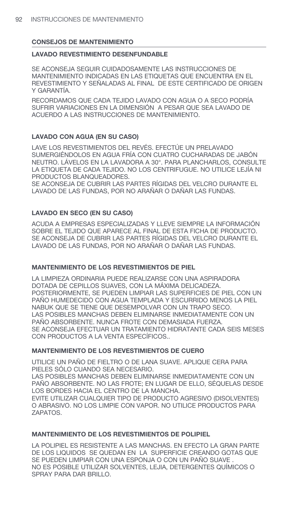#### **LAVADO REVESTIMIENTO DESENFUNDABLE**

SE ACONSEJA SEGUIR CUIDADOSAMENTE LAS INSTRUCCIONES DE MANTENIMIENTO INDICADAS EN LAS ETIQUETAS QUE ENCUENTRA EN EL REVESTIMIENTO Y SEÑALADAS AL FINAL DE ESTE CERTIFICADO DE ORIGEN Y GARANTÍA.

RECORDAMOS QUE CADA TEJIDO LAVADO CON AGUA O A SECO PODRÍA SUFRIR VARIACIONES EN LA DIMENSIÓN A PESAR QUE SEA LAVADO DE ACUERDO A LAS INSTRUCCIONES DE MANTENIMIENTO.

## **LAVADO CON AGUA (EN SU CASO)**

LAVE LOS REVESTIMIENTOS DEL REVÉS. EFECTÚE UN PRELAVADO SUMERGIÉNDOLOS EN AGUA FRÍA CON CUATRO CUCHARADAS DE JABÓN NEUTRO. LÁVELOS EN LA LAVADORA A 30°. PARA PLANCHARLOS, CONSULTE LA ETIQUETA DE CADA TEJIDO. NO LOS CENTRIFUGUE. NO UTILICE LEJÍA NI PRODUCTOS BLANQUEADORES.

SE ACONSEJA DE CUBRIR LAS PARTES RÍGIDAS DEL VELCRO DURANTE EL LAVADO DE LAS FUNDAS, POR NO ARAÑAR O DAÑAR LAS FUNDAS.

### **LAVADO EN SECO (EN SU CASO)**

ACUDA A EMPRESAS ESPECIALIZADAS Y LLEVE SIEMPRE LA INFORMACIÓN SOBRE EL TEJIDO QUE APARECE AL FINAL DE ESTA FICHA DE PRODUCTO. SE ACONSEJA DE CUBRIR LAS PARTES RÍGIDAS DEL VELCRO DURANTE EL LAVADO DE LAS FUNDAS, POR NO ARAÑAR O DAÑAR LAS FUNDAS.

#### **MANTENIMIENTO DE LOS REVESTIMIENTOS DE PIEL**

LA LIMPIEZA ORDINARIA PUEDE REALIZARSE CON UNA ASPIRADORA DOTADA DE CEPILLOS SUAVES, CON LA MÁXIMA DELICADEZA. POSTERIORMENTE, SE PUEDEN LIMPIAR LAS SUPERFICIES DE PIEL CON UN PAÑO HUMEDECIDO CON AGUA TEMPLADA Y ESCURRIDO MENOS LA PIEL NABUK QUE SE TIENE QUE DESEMPOLVAR CON UN TRAPO SECO. LAS POSIBLES MANCHAS DEBEN ELIMINARSE INMEDIATAMENTE CON UN PAÑO ABSORBENTE. NUNCA FROTE CON DEMASIADA FUERZA. SE ACONSEJA EFECTUAR UN TRATAMIENTO HIDRATANTE CADA SEIS MESES CON PRODUCTOS A LA VENTA ESPECÍFICOS..

### **MANTENIMIENTO DE LOS REVESTIMIENTOS DE CUERO**

UTILICE UN PAÑO DE FIELTRO O DE LANA SUAVE. APLIQUE CERA PARA PIELES SÓLO CUANDO SEA NECESARIO. LAS POSIBLES MANCHAS DEBEN ELIMINARSE INMEDIATAMENTE CON UN PAÑO ABSORBENTE. NO LAS FROTE; EN LUGAR DE ELLO, SÉQUELAS DESDE LOS BORDES HACIA EL CENTRO DE LA MANCHA. EVITE UTILIZAR CUALQUIER TIPO DE PRODUCTO AGRESIVO (DISOLVENTES) O ABRASIVO. NO LOS LIMPIE CON VAPOR. NO UTILICE PRODUCTOS PARA ZAPATOS.

### **MANTENIMIENTO DE LOS REVESTIMIENTOS DE POLIPIEL**

LA POLIPIEL ES RESISTENTE A LAS MANCHAS. EN EFECTO LA GRAN PARTE DE LOS LIQUIDOS SE QUEDAN EN LA SUPERFICIE CREANDO GOTAS QUE SE PUEDEN LIMPIAR CON UNA ESPONJA O CON UN PAÑO SUAVE . NO ES POSIBLE UTILIZAR SOLVENTES, LEJIA, DETERGENTES QUÍMICOS O SPRAY PARA DAR BRILLO.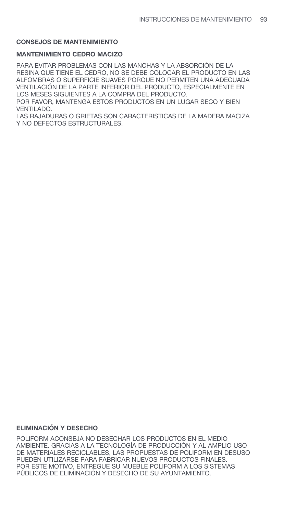## **MANTENIMIENTO CEDRO MACIZO**

PARA EVITAR PROBLEMAS CON LAS MANCHAS Y LA ABSORCIÓN DE LA RESINA QUE TIENE EL CEDRO, NO SE DEBE COLOCAR EL PRODUCTO EN LAS ALFOMBRAS O SUPERFICIE SUAVES PORQUE NO PERMITEN UNA ADECUADA VENTILACIÓN DE LA PARTE INFERIOR DEL PRODUCTO, ESPECIALMENTE EN LOS MESES SIGUIENTES A LA COMPRA DEL PRODUCTO. POR FAVOR, MANTENGA ESTOS PRODUCTOS EN UN LUGAR SECO Y BIEN VENTILADO.

LAS RAJADURAS O GRIETAS SON CARACTERISTICAS DE LA MADERA MACIZA Y NO DEFECTOS ESTRUCTURALES.

## **ELIMINACIÓN Y DESECHO**

POLIFORM ACONSEJA NO DESECHAR LOS PRODUCTOS EN EL MEDIO AMBIENTE. GRACIAS A LA TECNOLOGÍA DE PRODUCCIÓN Y AL AMPLIO USO DE MATERIALES RECICLABLES, LAS PROPUESTAS DE POLIFORM EN DESUSO PUEDEN UTILIZARSE PARA FABRICAR NUEVOS PRODUCTOS FINALES. POR ESTE MOTIVO, ENTREGUE SU MUEBLE POLIFORM A LOS SISTEMAS PÚBLICOS DE ELIMINACIÓN Y DESECHO DE SU AYUNTAMIENTO.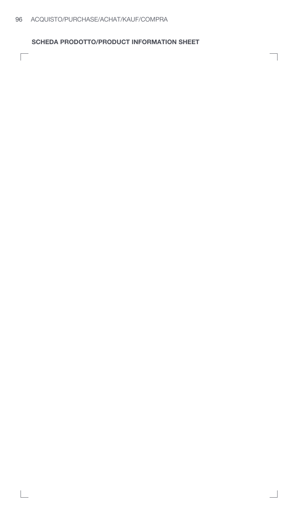$\Box$ 

**SCHEDA PRODOTTO/PRODUCT INFORMATION SHEET**

1

 $\overline{\phantom{a}}$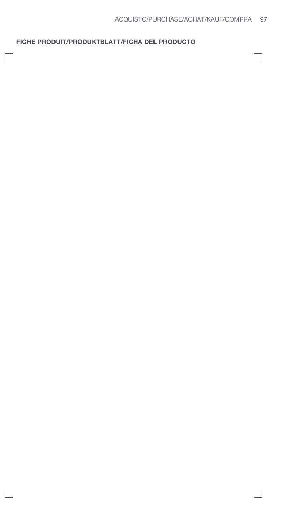## **FICHE PRODUIT/PRODUKTBLATT/FICHA DEL PRODUCTO**

 $\Box$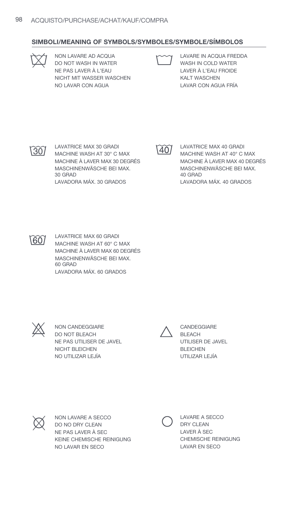### **SIMBOLI/MEANING OF SYMBOLS/SYMBOLES/SYMBOLE/SÍMBOLOS**



NON LAVARE AD ACQUA NON LAVARE AD ACQUA<br>20 NOT WASH IN WATER TO MASH IN COLD WATER NE PAS LAVER À L'EAU NICHT MIT WASSER WASCHEN NO LAVAR CON AGUA



WASH IN COLD WATER 30 LAVER À L'EAU FROIDE KALT WASCHEN LAVAR CON AGUA FRÍA



LAVATRICE MAX 30 GRADI  $\widetilde{30}$  LAVATRICE MAX 30 GRADI  $\widetilde{40}$  LAVATRICE MAX 40 GRADI<br>MACHINE WASH AT 30° C MAX MACHINE WASH AT 40° C MACHINE À LAVER MAX 30 DEGRÉS MASCHINENWÄSCHE BEI MAX. 30 GRAD LAVADORA MÁX. 30 GRADOS



MACHINE WASH AT 40° C MAX MACHINE À LAVER MAX 40 DEGRÉS MASCHINENWÄSCHE BEI MAX. 40 GRAD LAVADORA MÁX. 40 GRADOS



LAVATRICE MAX 60 GRADI MACHINE WASH AT 60° C MAX MACHINE À LAVER MAX 60 DEGRÉS MASCHINENWÄSCHE BEI MAX. 60 GRAD LAVADORA MÁX. 60 GRADOS



NON CANDEGGIARE DO NOT BLEACH 30 NE PAS UTILISER DE JAVEL NICHT BLEICHEN NO UTILIZAR LEJÍA  $\chi$  NON CANDEGGIARE  $\sim$  CANDEGGIARE



BLEACH UTILISER DE JAVEL BLEICHEN UTILIZAR LEJÍA



NON LAVARE A SECCO DO NO DRY CLEAN NE PAS LAVER À SEC KEINE CHEMISCHE REINIGUNG NO LAVAR EN SECO  $\oslash$  NON LAVARE A SECCO DRY CLEAN<br>DO NO DRY CLEAN<br>DRY CLEAN

DRY CLEAN LAVER À SEC CHEMISCHE REINIGUNG LAVAR EN SECO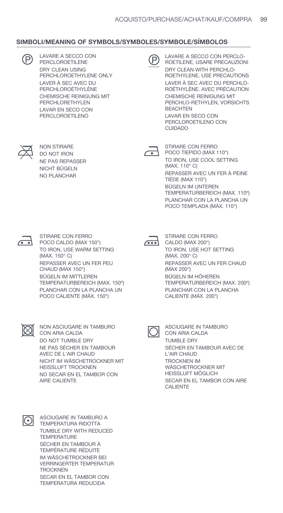### **SIMBOLI/MEANING OF SYMBOLS/SYMBOLES/SYMBOLE/SÍMBOLOS**

| LAVARE A SECCO CON<br><b>PERCLOROETILENE</b>      |
|---------------------------------------------------|
| DRY CLEAN USING<br>PERCHLOROETHYLENE ONLY         |
| LAVER À SEC AVEC DU<br>PERCHLOROÉTHYLÈNE          |
| CHEMISCHE REINIGUNG MIT<br><b>PERCHLORETHYLEN</b> |
| LAVAR EN SECO CON<br><b>PERCLOROETILENO</b>       |



**30 LAVARE A SECCO CON CONTROLLATION CONTROLLER CONTRECAUZIONI**<br> **CONTRECAUZIONIC PERCLOROETILENE**<br> **CONTRECAUZIONIC PRECAUZIONIC PRECAUZIONIC** DRY CLEAN WITH PERCHLO-ROETHYLENE, USE PRECAUTIONS LAVER À SEC AVEC DU PERCHLO-ROÉTHYLÈNE. AVEC PRÉCAUTION CHEMISCHE REINIGUNG MIT PERCHLO-RETHYLEN, VORSICHTS **BEACHTEN** LAVAR EN SECO CON PERCLOROETILENO CON CUIDADO

NON STIRARE DO NOT IRON NE PAS REPASSER NICHT BÜGELN NO PLANCHAR

NON STIRARE CON FERRO STIRARE CON FERRO POCO TIEPIDO (MAX 110°) TO IRON, USE COOL SETTING (MAX. 110° C) REPASSER AVEC UN FER À PEINE TIÈDE (MAX 110°) BÜGELN IM UNTEREN TEMPERATURBEREICH (MAX. 110º) PLANCHAR CON LA PLANCHA UN POCO TEMPLADA (MÁX. 110°)

| ۰. |  |
|----|--|

STIRARE CON FERRO POCO CALDO (MAX 150°) TO IRON, USE WARM SETTING (MAX. 150° C) REPASSER AVEC UN FER PEU CHAUD (MAX 150°) BÜGELN IM MITTLEREN TEMPERATURBEREICH (MAX. 150º) PLANCHAR CON LA PLANCHA UN POCO CALIENTE (MÁX. 150°) STIRARE CON FERRO<br>
POCO CALDO (MAX 150°) 
<br> **CALDO (MAX 200°)** 



CALDO (MAX 200°) TO IRON, USE HOT SETTING (MAX. 200° C) REPASSER AVEC UN FER CHAUD (MAX 200°) BÜGELN IM HÖHEREN TEMPERATURBEREICH (MAX. 200º) PLANCHAR CON LA PLANCHA CALIENTE (MÁX. 200°)

NON ASCIUGARE IN TAMBURO CON ARIA CALDA DO NOT TUMBLE DRY NE PAS SÉCHER EN TAMBOUR AVEC DE L'AIR CHAUD NICHT IM WÄSCHETROCKNER MIT HEISSLUFT TROCKNEN NO SECAR EN EL TAMBOR CON AIRE CALIENTE △ NON ASCIUGARE IN TAMBURO<br>△ CON ARIA CALDA COLORA CON ARIA CALDA



ASCIUGARE IN TAMBURO A TEMPERATURA RIDOTTA TUMBLE DRY WITH REDUCED **TEMPERATURE** SÉCHER EN TAMBOUR À TEMPÉRATURE RÉDUITE IM WÄSCHETROCKNER BEI VERRINGERTER TEMPERATUR **TROCKNEN** SECAR EN EL TAMBOR CON TEMPERATURA REDUCIDA



CON ARIA CALDA TUMBLE DRY SÉCHER EN TAMBOUR AVEC DE L'AIR CHAUD TROCKNEN IM WÄSCHETROCKNER MIT HEISSLUFT MÖGLICH SECAR EN EL TAMBOR CON AIRE CALIENTE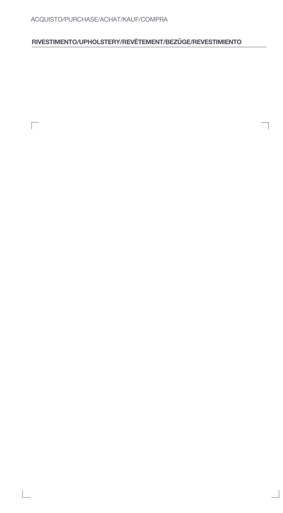# ACQUISTO/PURCHASE/ACHAT/KAUF/COMPRA

 $\Box$ 

# **RIVESTIMENTO/UPHOLSTERY/REVÊTEMENT/BEZÜGE/REVESTIMIENTO**

 $\overline{\phantom{a}}$